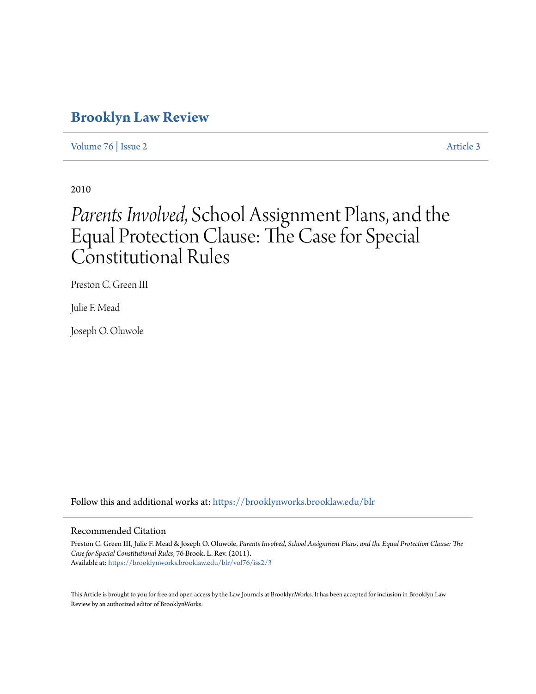# **[Brooklyn Law Review](https://brooklynworks.brooklaw.edu/blr?utm_source=brooklynworks.brooklaw.edu%2Fblr%2Fvol76%2Fiss2%2F3&utm_medium=PDF&utm_campaign=PDFCoverPages)**

[Volume 76](https://brooklynworks.brooklaw.edu/blr/vol76?utm_source=brooklynworks.brooklaw.edu%2Fblr%2Fvol76%2Fiss2%2F3&utm_medium=PDF&utm_campaign=PDFCoverPages) | [Issue 2](https://brooklynworks.brooklaw.edu/blr/vol76/iss2?utm_source=brooklynworks.brooklaw.edu%2Fblr%2Fvol76%2Fiss2%2F3&utm_medium=PDF&utm_campaign=PDFCoverPages) [Article 3](https://brooklynworks.brooklaw.edu/blr/vol76/iss2/3?utm_source=brooklynworks.brooklaw.edu%2Fblr%2Fvol76%2Fiss2%2F3&utm_medium=PDF&utm_campaign=PDFCoverPages)

2010

# *Parents Involved*, School Assignment Plans, and the Equal Protection Clause: The Case for Special Constitutional Rules

Preston C. Green III

Julie F. Mead

Joseph O. Oluwole

Follow this and additional works at: [https://brooklynworks.brooklaw.edu/blr](https://brooklynworks.brooklaw.edu/blr?utm_source=brooklynworks.brooklaw.edu%2Fblr%2Fvol76%2Fiss2%2F3&utm_medium=PDF&utm_campaign=PDFCoverPages)

#### Recommended Citation

Preston C. Green III, Julie F. Mead & Joseph O. Oluwole, *Parents Involved, School Assignment Plans, and the Equal Protection Clause: The Case for Special Constitutional Rules*, 76 Brook. L. Rev. (2011). Available at: [https://brooklynworks.brooklaw.edu/blr/vol76/iss2/3](https://brooklynworks.brooklaw.edu/blr/vol76/iss2/3?utm_source=brooklynworks.brooklaw.edu%2Fblr%2Fvol76%2Fiss2%2F3&utm_medium=PDF&utm_campaign=PDFCoverPages)

This Article is brought to you for free and open access by the Law Journals at BrooklynWorks. It has been accepted for inclusion in Brooklyn Law Review by an authorized editor of BrooklynWorks.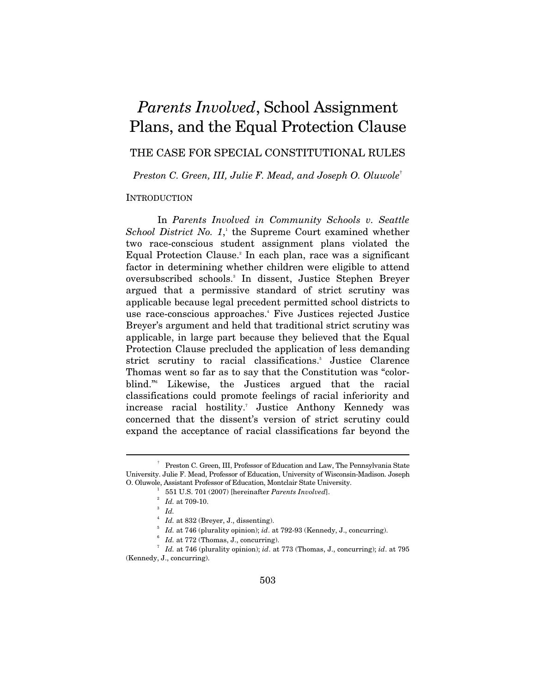# *Parents Involved*, School Assignment Plans, and the Equal Protection Clause

THE CASE FOR SPECIAL CONSTITUTIONAL RULES

*Preston C. Green, III, Julie F. Mead, and Joseph O. Oluwole*†

#### **INTRODUCTION**

In *Parents Involved in Community Schools v. Seattle*  School District No. 1,<sup>1</sup> the Supreme Court examined whether two race-conscious student assignment plans violated the Equal Protection Clause.<sup>2</sup> In each plan, race was a significant factor in determining whether children were eligible to attend oversubscribed schools.3 In dissent, Justice Stephen Breyer argued that a permissive standard of strict scrutiny was applicable because legal precedent permitted school districts to use race-conscious approaches.4 Five Justices rejected Justice Breyer's argument and held that traditional strict scrutiny was applicable, in large part because they believed that the Equal Protection Clause precluded the application of less demanding strict scrutiny to racial classifications.<sup>5</sup> Justice Clarence Thomas went so far as to say that the Constitution was "colorblind."6 Likewise, the Justices argued that the racial classifications could promote feelings of racial inferiority and increase racial hostility.7 Justice Anthony Kennedy was concerned that the dissent's version of strict scrutiny could expand the acceptance of racial classifications far beyond the

 $\overline{a}$ 

 $^7$   $\,$   $Id.$  at 746 (plurality opinion);  $id.$  at 773 (Thomas, J., concurring);  $id.$  at 795 (Kennedy, J., concurring).

<sup>†</sup> Preston C. Green, III, Professor of Education and Law, The Pennsylvania State University. Julie F. Mead, Professor of Education, University of Wisconsin-Madison. Joseph O. Oluwole, Assistant Professor of Education, Montclair State University. 1

 <sup>551</sup> U.S. 701 (2007) [hereinafter *Parents Involved*]. 2

 $^{\circ}$   $Id.$  at 709-10.

 $\int^3$  *Id.* 

 $1/$ *Id.* at 832 (Breyer, J., dissenting).

 $I$ <sup>5</sup> *Id.* at 746 (plurality opinion); *id.* at 792-93 (Kennedy, J., concurring).

 $I$ <sup>6</sup> *Id.* at 772 (Thomas, J., concurring).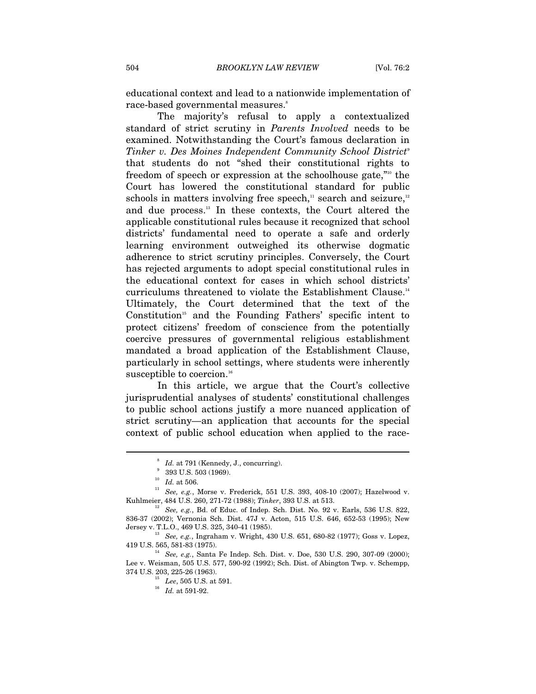educational context and lead to a nationwide implementation of race-based governmental measures.<sup>8</sup>

The majority's refusal to apply a contextualized standard of strict scrutiny in *Parents Involved* needs to be examined. Notwithstanding the Court's famous declaration in *Tinker v. Des Moines Independent Community School District*<sup>9</sup> that students do not "shed their constitutional rights to freedom of speech or expression at the schoolhouse gate,"10 the Court has lowered the constitutional standard for public schools in matters involving free speech, $\alpha$ <sup>11</sup> search and seizure, $\alpha$ <sup>12</sup> and due process.13 In these contexts, the Court altered the applicable constitutional rules because it recognized that school districts' fundamental need to operate a safe and orderly learning environment outweighed its otherwise dogmatic adherence to strict scrutiny principles. Conversely, the Court has rejected arguments to adopt special constitutional rules in the educational context for cases in which school districts' curriculums threatened to violate the Establishment Clause.<sup>14</sup> Ultimately, the Court determined that the text of the Constitution<sup>15</sup> and the Founding Fathers' specific intent to protect citizens' freedom of conscience from the potentially coercive pressures of governmental religious establishment mandated a broad application of the Establishment Clause, particularly in school settings, where students were inherently susceptible to coercion.<sup>16</sup>

In this article, we argue that the Court's collective jurisprudential analyses of students' constitutional challenges to public school actions justify a more nuanced application of strict scrutiny—an application that accounts for the special context of public school education when applied to the race-

<sup>&</sup>lt;sup>8</sup> Id. at 791 (Kennedy, J., concurring).<br><sup>9</sup> 393 U.S. 503 (1969).

<sup>10</sup> *Id.* at 506.<br>
<sup>10</sup> *Id.* at 506.<br>
<sup>11</sup> See, e.g., Morse v. Frederick, 551 U.S. 393, 408-10 (2007); Hazelwood v.<br>
Kuhlmeier, 484 U.S. 260, 271-72 (1988); *Tinker*, 393 U.S. at 513.

<sup>&</sup>lt;sup>12</sup> See, e.g., Bd. of Educ. of Indep. Sch. Dist. No. 92 v. Earls, 536 U.S. 822, 836-37 (2002); Vernonia Sch. Dist. 47J v. Acton, 515 U.S. 646, 652-53 (1995); New

Jersey v. T.L.O., 469 U.S. 325, 340-41 (1985). <sup>13</sup> *See, e.g.*, Ingraham v. Wright, 430 U.S. 651, 680-82 (1977); Goss v. Lopez, 419 U.S. 565, 581-83 (1975).

<sup>&</sup>lt;sup>14</sup> See, e.g., Santa Fe Indep. Sch. Dist. v. Doe, 530 U.S. 290, 307-09 (2000); Lee v. Weisman, 505 U.S. 577, 590-92 (1992); Sch. Dist. of Abington Twp. v. Schempp,

<sup>&</sup>lt;sup>15</sup> Lee, 505 U.S. at 591.<br><sup>16</sup> Id. at 591-92.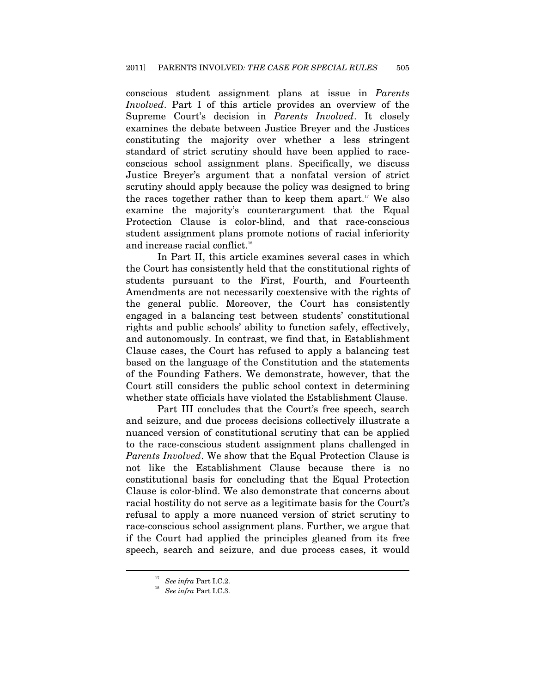conscious student assignment plans at issue in *Parents Involved*. Part I of this article provides an overview of the Supreme Court's decision in *Parents Involved*. It closely examines the debate between Justice Breyer and the Justices constituting the majority over whether a less stringent standard of strict scrutiny should have been applied to raceconscious school assignment plans. Specifically, we discuss Justice Breyer's argument that a nonfatal version of strict scrutiny should apply because the policy was designed to bring the races together rather than to keep them apart.<sup>17</sup> We also examine the majority's counterargument that the Equal Protection Clause is color-blind, and that race-conscious student assignment plans promote notions of racial inferiority and increase racial conflict.<sup>18</sup>

In Part II, this article examines several cases in which the Court has consistently held that the constitutional rights of students pursuant to the First, Fourth, and Fourteenth Amendments are not necessarily coextensive with the rights of the general public. Moreover, the Court has consistently engaged in a balancing test between students' constitutional rights and public schools' ability to function safely, effectively, and autonomously. In contrast, we find that, in Establishment Clause cases, the Court has refused to apply a balancing test based on the language of the Constitution and the statements of the Founding Fathers. We demonstrate, however, that the Court still considers the public school context in determining whether state officials have violated the Establishment Clause.

Part III concludes that the Court's free speech, search and seizure, and due process decisions collectively illustrate a nuanced version of constitutional scrutiny that can be applied to the race-conscious student assignment plans challenged in *Parents Involved*. We show that the Equal Protection Clause is not like the Establishment Clause because there is no constitutional basis for concluding that the Equal Protection Clause is color-blind. We also demonstrate that concerns about racial hostility do not serve as a legitimate basis for the Court's refusal to apply a more nuanced version of strict scrutiny to race-conscious school assignment plans. Further, we argue that if the Court had applied the principles gleaned from its free speech, search and seizure, and due process cases, it would

<sup>&</sup>lt;sup>17</sup> See infra Part I.C.2.

*See infra* Part I.C.3.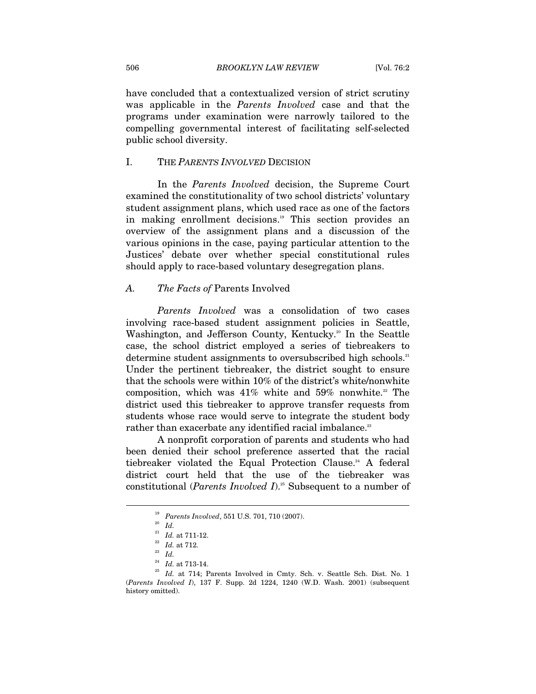have concluded that a contextualized version of strict scrutiny was applicable in the *Parents Involved* case and that the programs under examination were narrowly tailored to the compelling governmental interest of facilitating self-selected public school diversity.

#### I. THE *PARENTS INVOLVED* DECISION

In the *Parents Involved* decision, the Supreme Court examined the constitutionality of two school districts' voluntary student assignment plans, which used race as one of the factors in making enrollment decisions.19 This section provides an overview of the assignment plans and a discussion of the various opinions in the case, paying particular attention to the Justices' debate over whether special constitutional rules should apply to race-based voluntary desegregation plans.

#### *A. The Facts of* Parents Involved

*Parents Involved* was a consolidation of two cases involving race-based student assignment policies in Seattle, Washington, and Jefferson County, Kentucky.<sup>20</sup> In the Seattle case, the school district employed a series of tiebreakers to determine student assignments to oversubscribed high schools.<sup>21</sup> Under the pertinent tiebreaker, the district sought to ensure that the schools were within 10% of the district's white/nonwhite composition, which was  $41\%$  white and  $59\%$  nonwhite.<sup>22</sup> The district used this tiebreaker to approve transfer requests from students whose race would serve to integrate the student body rather than exacerbate any identified racial imbalance.<sup>23</sup>

A nonprofit corporation of parents and students who had been denied their school preference asserted that the racial tiebreaker violated the Equal Protection Clause.<sup>24</sup> A federal district court held that the use of the tiebreaker was constitutional (*Parents Involved I*).<sup>25</sup> Subsequent to a number of

<sup>19</sup> *Parents Involved*, 551 U.S. 701, 710 (2007). 20 *Id.* 21 *Id.* at 711-12. 22 *Id.* at 712. 23 *Id.*

<sup>&</sup>lt;sup>25</sup> Id. at 714; Parents Involved in Cmty. Sch. v. Seattle Sch. Dist. No. 1 (*Parents Involved I*), 137 F. Supp. 2d 1224, 1240 (W.D. Wash. 2001) (subsequent history omitted).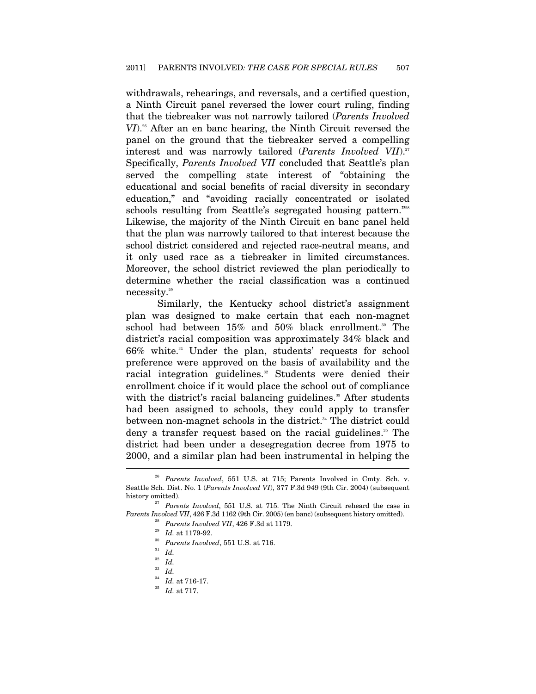withdrawals, rehearings, and reversals, and a certified question, a Ninth Circuit panel reversed the lower court ruling, finding that the tiebreaker was not narrowly tailored (*Parents Involved VI*).<sup>26</sup> After an en banc hearing, the Ninth Circuit reversed the panel on the ground that the tiebreaker served a compelling interest and was narrowly tailored (*Parents Involved VII*).<sup>27</sup> Specifically, *Parents Involved VII* concluded that Seattle's plan served the compelling state interest of "obtaining the educational and social benefits of racial diversity in secondary education," and "avoiding racially concentrated or isolated schools resulting from Seattle's segregated housing pattern."<sup>28</sup> Likewise, the majority of the Ninth Circuit en banc panel held that the plan was narrowly tailored to that interest because the school district considered and rejected race-neutral means, and it only used race as a tiebreaker in limited circumstances. Moreover, the school district reviewed the plan periodically to determine whether the racial classification was a continued necessity.29

Similarly, the Kentucky school district's assignment plan was designed to make certain that each non-magnet school had between  $15\%$  and  $50\%$  black enrollment.<sup>30</sup> The district's racial composition was approximately 34% black and  $66\%$  white.<sup>31</sup> Under the plan, students' requests for school preference were approved on the basis of availability and the racial integration guidelines.<sup>32</sup> Students were denied their enrollment choice if it would place the school out of compliance with the district's racial balancing guidelines.<sup>33</sup> After students had been assigned to schools, they could apply to transfer between non-magnet schools in the district.<sup>34</sup> The district could deny a transfer request based on the racial guidelines.<sup>35</sup> The district had been under a desegregation decree from 1975 to 2000, and a similar plan had been instrumental in helping the l

<sup>26</sup> *Parents Involved*, 551 U.S. at 715; Parents Involved in Cmty. Sch. v. Seattle Sch. Dist. No. 1 (*Parents Involved VI*), 377 F.3d 949 (9th Cir. 2004) (subsequent history omitted). 27 *Parents Involved*, 551 U.S. at 715. The Ninth Circuit reheard the case in

Parents Involved VII, 426 F.3d 1162 (9th Cir. 2005) (en banc) (subsequent history omitted).<br>
<sup>28</sup> Parents Involved VII, 426 F.3d at 1179.<br>
<sup>29</sup> Id. at 1179-92.<br>
<sup>30</sup> Parents Involved, 551 U.S. at 716.<br>
<sup>31</sup> Id.

 $\begin{array}{c} \n \stackrel{32}{ } \quad Id. \\
 \stackrel{33}{ } \quad Id. \n \end{array}$ 

<sup>33</sup> *Id.* 34 *Id.* at 716-17. 35 *Id.* at 717.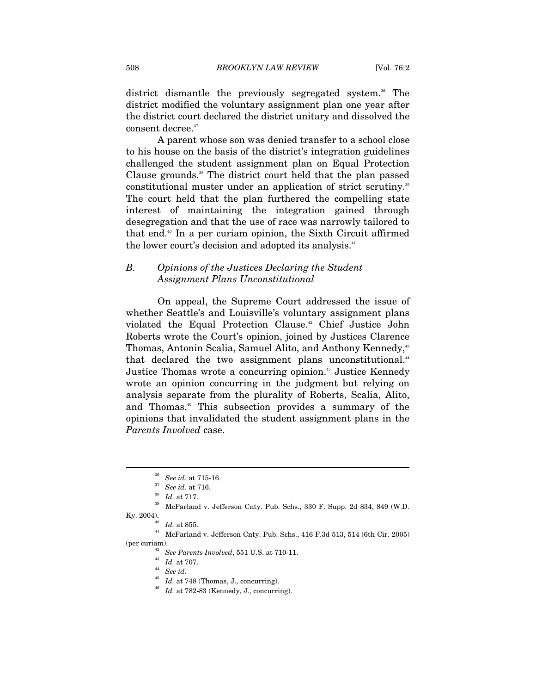district dismantle the previously segregated system.<sup>36</sup> The district modified the voluntary assignment plan one year after the district court declared the district unitary and dissolved the consent decree.<sup>37</sup>

A parent whose son was denied transfer to a school close to his house on the basis of the district's integration guidelines challenged the student assignment plan on Equal Protection Clause grounds.<sup>38</sup> The district court held that the plan passed constitutional muster under an application of strict scrutiny.<sup>39</sup> The court held that the plan furthered the compelling state interest of maintaining the integration gained through desegregation and that the use of race was narrowly tailored to that end.40 In a per curiam opinion, the Sixth Circuit affirmed the lower court's decision and adopted its analysis.<sup>41</sup>

#### *B. Opinions of the Justices Declaring the Student Assignment Plans Unconstitutional*

On appeal, the Supreme Court addressed the issue of whether Seattle's and Louisville's voluntary assignment plans violated the Equal Protection Clause.<sup>42</sup> Chief Justice John Roberts wrote the Court's opinion, joined by Justices Clarence Thomas, Antonin Scalia, Samuel Alito, and Anthony Kennedy,<sup>43</sup> that declared the two assignment plans unconstitutional.<sup>44</sup> Justice Thomas wrote a concurring opinion.<sup>45</sup> Justice Kennedy wrote an opinion concurring in the judgment but relying on analysis separate from the plurality of Roberts, Scalia, Alito, and Thomas.46 This subsection provides a summary of the opinions that invalidated the student assignment plans in the *Parents Involved* case.

 $\overline{a}$ 

(per curiam). 42 *See Parents Involved*, 551 U.S. at 710-11. 43 *Id.* at 707. 44 *See id.* 45 *Id.* at 748 (Thomas, J., concurring). 46 *Id.* at 782-83 (Kennedy, J., concurring).

- 
- 

<sup>36</sup> *See id.* at 715-16. 37 *See id.* at 716. 38 *Id.* at 717. 39 McFarland v. Jefferson Cnty. Pub. Schs., 330 F. Supp. 2d 834, 849 (W.D. Ky. 2004).  $$^{40}\quad Id.$  at 855.  $$^{41}\quad \text{McFarland v. }$  Jefferson Cnty. Pub. Schs., 416 F.3d 513, 514 (6th Cir. 2005)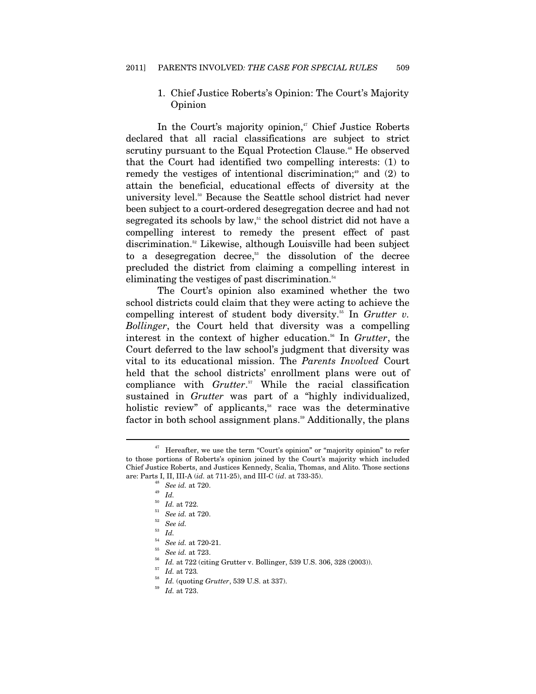#### 1. Chief Justice Roberts's Opinion: The Court's Majority Opinion

In the Court's majority opinion,<sup>47</sup> Chief Justice Roberts declared that all racial classifications are subject to strict scrutiny pursuant to the Equal Protection Clause.<sup>48</sup> He observed that the Court had identified two compelling interests: (1) to remedy the vestiges of intentional discrimination;<sup>49</sup> and  $(2)$  to attain the beneficial, educational effects of diversity at the university level.<sup>50</sup> Because the Seattle school district had never been subject to a court-ordered desegregation decree and had not segregated its schools by law, $51$  the school district did not have a compelling interest to remedy the present effect of past discrimination.52 Likewise, although Louisville had been subject to a desegregation decree, $53$  the dissolution of the decree precluded the district from claiming a compelling interest in eliminating the vestiges of past discrimination.<sup>54</sup>

The Court's opinion also examined whether the two school districts could claim that they were acting to achieve the compelling interest of student body diversity.<sup>55</sup> In *Grutter v. Bollinger*, the Court held that diversity was a compelling interest in the context of higher education.<sup>56</sup> In *Grutter*, the Court deferred to the law school's judgment that diversity was vital to its educational mission. The *Parents Involved* Court held that the school districts' enrollment plans were out of compliance with *Grutter*. 57 While the racial classification sustained in *Grutter* was part of a "highly individualized, holistic review" of applicants, $s$  race was the determinative factor in both school assignment plans.<sup>59</sup> Additionally, the plans

 $47$  Hereafter, we use the term "Court's opinion" or "majority opinion" to refer to those portions of Roberts's opinion joined by the Court's majority which included Chief Justice Roberts, and Justices Kennedy, Scalia, Thomas, and Alito. Those sections are: Parts I, II, III-A (*id.* at 711-25), and III-C (*id.* at 733-35).<br>
<sup>48</sup> See id. at 720.<br>
<sup>50</sup> Id. at 722.<br>
<sup>51</sup> See id. at 720.<br>
<sup>52</sup> See id.

 $\int_{54}^{53}$  *Id.* 

<sup>&</sup>lt;sup>54</sup> See id. at 720-21.<br>
<sup>55</sup> See id. at 723.<br>
<sup>56</sup> Id. at 722 (citing Grutter v. Bollinger, 539 U.S. 306, 328 (2003)).<br>
<sup>57</sup> Id. at 723.<br>
<sup>58</sup> Id. (quoting Grutter, 539 U.S. at 337).<br>
<sup>59</sup> Id. at 723.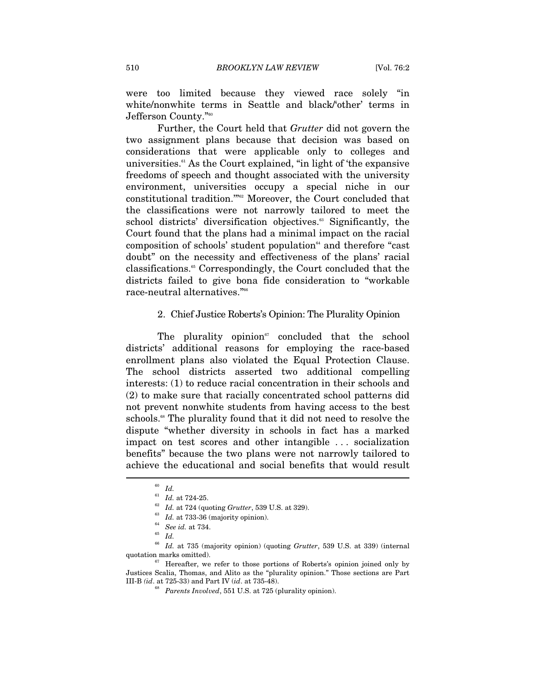were too limited because they viewed race solely "in white/nonwhite terms in Seattle and black/'other' terms in Jefferson County."60

Further, the Court held that *Grutter* did not govern the two assignment plans because that decision was based on considerations that were applicable only to colleges and universities.<sup>61</sup> As the Court explained, "in light of 'the expansive freedoms of speech and thought associated with the university environment, universities occupy a special niche in our constitutional tradition.'"62 Moreover, the Court concluded that the classifications were not narrowly tailored to meet the school districts' diversification objectives.<sup>63</sup> Significantly, the Court found that the plans had a minimal impact on the racial composition of schools' student population<sup>64</sup> and therefore "cast" doubt" on the necessity and effectiveness of the plans' racial classifications.65 Correspondingly, the Court concluded that the districts failed to give bona fide consideration to "workable race-neutral alternatives."66

#### 2. Chief Justice Roberts's Opinion: The Plurality Opinion

The plurality opinion $e^{i\pi}$  concluded that the school districts' additional reasons for employing the race-based enrollment plans also violated the Equal Protection Clause. The school districts asserted two additional compelling interests: (1) to reduce racial concentration in their schools and (2) to make sure that racially concentrated school patterns did not prevent nonwhite students from having access to the best schools.<sup>68</sup> The plurality found that it did not need to resolve the dispute "whether diversity in schools in fact has a marked impact on test scores and other intangible . . . socialization benefits" because the two plans were not narrowly tailored to achieve the educational and social benefits that would result  $\overline{\phantom{a}}$ 

<sup>66</sup> *Id.* at 735 (majority opinion) (quoting *Grutter*, 539 U.S. at 339) (internal quotation marks omitted).  $67$  Hereafter, we refer to those portions of Roberts's opinion joined only by

 $\begin{array}{cc} ^{60} \;\; Id. \\ ^{61} \;\; Id. \;\; \text{at} \; 724\text{-}25. \end{array}$ 

<sup>&</sup>lt;sup>62</sup> *Id.* at 724 (quoting *Grutter*, 539 U.S. at 329).<br>
<sup>63</sup> *Id.* at 733-36 (majority opinion).<br>
<sup>64</sup> *See id.* at 734.<br>
<sup>65</sup> *Id* 

Justices Scalia, Thomas, and Alito as the "plurality opinion." Those sections are Part III-B *(id*. at 725-33) and Part IV (*id*. at 735-48). 68 *Parents Involved*, 551 U.S. at 725 (plurality opinion).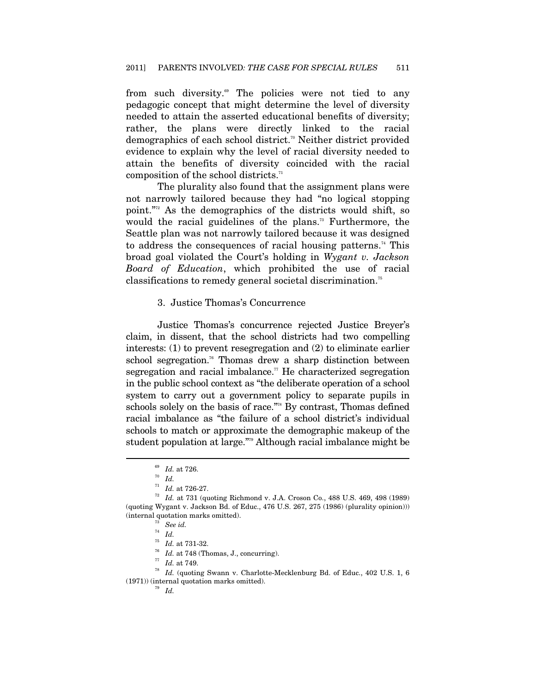from such diversity.<sup>69</sup> The policies were not tied to any pedagogic concept that might determine the level of diversity needed to attain the asserted educational benefits of diversity; rather, the plans were directly linked to the racial demographics of each school district.<sup>70</sup> Neither district provided evidence to explain why the level of racial diversity needed to attain the benefits of diversity coincided with the racial composition of the school districts.<sup>71</sup>

The plurality also found that the assignment plans were not narrowly tailored because they had "no logical stopping point."72 As the demographics of the districts would shift, so would the racial guidelines of the plans.<sup>73</sup> Furthermore, the Seattle plan was not narrowly tailored because it was designed to address the consequences of racial housing patterns.<sup>74</sup> This broad goal violated the Court's holding in *Wygant v. Jackson Board of Education*, which prohibited the use of racial classifications to remedy general societal discrimination.75

#### 3. Justice Thomas's Concurrence

Justice Thomas's concurrence rejected Justice Breyer's claim, in dissent, that the school districts had two compelling interests: (1) to prevent resegregation and (2) to eliminate earlier school segregation.<sup>76</sup> Thomas drew a sharp distinction between segregation and racial imbalance.<sup> $\pi$ </sup> He characterized segregation in the public school context as "the deliberate operation of a school system to carry out a government policy to separate pupils in schools solely on the basis of race."<sup>78</sup> By contrast, Thomas defined racial imbalance as "the failure of a school district's individual schools to match or approximate the demographic makeup of the student population at large."79 Although racial imbalance might be

<sup>&</sup>lt;sup>69</sup> *Id.* at 726.<br><sup>70</sup> *Id.*<br><sup>71</sup> *Id.* at 726-27.

 $^{72}$   $\,$   $Id.$  at 731 (quoting Richmond v. J.A. Croson Co., 488 U.S. 469, 498 (1989) (quoting Wygant v. Jackson Bd. of Educ., 476 U.S. 267, 275 (1986) (plurality opinion))) (internal quotation marks omitted).<br>
<sup>73</sup> See id.<br>
<sup>74</sup> Id.<br>
<sup>75</sup> Id. at 731-32.<br>
<sup>76</sup> Id. at 748 (Thomas, J., concurring).<br>
<sup>77</sup> Id. at 749.<br>
<sup>77</sup> Id. at 749.<br>
<sup>78</sup> Id. (quoting Swann v. Charlotte-Mecklenburg Bd. of Educ

<sup>(1971)) (</sup>internal quotation marks omitted). 79 *Id.*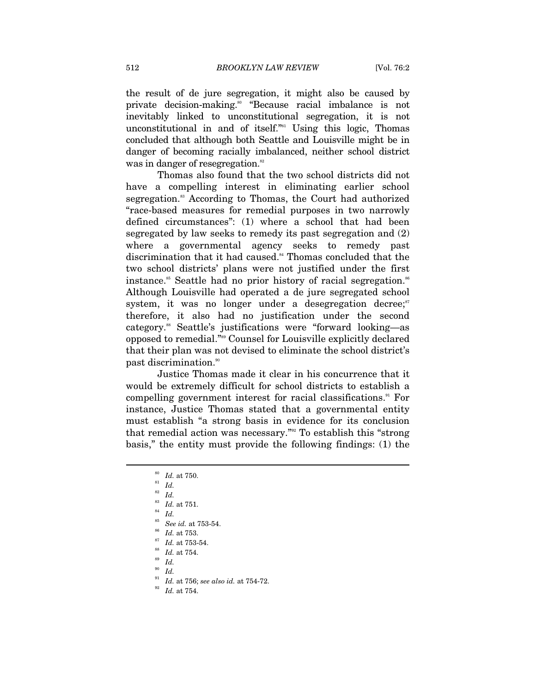the result of de jure segregation, it might also be caused by private decision-making.80 "Because racial imbalance is not inevitably linked to unconstitutional segregation, it is not unconstitutional in and of itself."<sup>81</sup> Using this logic, Thomas concluded that although both Seattle and Louisville might be in danger of becoming racially imbalanced, neither school district was in danger of resegregation.<sup>82</sup>

Thomas also found that the two school districts did not have a compelling interest in eliminating earlier school segregation.<sup>83</sup> According to Thomas, the Court had authorized "race-based measures for remedial purposes in two narrowly defined circumstances": (1) where a school that had been segregated by law seeks to remedy its past segregation and (2) where a governmental agency seeks to remedy past discrimination that it had caused.<sup>84</sup> Thomas concluded that the two school districts' plans were not justified under the first instance.<sup>85</sup> Seattle had no prior history of racial segregation.<sup>86</sup> Although Louisville had operated a de jure segregated school system, it was no longer under a desegregation decree; $s<sup>7</sup>$ therefore, it also had no justification under the second category.88 Seattle's justifications were "forward looking—as opposed to remedial."89 Counsel for Louisville explicitly declared that their plan was not devised to eliminate the school district's past discrimination.<sup>90</sup>

Justice Thomas made it clear in his concurrence that it would be extremely difficult for school districts to establish a compelling government interest for racial classifications.<sup>91</sup> For instance, Justice Thomas stated that a governmental entity must establish "a strong basis in evidence for its conclusion that remedial action was necessary."92 To establish this "strong basis," the entity must provide the following findings: (1) the

- 
- <sup>90</sup> *Id.*
- <sup>91</sup> *Id.* at 756; *see also id.* at 754-72. 92 *Id.* at 754.
- 

<sup>80</sup> *Id.* at 750. 81 *Id.*

<sup>82</sup> *Id.*

 $\begin{array}{c} \text{83} \\ \text{84} \\ \text{150} \\ \text{85} \\ \text{86} \\ \text{87} \\ \text{88} \\ \text{89} \\ \text{80} \\ \text{81} \\ \text{82} \\ \text{83} \\ \text{84} \\ \text{85} \\ \text{86} \\ \text{87} \\ \text{88} \\ \text{89} \\ \text{80} \\ \text{80} \\ \text{81} \\ \text{82} \\ \text{83} \\ \text{84} \\ \text{85} \\ \text{86} \\ \text{87} \\ \text{88} \\ \text{89} \\ \text{80} \\ \text$ 

<sup>85</sup> *See id.* at 753-54. 86 *Id.* at 753. 87 *Id.* at 753-54. 88 *Id.* at 754. 89 *Id.*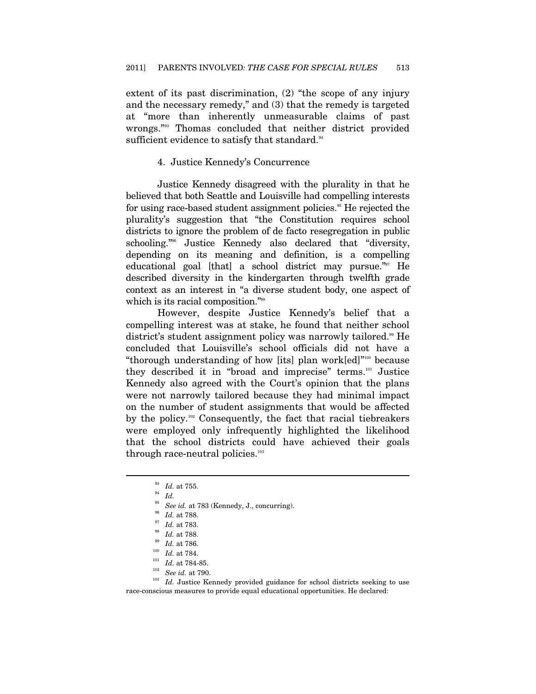extent of its past discrimination, (2) "the scope of any injury and the necessary remedy," and (3) that the remedy is targeted at "more than inherently unmeasurable claims of past wrongs."93 Thomas concluded that neither district provided sufficient evidence to satisfy that standard.<sup>94</sup>

#### 4. Justice Kennedy's Concurrence

Justice Kennedy disagreed with the plurality in that he believed that both Seattle and Louisville had compelling interests for using race-based student assignment policies.<sup>95</sup> He rejected the plurality's suggestion that "the Constitution requires school districts to ignore the problem of de facto resegregation in public schooling."96 Justice Kennedy also declared that "diversity, depending on its meaning and definition, is a compelling educational goal [that] a school district may pursue."<sup>97</sup> He described diversity in the kindergarten through twelfth grade context as an interest in "a diverse student body, one aspect of which is its racial composition."<sup>98</sup>

However, despite Justice Kennedy's belief that a compelling interest was at stake, he found that neither school district's student assignment policy was narrowly tailored.<sup>99</sup> He concluded that Louisville's school officials did not have a "thorough understanding of how [its] plan work[ed]"100 because they described it in "broad and imprecise" terms.101 Justice Kennedy also agreed with the Court's opinion that the plans were not narrowly tailored because they had minimal impact on the number of student assignments that would be affected by the policy.<sup>102</sup> Consequently, the fact that racial tiebreakers were employed only infrequently highlighted the likelihood that the school districts could have achieved their goals through race-neutral policies.<sup>103</sup>

 $\frac{93}{94}$  *Id.* at 755.<br> $\frac{94}{95}$  *Id.* 

<sup>&</sup>lt;sup>95</sup> See id. at 783 (Kennedy, J., concurring).<br>
<sup>96</sup> Id. at 788.<br>
<sup>97</sup> Id. at 788.<br>
<sup>99</sup> Id. at 788.<br>
<sup>99</sup> Id. at 788.<br>
<sup>99</sup> Id. at 788.<br>
<sup>100</sup> Id. at 784.<br>
<sup>101</sup> Id. at 784-85.<br>
<sup>102</sup> See id. at 790.<br>
<sup>102</sup> Id. Justice K race-conscious measures to provide equal educational opportunities. He declared: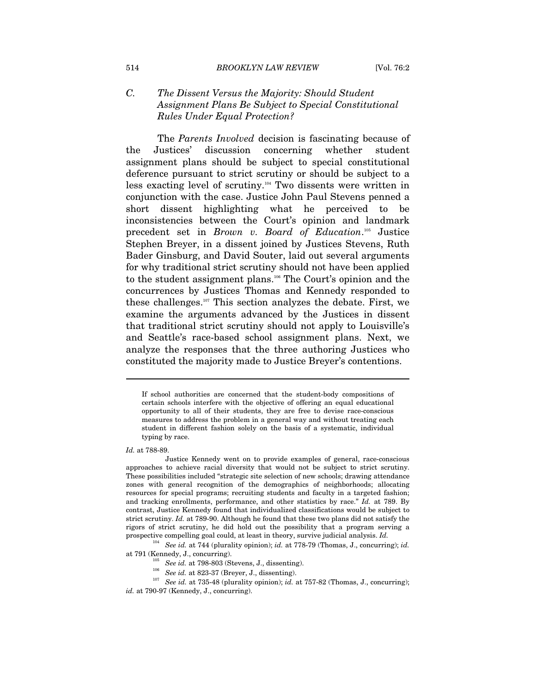## *C. The Dissent Versus the Majority: Should Student Assignment Plans Be Subject to Special Constitutional Rules Under Equal Protection?*

The *Parents Involved* decision is fascinating because of the Justices' discussion concerning whether student assignment plans should be subject to special constitutional deference pursuant to strict scrutiny or should be subject to a less exacting level of scrutiny.104 Two dissents were written in conjunction with the case. Justice John Paul Stevens penned a short dissent highlighting what he perceived to be inconsistencies between the Court's opinion and landmark precedent set in *Brown v. Board of Education*.<sup>105</sup> Justice Stephen Breyer, in a dissent joined by Justices Stevens, Ruth Bader Ginsburg, and David Souter, laid out several arguments for why traditional strict scrutiny should not have been applied to the student assignment plans.106 The Court's opinion and the concurrences by Justices Thomas and Kennedy responded to these challenges.107 This section analyzes the debate. First, we examine the arguments advanced by the Justices in dissent that traditional strict scrutiny should not apply to Louisville's and Seattle's race-based school assignment plans. Next, we analyze the responses that the three authoring Justices who constituted the majority made to Justice Breyer's contentions.

#### *Id.* at 788-89.

 $\overline{a}$ 

104 *See id.* at 744 (plurality opinion); *id.* at 778-79 (Thomas, J., concurring); *id.* at 791 (Kennedy, J., concurring).<br>
<sup>105</sup> See id. at 798-803 (Stevens, J., dissenting).<br>
<sup>106</sup> See id. at 823-37 (Breyer, J., dissenting).<br>
<sup>107</sup> See id. at 735-48 (plurality opinion); id. at 757-82 (Thomas, J., concurring

- 
- 

If school authorities are concerned that the student-body compositions of certain schools interfere with the objective of offering an equal educational opportunity to all of their students, they are free to devise race-conscious measures to address the problem in a general way and without treating each student in different fashion solely on the basis of a systematic, individual typing by race.

Justice Kennedy went on to provide examples of general, race-conscious approaches to achieve racial diversity that would not be subject to strict scrutiny. These possibilities included "strategic site selection of new schools; drawing attendance zones with general recognition of the demographics of neighborhoods; allocating resources for special programs; recruiting students and faculty in a targeted fashion; and tracking enrollments, performance, and other statistics by race." *Id.* at 789. By contrast, Justice Kennedy found that individualized classifications would be subject to strict scrutiny. *Id.* at 789-90. Although he found that these two plans did not satisfy the rigors of strict scrutiny, he did hold out the possibility that a program serving a prospective compelling goal could, at least in theory, survive judicial analysis. *Id.*

*id.* at 790-97 (Kennedy, J., concurring).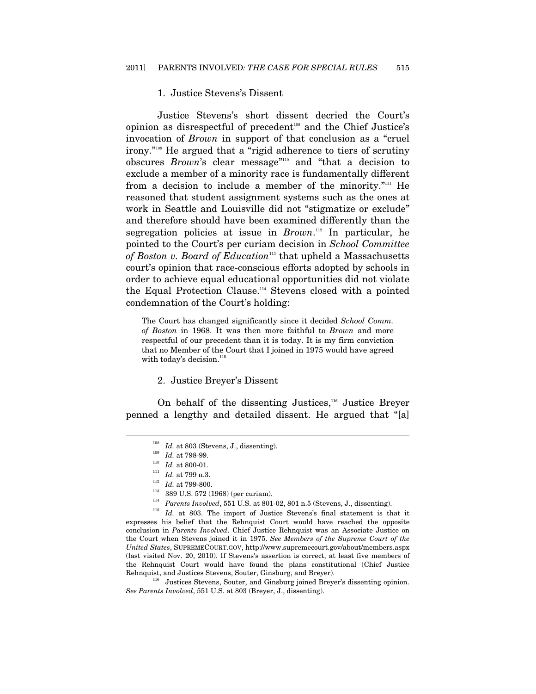#### 1. Justice Stevens's Dissent

Justice Stevens's short dissent decried the Court's opinion as disrespectful of precedent<sup>108</sup> and the Chief Justice's invocation of *Brown* in support of that conclusion as a "cruel irony."109 He argued that a "rigid adherence to tiers of scrutiny obscures *Brown*'s clear message"110 and "that a decision to exclude a member of a minority race is fundamentally different from a decision to include a member of the minority."<sup>111</sup> He reasoned that student assignment systems such as the ones at work in Seattle and Louisville did not "stigmatize or exclude" and therefore should have been examined differently than the segregation policies at issue in *Brown*. 112 In particular, he pointed to the Court's per curiam decision in *School Committee*  of Boston v. Board of Education<sup>113</sup> that upheld a Massachusetts court's opinion that race-conscious efforts adopted by schools in order to achieve equal educational opportunities did not violate the Equal Protection Clause.114 Stevens closed with a pointed condemnation of the Court's holding:

The Court has changed significantly since it decided *School Comm. of Boston* in 1968. It was then more faithful to *Brown* and more respectful of our precedent than it is today. It is my firm conviction that no Member of the Court that I joined in 1975 would have agreed with today's decision. $115$ 

#### 2. Justice Breyer's Dissent

On behalf of the dissenting Justices,<sup>116</sup> Justice Breyer penned a lengthy and detailed dissent. He argued that "[a]

 $\overline{a}$ 

<sup>108</sup> *Id.* at 803 (Stevens, J., dissenting).<br>
<sup>109</sup> *Id.* at 798-99.<br>
<sup>110</sup> *Id.* at 800-01.<br>
<sup>111</sup> *Id.* at 799 n.3.<br>
<sup>112</sup> *Id.* at 799-800.<br>
<sup>113</sup> 389 U.S. 572 (1968) (per curiam).<br>
<sup>114</sup> *Parents Involved*, 551 U.S. expresses his belief that the Rehnquist Court would have reached the opposite conclusion in *Parents Involved*. Chief Justice Rehnquist was an Associate Justice on the Court when Stevens joined it in 1975. *See Members of the Supreme Court of the United States*, SUPREMECOURT.GOV, http://www.supremecourt.gov/about/members.aspx (last visited Nov. 20, 2010). If Stevens's assertion is correct, at least five members of the Rehnquist Court would have found the plans constitutional (Chief Justice

<sup>116</sup> Justices Stevens, Souter, and Ginsburg joined Breyer's dissenting opinion. *See Parents Involved*, 551 U.S. at 803 (Breyer, J., dissenting).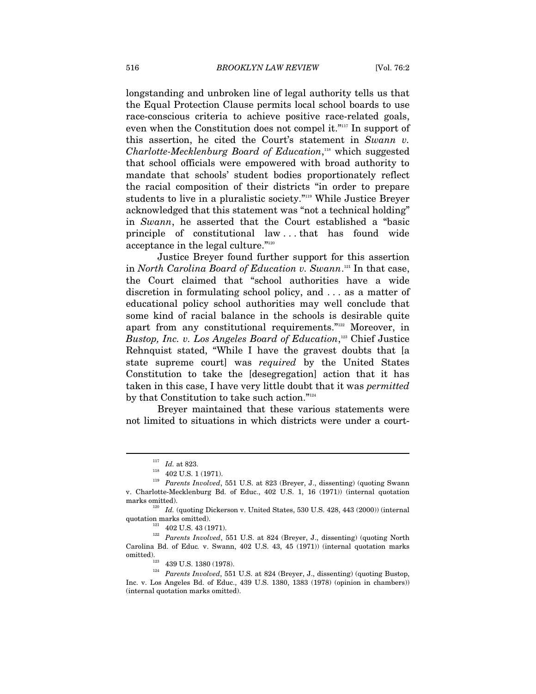longstanding and unbroken line of legal authority tells us that the Equal Protection Clause permits local school boards to use race-conscious criteria to achieve positive race-related goals, even when the Constitution does not compel it."<sup>117</sup> In support of this assertion, he cited the Court's statement in *Swann v. Charlotte-Mecklenburg Board of Education*, 118 which suggested that school officials were empowered with broad authority to mandate that schools' student bodies proportionately reflect the racial composition of their districts "in order to prepare students to live in a pluralistic society."119 While Justice Breyer acknowledged that this statement was "not a technical holding" in *Swann*, he asserted that the Court established a "basic principle of constitutional law . . . that has found wide acceptance in the legal culture."<sup>120</sup>

Justice Breyer found further support for this assertion in *North Carolina Board of Education v. Swann*. 121 In that case, the Court claimed that "school authorities have a wide discretion in formulating school policy, and . . . as a matter of educational policy school authorities may well conclude that some kind of racial balance in the schools is desirable quite apart from any constitutional requirements."<sup>122</sup> Moreover, in *Bustop, Inc. v. Los Angeles Board of Education*, 123 Chief Justice Rehnquist stated, "While I have the gravest doubts that [a state supreme court] was *required* by the United States Constitution to take the [desegregation] action that it has taken in this case, I have very little doubt that it was *permitted* by that Constitution to take such action."<sup>124</sup>

Breyer maintained that these various statements were not limited to situations in which districts were under a court-

<sup>&</sup>lt;sup>117</sup> *Id.* at 823.<br><sup>118</sup> 402 U.S. 1 (1971).<br><sup>119</sup> *Parents Involved*, 551 U.S. at 823 (Breyer, J., dissenting) (quoting Swann v. Charlotte-Mecklenburg Bd. of Educ., 402 U.S. 1, 16 (1971)) (internal quotation marks omitted).  $I\!d.$  (quoting Dickerson v. United States, 530 U.S. 428, 443 (2000)) (internal

quotation marks omitted). 1<sup>21</sup> 402 U.S. 43 (1971). 122<sup>2</sup> *Parents Involved*, 551 U.S. at 824 (Breyer, J., dissenting) (quoting North Carolina Bd. of Educ*.* v. Swann, 402 U.S. 43, 45 (1971)) (internal quotation marks omitted). 123 439 U.S. 1380 (1978). 124 *Parents Involved*, 551 U.S. at 824 (Breyer, J., dissenting) (quoting Bustop,

Inc. v. Los Angeles Bd. of Educ., 439 U.S. 1380, 1383 (1978) (opinion in chambers)) (internal quotation marks omitted).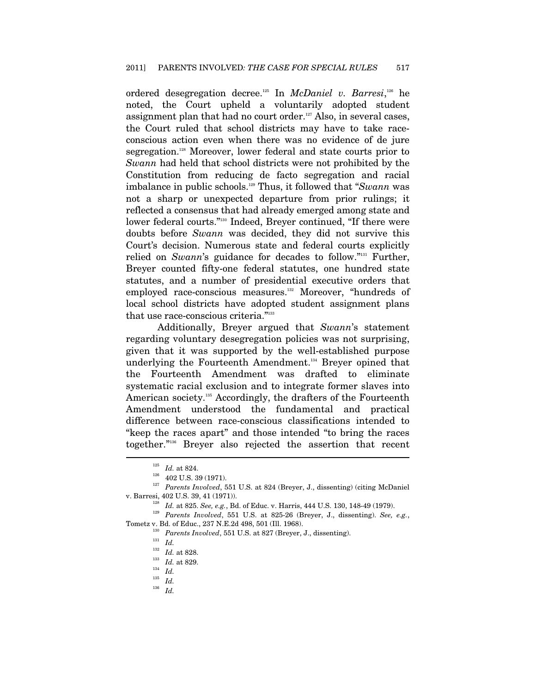ordered desegregation decree.125 In *McDaniel v. Barresi*, 126 he noted, the Court upheld a voluntarily adopted student assignment plan that had no court order.<sup>127</sup> Also, in several cases, the Court ruled that school districts may have to take raceconscious action even when there was no evidence of de jure segregation.<sup>128</sup> Moreover, lower federal and state courts prior to *Swann* had held that school districts were not prohibited by the Constitution from reducing de facto segregation and racial imbalance in public schools.129 Thus, it followed that "*Swann* was not a sharp or unexpected departure from prior rulings; it reflected a consensus that had already emerged among state and lower federal courts."130 Indeed, Breyer continued, "If there were doubts before *Swann* was decided, they did not survive this Court's decision. Numerous state and federal courts explicitly relied on *Swann*'s guidance for decades to follow."<sup>131</sup> Further, Breyer counted fifty-one federal statutes, one hundred state statutes, and a number of presidential executive orders that employed race-conscious measures.<sup>132</sup> Moreover, "hundreds of local school districts have adopted student assignment plans that use race-conscious criteria."<sup>133</sup>

Additionally, Breyer argued that *Swann*'s statement regarding voluntary desegregation policies was not surprising, given that it was supported by the well-established purpose underlying the Fourteenth Amendment.134 Breyer opined that the Fourteenth Amendment was drafted to eliminate systematic racial exclusion and to integrate former slaves into American society.<sup>135</sup> Accordingly, the drafters of the Fourteenth Amendment understood the fundamental and practical difference between race-conscious classifications intended to "keep the races apart" and those intended "to bring the races together."136 Breyer also rejected the assertion that recent

<sup>136</sup> *Id.*

<sup>125</sup> *Id.* at 824. 126 402 U.S. 39 (1971). 127 *Parents Involved*, 551 U.S. at 824 (Breyer, J., dissenting) (citing McDaniel v. Barresi, 402 U.S. 39, 41 (1971)). 128 *Id.* at 825. *See, e.g.*, Bd. of Educ. v. Harris, 444 U.S. 130, 148-49 (1979). 129 *Parents Involved*, 551 U.S. at 825-26 (Breyer, J., dissenting). *See, e.g.*,

Tometz v. Bd. of Educ., 237 N.E.2d 498, 501 (Ill. 1968).<br><sup>130</sup> *Parents Involved*, 551 U.S. at 827 (Breyer, J., dissenting).<br><sup>131</sup> *Id. 132 Id.* at 828.

<sup>132</sup> *Id.* at 828. 133 *Id.* at 829. 134 *Id.*

 $\frac{135}{136}$  *Id.*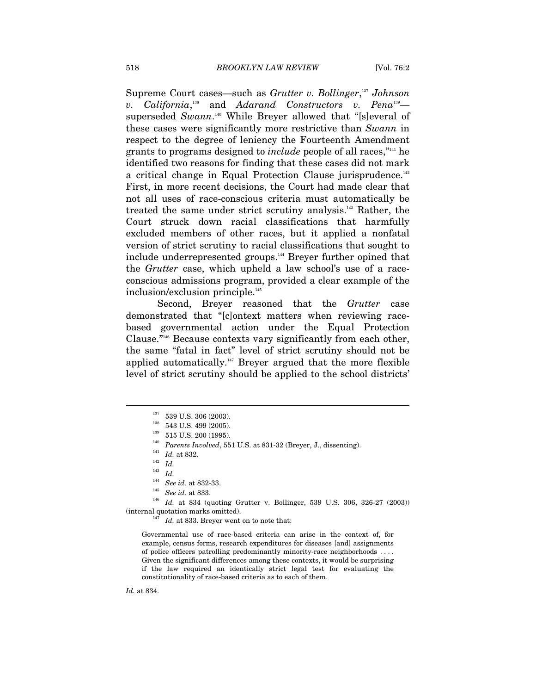Supreme Court cases—such as *Grutter v. Bollinger*, <sup>137</sup> *Johnson v. California*, 138 and *Adarand Constructors v. Pena*139 superseded *Swann*. 140 While Breyer allowed that "[s]everal of these cases were significantly more restrictive than *Swann* in respect to the degree of leniency the Fourteenth Amendment grants to programs designed to *include* people of all races,"141 he identified two reasons for finding that these cases did not mark a critical change in Equal Protection Clause jurisprudence.<sup>142</sup> First, in more recent decisions, the Court had made clear that not all uses of race-conscious criteria must automatically be treated the same under strict scrutiny analysis.<sup>143</sup> Rather, the Court struck down racial classifications that harmfully excluded members of other races, but it applied a nonfatal version of strict scrutiny to racial classifications that sought to include underrepresented groups.<sup>144</sup> Breyer further opined that the *Grutter* case, which upheld a law school's use of a raceconscious admissions program, provided a clear example of the inclusion/exclusion principle.<sup>145</sup>

Second, Breyer reasoned that the *Grutter* case demonstrated that "[c]ontext matters when reviewing racebased governmental action under the Equal Protection Clause."146 Because contexts vary significantly from each other, the same "fatal in fact" level of strict scrutiny should not be applied automatically.<sup>147</sup> Breyer argued that the more flexible level of strict scrutiny should be applied to the school districts'

 $\overline{a}$ 

<sup>144</sup> *See id.* at 832-33. 145 *See id.* at 833. 146 *Id.* at 834 (quoting Grutter v. Bollinger, 539 U.S. 306, 326-27 (2003)) (internal quotation marks omitted).<br><sup>147</sup> *Id.* at 833. Breyer went on to note that:

Governmental use of race-based criteria can arise in the context of, for example, census forms, research expenditures for diseases [and] assignments of police officers patrolling predominantly minority-race neighborhoods . . . . Given the significant differences among these contexts, it would be surprising if the law required an identically strict legal test for evaluating the constitutionality of race-based criteria as to each of them.

*Id.* at 834.

<sup>137 539</sup> U.S. 306 (2003).<br>
<sup>138</sup> 543 U.S. 499 (2005).<br>
<sup>139</sup> 515 U.S. 200 (1995).<br> *Parents Involved*, 551 U.S. at 831-32 (Breyer, J., dissenting).<br> *141 Id.* at 832.<br>
<sup>143</sup> *Id. Id.* 144<sup>1</sup>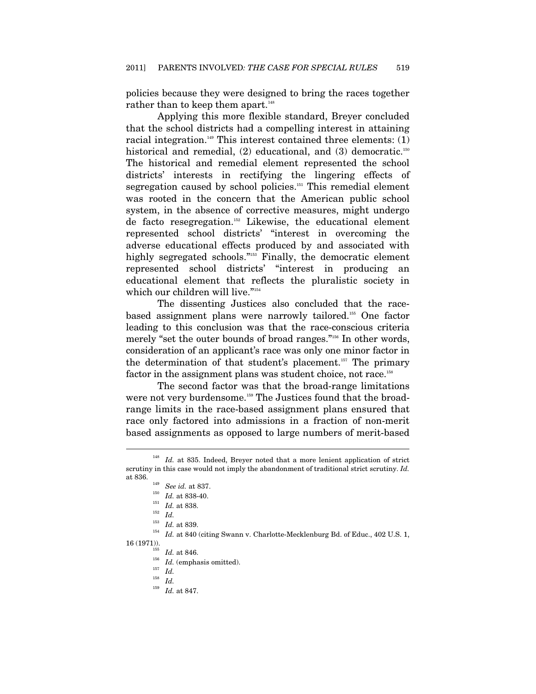policies because they were designed to bring the races together rather than to keep them apart.<sup>148</sup>

Applying this more flexible standard, Breyer concluded that the school districts had a compelling interest in attaining racial integration.<sup>149</sup> This interest contained three elements:  $(1)$ historical and remedial,  $(2)$  educational, and  $(3)$  democratic.<sup>150</sup> The historical and remedial element represented the school districts' interests in rectifying the lingering effects of segregation caused by school policies.<sup>151</sup> This remedial element was rooted in the concern that the American public school system, in the absence of corrective measures, might undergo de facto resegregation.152 Likewise, the educational element represented school districts' "interest in overcoming the adverse educational effects produced by and associated with highly segregated schools."<sup>153</sup> Finally, the democratic element represented school districts' "interest in producing an educational element that reflects the pluralistic society in which our children will live."154

The dissenting Justices also concluded that the racebased assignment plans were narrowly tailored.<sup>155</sup> One factor leading to this conclusion was that the race-conscious criteria merely "set the outer bounds of broad ranges."<sup>156</sup> In other words, consideration of an applicant's race was only one minor factor in the determination of that student's placement.<sup>157</sup> The primary factor in the assignment plans was student choice, not race.<sup>158</sup>

The second factor was that the broad-range limitations were not very burdensome.<sup>159</sup> The Justices found that the broadrange limits in the race-based assignment plans ensured that race only factored into admissions in a fraction of non-merit based assignments as opposed to large numbers of merit-based

 $\overline{a}$ 

 $^{159}$  *Id.* at 847.

<sup>&</sup>lt;sup>148</sup> *Id.* at 835. Indeed, Breyer noted that a more lenient application of strict scrutiny in this case would not imply the abandonment of traditional strict scrutiny. *Id.* at 836. 149 *See id.* at 837. 150 *Id.* at 838-40. 151 *Id.* at 838. 152 *Id.*

 $^{153}$   $\,$   $Id.$  at 839.  $^{154}$   $\,$   $Id.$  at 840 (citing Swann v. Charlotte-Mecklenburg Bd. of Educ., 402 U.S. 1,

<sup>16 (1971)).&</sup>lt;br>
<sup>155</sup> *Id.* at 846.<br>
<sup>156</sup> *Id.* (emphasis omitted).<br>
<sup>157</sup> *Id.*<br>
<sup>158</sup> *Id.*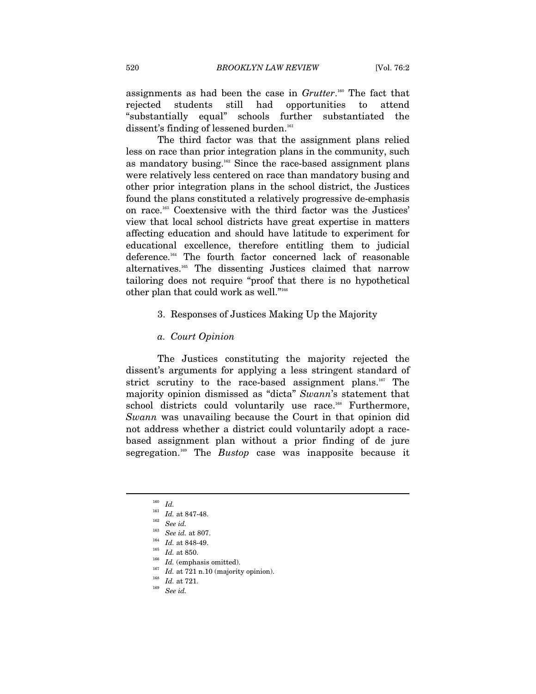assignments as had been the case in *Grutter*. 160 The fact that rejected students still had opportunities to attend "substantially equal" schools further substantiated the dissent's finding of lessened burden.<sup>161</sup>

The third factor was that the assignment plans relied less on race than prior integration plans in the community, such as mandatory busing.<sup>162</sup> Since the race-based assignment plans were relatively less centered on race than mandatory busing and other prior integration plans in the school district, the Justices found the plans constituted a relatively progressive de-emphasis on race.163 Coextensive with the third factor was the Justices' view that local school districts have great expertise in matters affecting education and should have latitude to experiment for educational excellence, therefore entitling them to judicial deference.164 The fourth factor concerned lack of reasonable alternatives.165 The dissenting Justices claimed that narrow tailoring does not require "proof that there is no hypothetical other plan that could work as well."166

#### 3. Responses of Justices Making Up the Majority

#### *a. Court Opinion*

The Justices constituting the majority rejected the dissent's arguments for applying a less stringent standard of strict scrutiny to the race-based assignment plans.<sup>167</sup> The majority opinion dismissed as "dicta" *Swann*'s statement that school districts could voluntarily use race.<sup>168</sup> Furthermore, *Swann* was unavailing because the Court in that opinion did not address whether a district could voluntarily adopt a racebased assignment plan without a prior finding of de jure segregation.169 The *Bustop* case was inapposite because it

 $160 \;$   $Id.$   $161 \;$   $Id.$  at 847-48.

<sup>&</sup>lt;sup>162</sup> See id.<br>
<sup>163</sup> See id. at 807.<br>
<sup>164</sup> Id. at 848-49.<br>
<sup>165</sup> Id. at 850.<br>
<sup>166</sup> Id. (emphasis omitted).<br>
<sup>167</sup> Id. at 721 n.10 (majority opinion).<br>
<sup>168</sup> Id. at 721.<br>
See id.<br>
<sup>169</sup> See id.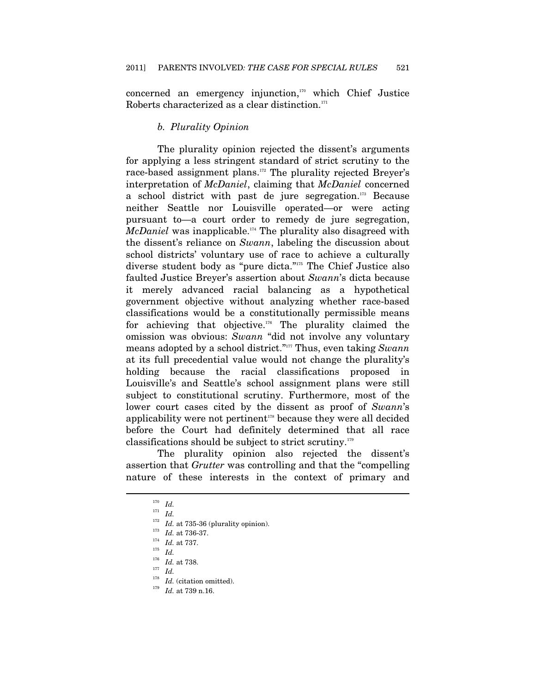concerned an emergency injunction, $170$  which Chief Justice Roberts characterized as a clear distinction. $171$ 

#### *b. Plurality Opinion*

The plurality opinion rejected the dissent's arguments for applying a less stringent standard of strict scrutiny to the race-based assignment plans.172 The plurality rejected Breyer's interpretation of *McDaniel*, claiming that *McDaniel* concerned a school district with past de jure segregation.173 Because neither Seattle nor Louisville operated—or were acting pursuant to—a court order to remedy de jure segregation, *McDaniel* was inapplicable.174 The plurality also disagreed with the dissent's reliance on *Swann*, labeling the discussion about school districts' voluntary use of race to achieve a culturally diverse student body as "pure dicta."175 The Chief Justice also faulted Justice Breyer's assertion about *Swann*'s dicta because it merely advanced racial balancing as a hypothetical government objective without analyzing whether race-based classifications would be a constitutionally permissible means for achieving that objective.<sup>176</sup> The plurality claimed the omission was obvious: *Swann* "did not involve any voluntary means adopted by a school district."177 Thus, even taking *Swann* at its full precedential value would not change the plurality's holding because the racial classifications proposed in Louisville's and Seattle's school assignment plans were still subject to constitutional scrutiny. Furthermore, most of the lower court cases cited by the dissent as proof of *Swann*'s applicability were not pertinent<sup>178</sup> because they were all decided before the Court had definitely determined that all race classifications should be subject to strict scrutiny.179

The plurality opinion also rejected the dissent's assertion that *Grutter* was controlling and that the "compelling nature of these interests in the context of primary and

<sup>170</sup> *Id.*

 $\frac{171}{172}$  *Id.* 

<sup>172</sup> *Id.* at 735-36 (plurality opinion). 173 *Id.* at 736-37. 174 *Id.* at 737. 175 *Id.* 176 *Id.* at 738. 177 *Id.*

<sup>178</sup> *Id.* (citation omitted). 179 *Id.* at 739 n.16.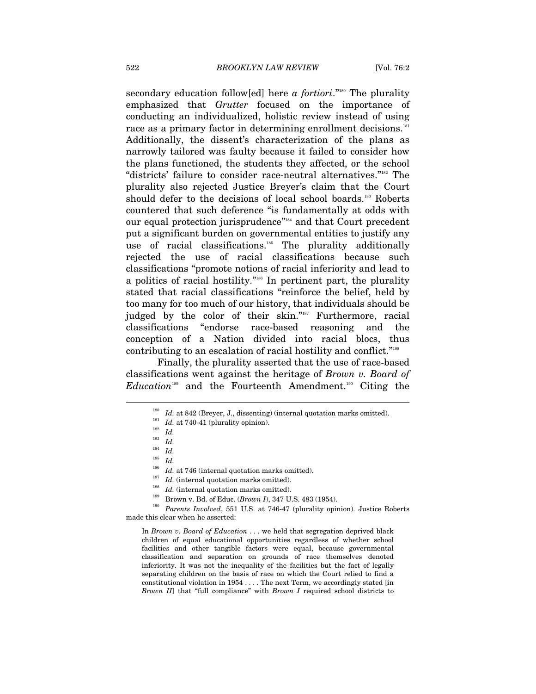secondary education follow[ed] here *a fortiori*."<sup>180</sup> The plurality emphasized that *Grutter* focused on the importance of conducting an individualized, holistic review instead of using race as a primary factor in determining enrollment decisions.<sup>181</sup> Additionally, the dissent's characterization of the plans as narrowly tailored was faulty because it failed to consider how the plans functioned, the students they affected, or the school "districts' failure to consider race-neutral alternatives."182 The plurality also rejected Justice Breyer's claim that the Court should defer to the decisions of local school boards.<sup>183</sup> Roberts countered that such deference "is fundamentally at odds with our equal protection jurisprudence"<sup>184</sup> and that Court precedent put a significant burden on governmental entities to justify any use of racial classifications.<sup>185</sup> The plurality additionally rejected the use of racial classifications because such classifications "promote notions of racial inferiority and lead to a politics of racial hostility."186 In pertinent part, the plurality stated that racial classifications "reinforce the belief, held by too many for too much of our history, that individuals should be judged by the color of their skin."<sup>187</sup> Furthermore, racial classifications "endorse race-based reasoning and the conception of a Nation divided into racial blocs, thus contributing to an escalation of racial hostility and conflict."188

Finally, the plurality asserted that the use of race-based classifications went against the heritage of *Brown v. Board of Education*189 and the Fourteenth Amendment.190 Citing the

 $\overline{a}$ 

In *Brown v. Board of Education* . . . we held that segregation deprived black children of equal educational opportunities regardless of whether school facilities and other tangible factors were equal, because governmental classification and separation on grounds of race themselves denoted inferiority. It was not the inequality of the facilities but the fact of legally separating children on the basis of race on which the Court relied to find a constitutional violation in 1954 . . . . The next Term, we accordingly stated [in *Brown II*] that "full compliance" with *Brown I* required school districts to

<sup>&</sup>lt;sup>180</sup> *Id.* at 842 (Breyer, J., dissenting) (internal quotation marks omitted).<br><sup>181</sup> *Id.* at 740-41 (plurality opinion).<br><sup>182</sup> *Id.*<br><sup>185</sup> *Id.*<br><sup>186</sup> *Id.*<br><sup>186</sup> *Id. Id.* (internal quotation marks omitted).<br><sup>187</sup> *I* made this clear when he asserted: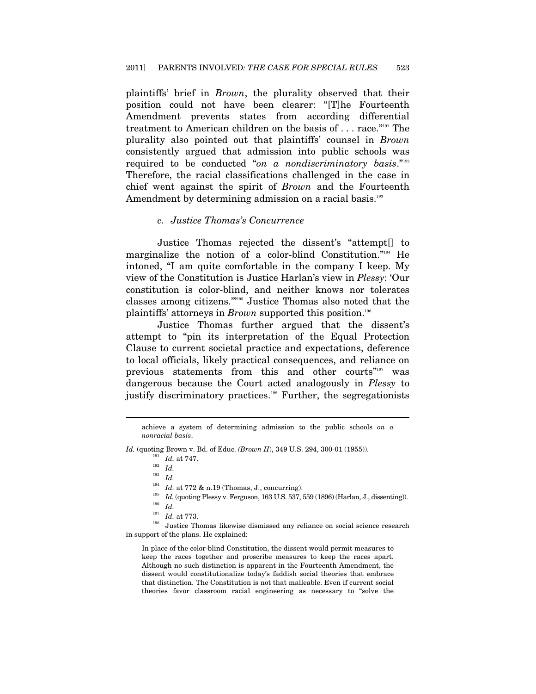plaintiffs' brief in *Brown*, the plurality observed that their position could not have been clearer: "[T]he Fourteenth Amendment prevents states from according differential treatment to American children on the basis of . . . race."191 The plurality also pointed out that plaintiffs' counsel in *Brown* consistently argued that admission into public schools was required to be conducted "*on a nondiscriminatory basis*."192 Therefore, the racial classifications challenged in the case in chief went against the spirit of *Brown* and the Fourteenth Amendment by determining admission on a racial basis.<sup>193</sup>

#### *c. Justice Thomas's Concurrence*

Justice Thomas rejected the dissent's "attempt[] to marginalize the notion of a color-blind Constitution."<sup>194</sup> He intoned, "I am quite comfortable in the company I keep. My view of the Constitution is Justice Harlan's view in *Plessy*: 'Our constitution is color-blind, and neither knows nor tolerates classes among citizens.'"195 Justice Thomas also noted that the plaintiffs' attorneys in *Brown* supported this position.196

Justice Thomas further argued that the dissent's attempt to "pin its interpretation of the Equal Protection Clause to current societal practice and expectations, deference to local officials, likely practical consequences, and reliance on previous statements from this and other courts"<sup>197</sup> was dangerous because the Court acted analogously in *Plessy* to justify discriminatory practices.<sup>198</sup> Further, the segregationists

 $\overline{a}$ 

in support of the plans. He explained:

In place of the color-blind Constitution, the dissent would permit measures to keep the races together and proscribe measures to keep the races apart. Although no such distinction is apparent in the Fourteenth Amendment, the dissent would constitutionalize today's faddish social theories that embrace that distinction. The Constitution is not that malleable. Even if current social theories favor classroom racial engineering as necessary to "solve the

achieve a system of determining admission to the public schools *on a nonracial basis*.

*Id.* (quoting Brown v. Bd. of Educ. (*Brown II*), 349 U.S. 294, 300-01 (1955)).<br> *Id.* at 747.<br>
<sup>192</sup> *Id.*<br> *Id.*<br>
<sup>193</sup> *Id.*<br> *Id.* at 772 & n.19 (Thomas, J., concurring).<br>
<sup>195</sup> *Id.* (quoting Plessy v. Ferguson, 163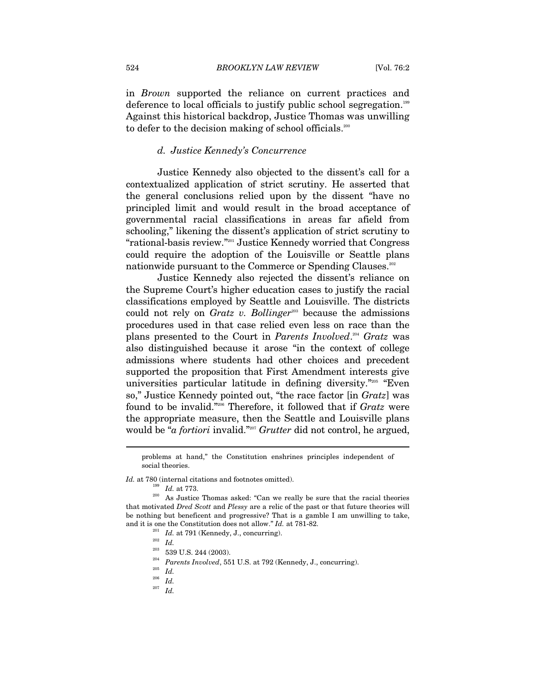in *Brown* supported the reliance on current practices and deference to local officials to justify public school segregation.199 Against this historical backdrop, Justice Thomas was unwilling to defer to the decision making of school officials.<sup>200</sup>

#### *d. Justice Kennedy's Concurrence*

Justice Kennedy also objected to the dissent's call for a contextualized application of strict scrutiny. He asserted that the general conclusions relied upon by the dissent "have no principled limit and would result in the broad acceptance of governmental racial classifications in areas far afield from schooling," likening the dissent's application of strict scrutiny to "rational-basis review."201 Justice Kennedy worried that Congress could require the adoption of the Louisville or Seattle plans nationwide pursuant to the Commerce or Spending Clauses.<sup>202</sup>

Justice Kennedy also rejected the dissent's reliance on the Supreme Court's higher education cases to justify the racial classifications employed by Seattle and Louisville. The districts could not rely on *Gratz v. Bollinger*<sup>203</sup> because the admissions procedures used in that case relied even less on race than the plans presented to the Court in *Parents Involved*. <sup>204</sup> *Gratz* was also distinguished because it arose "in the context of college admissions where students had other choices and precedent supported the proposition that First Amendment interests give universities particular latitude in defining diversity."205 "Even so," Justice Kennedy pointed out, "the race factor [in *Gratz*] was found to be invalid."206 Therefore, it followed that if *Gratz* were the appropriate measure, then the Seattle and Louisville plans would be "*a fortiori* invalid."207 *Grutter* did not control, he argued,

problems at hand," the Constitution enshrines principles independent of social theories.

 $Id.$  at 780 (internal citations and footnotes omitted).  $Id.$  at 773. As Justice Thomas asked: "Can we really be sure that the racial theories that motivated *Dred Scott* and *Plessy* are a relic of the past or that future theories will be nothing but beneficent and progressive? That is a gamble I am unwilling to take, and it is one the Constitution does not allow." Id. at 781-82.<br>
<sup>201</sup> Id. at 791 (Kennedy, J., concurring).<br>
<sup>202</sup> Id.<br>
<sup>203</sup> 539 U.S. 244 (2003).<br>
<sup>204</sup> Farents Involved, 551 U.S. at 792 (Kennedy, J., concurring).<br>
<sup>205</sup>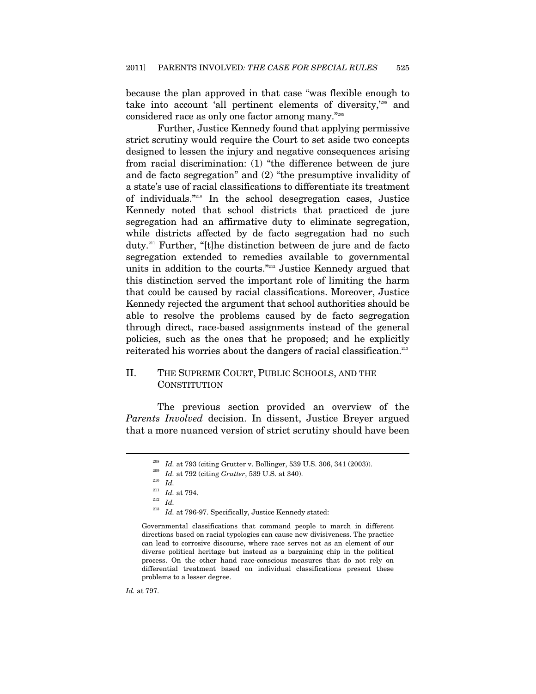because the plan approved in that case "was flexible enough to take into account 'all pertinent elements of diversity,'208 and considered race as only one factor among many."209

Further, Justice Kennedy found that applying permissive strict scrutiny would require the Court to set aside two concepts designed to lessen the injury and negative consequences arising from racial discrimination: (1) "the difference between de jure and de facto segregation" and (2) "the presumptive invalidity of a state's use of racial classifications to differentiate its treatment of individuals."210 In the school desegregation cases, Justice Kennedy noted that school districts that practiced de jure segregation had an affirmative duty to eliminate segregation, while districts affected by de facto segregation had no such duty.211 Further, "[t]he distinction between de jure and de facto segregation extended to remedies available to governmental units in addition to the courts."212 Justice Kennedy argued that this distinction served the important role of limiting the harm that could be caused by racial classifications. Moreover, Justice Kennedy rejected the argument that school authorities should be able to resolve the problems caused by de facto segregation through direct, race-based assignments instead of the general policies, such as the ones that he proposed; and he explicitly reiterated his worries about the dangers of racial classification.<sup>213</sup>

#### II. THE SUPREME COURT, PUBLIC SCHOOLS, AND THE **CONSTITUTION**

The previous section provided an overview of the *Parents Involved* decision. In dissent, Justice Breyer argued that a more nuanced version of strict scrutiny should have been

*Id.* at 797.

<sup>&</sup>lt;sup>208</sup> *Id.* at 793 (citing Grutter v. Bollinger, 539 U.S. 306, 341 (2003)).<br><sup>209</sup> *Id.* at 792 (citing Grutter, 539 U.S. at 340).<br><sup>210</sup> *Id. Id.* at 794.<br><sup>212</sup> *Id.* at 796-97. Specifically, Justice Kennedy stated:<br><sup>213</sup>

Governmental classifications that command people to march in different directions based on racial typologies can cause new divisiveness. The practice can lead to corrosive discourse, where race serves not as an element of our diverse political heritage but instead as a bargaining chip in the political process. On the other hand race-conscious measures that do not rely on differential treatment based on individual classifications present these problems to a lesser degree.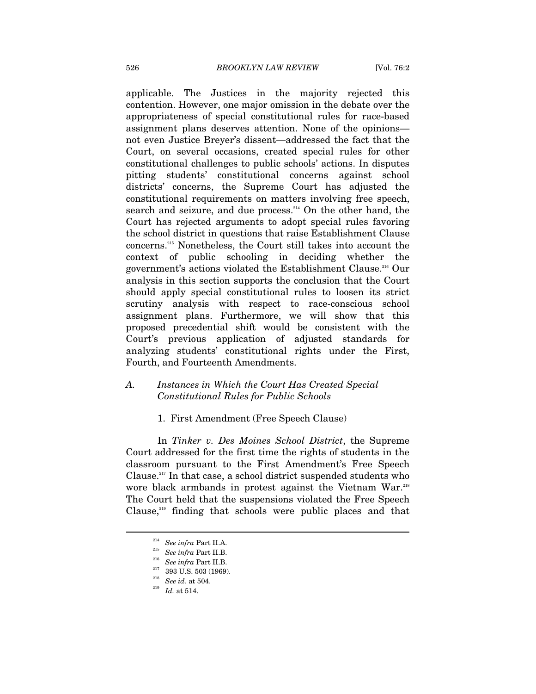applicable. The Justices in the majority rejected this contention. However, one major omission in the debate over the appropriateness of special constitutional rules for race-based assignment plans deserves attention. None of the opinions not even Justice Breyer's dissent—addressed the fact that the Court, on several occasions, created special rules for other constitutional challenges to public schools' actions. In disputes pitting students' constitutional concerns against school districts' concerns, the Supreme Court has adjusted the constitutional requirements on matters involving free speech, search and seizure, and due process.<sup>214</sup> On the other hand, the Court has rejected arguments to adopt special rules favoring the school district in questions that raise Establishment Clause concerns.215 Nonetheless, the Court still takes into account the context of public schooling in deciding whether the government's actions violated the Establishment Clause.216 Our analysis in this section supports the conclusion that the Court should apply special constitutional rules to loosen its strict scrutiny analysis with respect to race-conscious school assignment plans. Furthermore, we will show that this proposed precedential shift would be consistent with the Court's previous application of adjusted standards for analyzing students' constitutional rights under the First, Fourth, and Fourteenth Amendments.

#### *A. Instances in Which the Court Has Created Special Constitutional Rules for Public Schools*

#### 1. First Amendment (Free Speech Clause)

In *Tinker v. Des Moines School District*, the Supreme Court addressed for the first time the rights of students in the classroom pursuant to the First Amendment's Free Speech Clause.<sup>217</sup> In that case, a school district suspended students who wore black armbands in protest against the Vietnam War.<sup>218</sup> The Court held that the suspensions violated the Free Speech Clause, $219$  finding that schools were public places and that

<sup>214</sup>*See infra* Part II.A. 215 *See infra* Part II.B. 216 *See infra* Part II.B. 217 393 U.S. 503 (1969). 218 *See id.* at 504. 219 *Id.* at 514.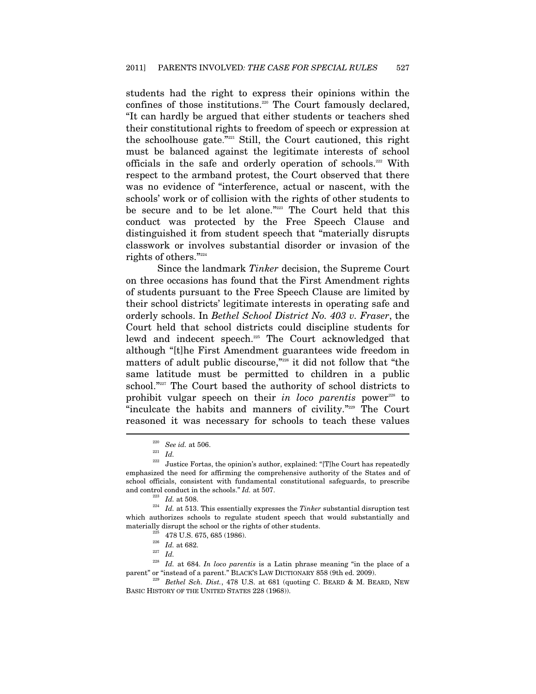students had the right to express their opinions within the confines of those institutions.<sup>220</sup> The Court famously declared, "It can hardly be argued that either students or teachers shed their constitutional rights to freedom of speech or expression at the schoolhouse gate." <sup>221</sup> Still, the Court cautioned, this right must be balanced against the legitimate interests of school officials in the safe and orderly operation of schools.222 With respect to the armband protest, the Court observed that there was no evidence of "interference, actual or nascent, with the schools' work or of collision with the rights of other students to be secure and to be let alone."223 The Court held that this conduct was protected by the Free Speech Clause and distinguished it from student speech that "materially disrupts classwork or involves substantial disorder or invasion of the rights of others."224

Since the landmark *Tinker* decision, the Supreme Court on three occasions has found that the First Amendment rights of students pursuant to the Free Speech Clause are limited by their school districts' legitimate interests in operating safe and orderly schools. In *Bethel School District No. 403 v. Fraser*, the Court held that school districts could discipline students for lewd and indecent speech.<sup>225</sup> The Court acknowledged that although "[t]he First Amendment guarantees wide freedom in matters of adult public discourse,"<sup>226</sup> it did not follow that "the same latitude must be permitted to children in a public school."<sup>227</sup> The Court based the authority of school districts to prohibit vulgar speech on their *in loco parentis* power<sup>228</sup> to "inculcate the habits and manners of civility."229 The Court reasoned it was necessary for schools to teach these values  $\overline{a}$ 

<sup>&</sup>lt;sup>220</sup> See id. at 506.<br><sup>221</sup> *Id.* 222 Justice Fortas, the opinion's author, explained: "[T]he Court has repeatedly emphasized the need for affirming the comprehensive authority of the States and of school officials, consistent with fundamental constitutional safeguards, to prescribe and control conduct in the schools." *Id.* at 507.<br> $\frac{223}{H}$ . at 508.

 $^{224}$   $\,$   $Id.$  at 513. This essentially expresses the  $Tinker$  substantial disruption test which authorizes schools to regulate student speech that would substantially and materially disrupt the school or the rights of other students.<br><sup>225</sup> 478 U.S. 675, 685 (1986).<br><sup>226</sup> *Id.* at 682.<br>*Id.* 

<sup>&</sup>lt;sup>228</sup> *Id.* at 684. *In loco parentis* is a Latin phrase meaning "in the place of a parent" or "instead of a parent." BLACK'S LAW DICTIONARY 858 (9th ed. 2009).

<sup>&</sup>lt;sup>229</sup> Bethel Sch. Dist., 478 U.S. at 681 (quoting C. BEARD & M. BEARD, NEW BASIC HISTORY OF THE UNITED STATES 228 (1968)).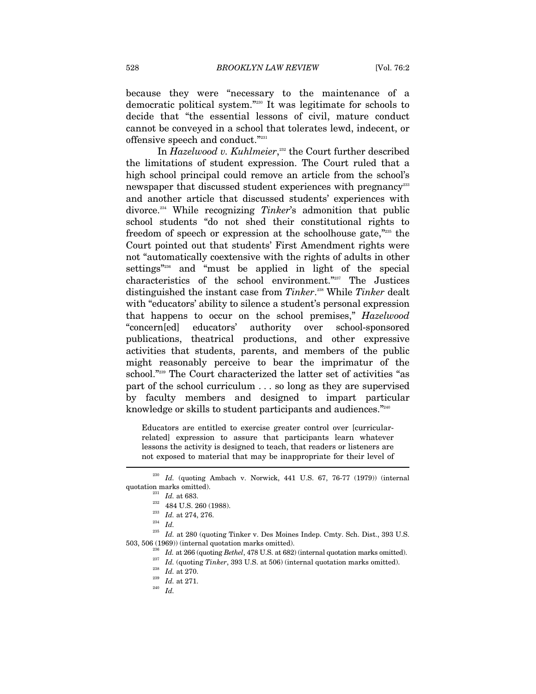because they were "necessary to the maintenance of a democratic political system."230 It was legitimate for schools to decide that "the essential lessons of civil, mature conduct cannot be conveyed in a school that tolerates lewd, indecent, or offensive speech and conduct."231

In *Hazelwood v. Kuhlmeier*,<sup>232</sup> the Court further described the limitations of student expression. The Court ruled that a high school principal could remove an article from the school's newspaper that discussed student experiences with pregnancy<sup>233</sup> and another article that discussed students' experiences with divorce.234 While recognizing *Tinker*'s admonition that public school students "do not shed their constitutional rights to freedom of speech or expression at the schoolhouse gate,"235 the Court pointed out that students' First Amendment rights were not "automatically coextensive with the rights of adults in other settings"236 and "must be applied in light of the special characteristics of the school environment."237 The Justices distinguished the instant case from *Tinker*. 238 While *Tinker* dealt with "educators' ability to silence a student's personal expression that happens to occur on the school premises," *Hazelwood* "concern[ed] educators' authority over school-sponsored publications, theatrical productions, and other expressive activities that students, parents, and members of the public might reasonably perceive to bear the imprimatur of the school."<sup>239</sup> The Court characterized the latter set of activities "as part of the school curriculum . . . so long as they are supervised by faculty members and designed to impart particular knowledge or skills to student participants and audiences." $^{2240}$ 

Educators are entitled to exercise greater control over [curricularrelated] expression to assure that participants learn whatever lessons the activity is designed to teach, that readers or listeners are not exposed to material that may be inappropriate for their level of

<sup>&</sup>lt;sup>230</sup> *Id.* (quoting Ambach v. Norwick, 441 U.S. 67, 76-77 (1979)) (internal quotation marks omitted).<br><sup>231</sup> *Id.* at 683.

<sup>&</sup>lt;sup>232</sup> 484 U.S. 260 (1988). <br>
<sup>233</sup> *Id.* at 274, 276. <br>
<sup>234</sup> *Id.* at 280 (quoting Tinker v. Des Moines Indep. Cmty. Sch. Dist., 393 U.S. 503, 506 (1969)) (internal quotation marks omitted).

<sup>&</sup>lt;sup>236</sup> *Id.* at 266 (quoting *Bethel*, 478 U.S. at 682) (internal quotation marks omitted).<br><sup>237</sup> *Id.* (quoting *Tinker*, 393 U.S. at 506) (internal quotation marks omitted).<br><sup>238</sup> *Id.* at 270.<br>*Id.* at 271.<br>*Id.* at 271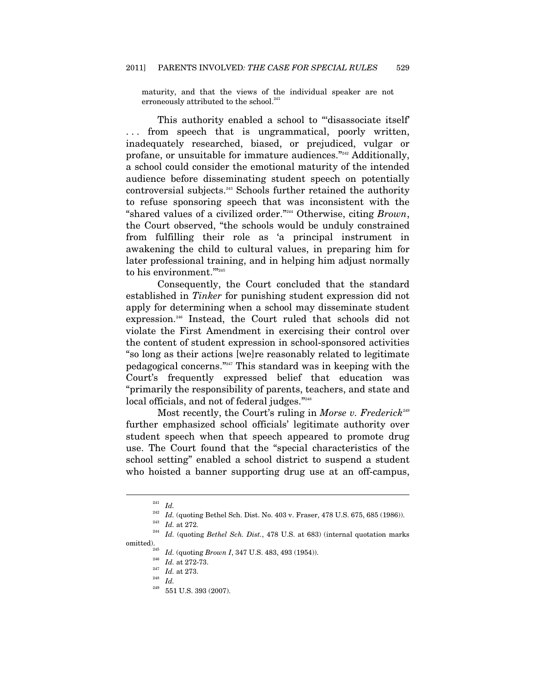maturity, and that the views of the individual speaker are not erroneously attributed to the school.<sup>241</sup>

This authority enabled a school to "disassociate itself" . . . from speech that is ungrammatical, poorly written, inadequately researched, biased, or prejudiced, vulgar or profane, or unsuitable for immature audiences."242 Additionally, a school could consider the emotional maturity of the intended audience before disseminating student speech on potentially controversial subjects.243 Schools further retained the authority to refuse sponsoring speech that was inconsistent with the "shared values of a civilized order."244 Otherwise, citing *Brown*, the Court observed, "the schools would be unduly constrained from fulfilling their role as 'a principal instrument in awakening the child to cultural values, in preparing him for later professional training, and in helping him adjust normally to his environment.""245

Consequently, the Court concluded that the standard established in *Tinker* for punishing student expression did not apply for determining when a school may disseminate student expression.246 Instead, the Court ruled that schools did not violate the First Amendment in exercising their control over the content of student expression in school-sponsored activities "so long as their actions [we]re reasonably related to legitimate pedagogical concerns."247 This standard was in keeping with the Court's frequently expressed belief that education was "primarily the responsibility of parents, teachers, and state and local officials, and not of federal judges."<sup>248</sup>

Most recently, the Court's ruling in *Morse v. Frederick*<sup>249</sup> further emphasized school officials' legitimate authority over student speech when that speech appeared to promote drug use. The Court found that the "special characteristics of the school setting" enabled a school district to suspend a student who hoisted a banner supporting drug use at an off-campus,

 $\overline{a}$ 

551 U.S. 393 (2007).

 $\frac{241}{242}$  *Id.* 

<sup>242</sup> *Id.* (quoting Bethel Sch. Dist. No. 403 v. Fraser, 478 U.S. 675, 685 (1986)). 243 *Id.* at 272. 244 *Id.* (quoting *Bethel Sch. Dist.*, 478 U.S. at 683) (internal quotation marks

omitted).<br><sup>245</sup> *Id.* (quoting *Brown I*, 347 U.S. 483, 493 (1954)).<br><sup>246</sup> *Id.* at 272-73.

 $\frac{^{247}}{^{248}}$  *Id.* at 273.<br><sup>248</sup> EF1 ILS.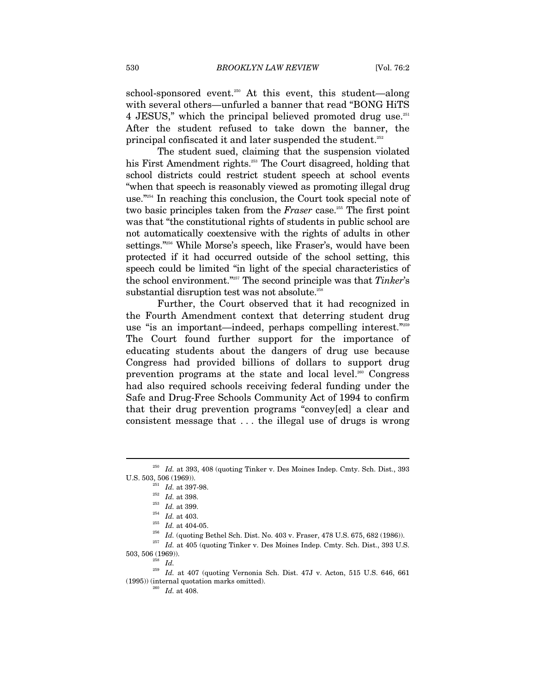school-sponsored event.<sup>250</sup> At this event, this student—along with several others—unfurled a banner that read "BONG HiTS 4 JESUS," which the principal believed promoted drug use.<sup>251</sup> After the student refused to take down the banner, the principal confiscated it and later suspended the student.<sup>252</sup>

The student sued, claiming that the suspension violated his First Amendment rights.<sup>253</sup> The Court disagreed, holding that school districts could restrict student speech at school events "when that speech is reasonably viewed as promoting illegal drug use."254 In reaching this conclusion, the Court took special note of two basic principles taken from the *Fraser* case.<sup>255</sup> The first point was that "the constitutional rights of students in public school are not automatically coextensive with the rights of adults in other settings."256 While Morse's speech, like Fraser's, would have been protected if it had occurred outside of the school setting, this speech could be limited "in light of the special characteristics of the school environment."257 The second principle was that *Tinker*'s substantial disruption test was not absolute.<sup>258</sup>

Further, the Court observed that it had recognized in the Fourth Amendment context that deterring student drug use "is an important—indeed, perhaps compelling interest."259 The Court found further support for the importance of educating students about the dangers of drug use because Congress had provided billions of dollars to support drug prevention programs at the state and local level.<sup>260</sup> Congress had also required schools receiving federal funding under the Safe and Drug-Free Schools Community Act of 1994 to confirm that their drug prevention programs "convey[ed] a clear and consistent message that . . . the illegal use of drugs is wrong

 $\overline{a}$ 

<sup>251</sup> *Id.* at 397-98.<br>
<sup>252</sup> *Id.* at 398.<br>
<sup>253</sup> *Id.* at 403.<br>
<sup>254</sup> *Id.* at 404-05.<br>
<sup>255</sup> *Id.* (quoting Bethel Sch. Dist. No. 403 v. Fraser, 478 U.S. 675, 682 (1986)).<br>
<sup>257</sup> *Id.* at 405 (quoting Tinker v. Des Moi

 $^{250}$   $\,Id.$  at 393, 408 (quoting Tinker v. Des Moines Indep. Cmty. Sch. Dist., 393 U.S. 503, 506 (1969)).

<sup>503, 506 (1969)). 258</sup> *Id.* 259 *Id.* at 407 (quoting Vernonia Sch. Dist. 47J v. Acton, 515 U.S. 646, 661 (1995)) (internal quotation marks omitted).<br>  $^{260}$   $\,$   $Id.$  at 408.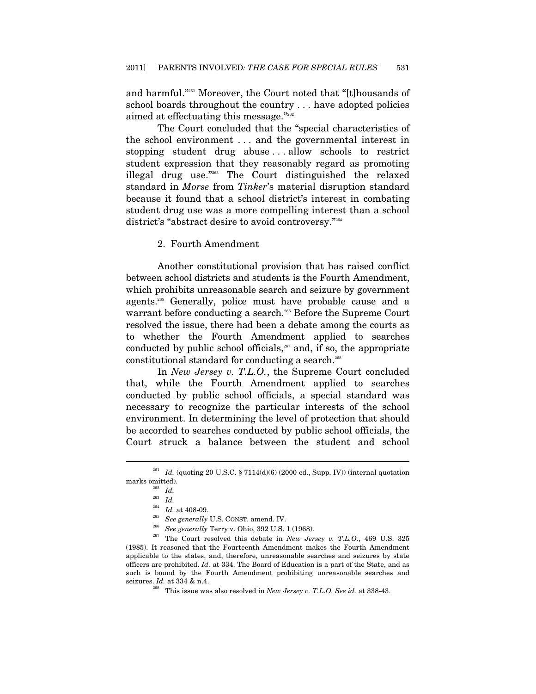and harmful."261 Moreover, the Court noted that "[t]housands of school boards throughout the country . . . have adopted policies aimed at effectuating this message."<sup>262</sup>

The Court concluded that the "special characteristics of the school environment . . . and the governmental interest in stopping student drug abuse . . . allow schools to restrict student expression that they reasonably regard as promoting illegal drug use."263 The Court distinguished the relaxed standard in *Morse* from *Tinker*'s material disruption standard because it found that a school district's interest in combating student drug use was a more compelling interest than a school district's "abstract desire to avoid controversy."264

2. Fourth Amendment

Another constitutional provision that has raised conflict between school districts and students is the Fourth Amendment, which prohibits unreasonable search and seizure by government agents.265 Generally, police must have probable cause and a warrant before conducting a search.<sup>266</sup> Before the Supreme Court resolved the issue, there had been a debate among the courts as to whether the Fourth Amendment applied to searches conducted by public school officials, $267$  and, if so, the appropriate constitutional standard for conducting a search.<sup>268</sup>

In *New Jersey v. T.L.O.*, the Supreme Court concluded that, while the Fourth Amendment applied to searches conducted by public school officials, a special standard was necessary to recognize the particular interests of the school environment. In determining the level of protection that should be accorded to searches conducted by public school officials, the Court struck a balance between the student and school

<sup>&</sup>lt;sup>261</sup> *Id.* (quoting 20 U.S.C. § 7114(d)(6) (2000 ed., Supp. IV)) (internal quotation marks omitted).  $I\!\!d.$ 

<sup>&</sup>lt;sup>263</sup> *Id.*<br><sup>264</sup> *Id.* at 408-09.

<sup>&</sup>lt;sup>265</sup> See generally U.S. CONST. amend. IV.<br><sup>266</sup> See generally Terry v. Ohio, 392 U.S. 1 (1968).<br><sup>267</sup> The Court resolved this debate in *New Jersey v. T.L.O.*, 469 U.S. 325 (1985). It reasoned that the Fourteenth Amendment makes the Fourth Amendment applicable to the states, and, therefore, unreasonable searches and seizures by state officers are prohibited. *Id.* at 334. The Board of Education is a part of the State, and as such is bound by the Fourth Amendment prohibiting unreasonable searches and seizures. *Id.* at 334 & n.4. 268 This issue was also resolved in *New Jersey v. T.L.O. See id.* at 338-43.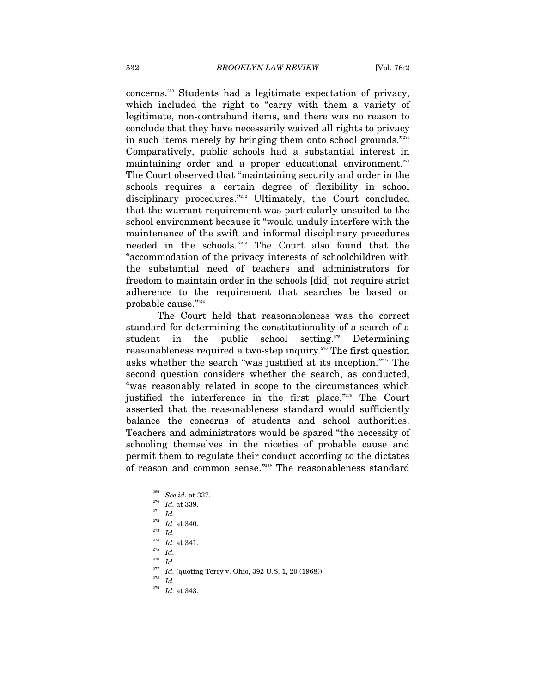concerns.269 Students had a legitimate expectation of privacy, which included the right to "carry with them a variety of legitimate, non-contraband items, and there was no reason to conclude that they have necessarily waived all rights to privacy in such items merely by bringing them onto school grounds."<sup>270</sup> Comparatively, public schools had a substantial interest in maintaining order and a proper educational environment.<sup>271</sup> The Court observed that "maintaining security and order in the schools requires a certain degree of flexibility in school disciplinary procedures."<sup>272</sup> Ultimately, the Court concluded that the warrant requirement was particularly unsuited to the school environment because it "would unduly interfere with the maintenance of the swift and informal disciplinary procedures needed in the schools."273 The Court also found that the "accommodation of the privacy interests of schoolchildren with the substantial need of teachers and administrators for freedom to maintain order in the schools [did] not require strict adherence to the requirement that searches be based on probable cause."274

The Court held that reasonableness was the correct standard for determining the constitutionality of a search of a student in the public school setting.<sup>275</sup> Determining reasonableness required a two-step inquiry.276 The first question asks whether the search "was justified at its inception."277 The second question considers whether the search, as conducted, "was reasonably related in scope to the circumstances which justified the interference in the first place."<sup>278</sup> The Court asserted that the reasonableness standard would sufficiently balance the concerns of students and school authorities. Teachers and administrators would be spared "the necessity of schooling themselves in the niceties of probable cause and permit them to regulate their conduct according to the dictates of reason and common sense."279 The reasonableness standard

 $\overline{a}$ 

 $\frac{276}{277}$  *Id.* 

<sup>277</sup> *Id.* (quoting Terry v. Ohio, 392 U.S. 1, 20 (1968)).<br><sup>278</sup> *Id.* <sup>279</sup> *Id.* at 343

- 
- *Id.* at 343.

<sup>269</sup> *See id.* at 337. 270 *Id.* at 339. 271 *Id.* 272 *Id.* at 340. 273 *Id.*

 $\frac{274}{275}$  *Id.* at 341.<br>  $\frac{275}{276}$  *II*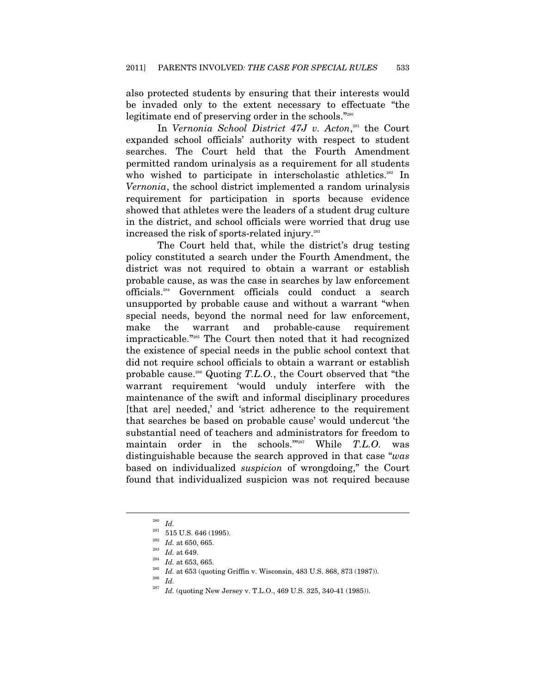also protected students by ensuring that their interests would be invaded only to the extent necessary to effectuate "the legitimate end of preserving order in the schools."<sup>280</sup>

In *Vernonia School District 47J v. Acton*, 281 the Court expanded school officials' authority with respect to student searches. The Court held that the Fourth Amendment permitted random urinalysis as a requirement for all students who wished to participate in interscholastic athletics.<sup>282</sup> In *Vernonia*, the school district implemented a random urinalysis requirement for participation in sports because evidence showed that athletes were the leaders of a student drug culture in the district, and school officials were worried that drug use increased the risk of sports-related injury.283

The Court held that, while the district's drug testing policy constituted a search under the Fourth Amendment, the district was not required to obtain a warrant or establish probable cause, as was the case in searches by law enforcement officials.284 Government officials could conduct a search unsupported by probable cause and without a warrant "when special needs, beyond the normal need for law enforcement, make the warrant and probable-cause requirement impracticable."285 The Court then noted that it had recognized the existence of special needs in the public school context that did not require school officials to obtain a warrant or establish probable cause.286 Quoting *T.L.O.*, the Court observed that "the warrant requirement 'would unduly interfere with the maintenance of the swift and informal disciplinary procedures [that are] needed,' and 'strict adherence to the requirement that searches be based on probable cause' would undercut 'the substantial need of teachers and administrators for freedom to maintain order in the schools.'"287 While *T.L.O.* was distinguishable because the search approved in that case "*was* based on individualized *suspicion* of wrongdoing," the Court found that individualized suspicion was not required because

 $\overline{a}$ 

Id. (quoting New Jersey v. T.L.O., 469 U.S. 325, 340-41 (1985)).

 $\frac{280}{281}$  *Id.* 

<sup>&</sup>lt;sup>281</sup> 515 U.S. 646 (1995).<br><sup>282</sup> *Id.* at 650, 665.<br><sup>283</sup> *Id.* at 653, 665.<br><sup>285</sup> *Id.* at 653 (quoting Griffin v. Wisconsin, 483 U.S. 868, 873 (1987)).<br><sup>286</sup> *Id.* (antius Num Luccus TLO, 460 U.S. 295, 240 41 (1985)).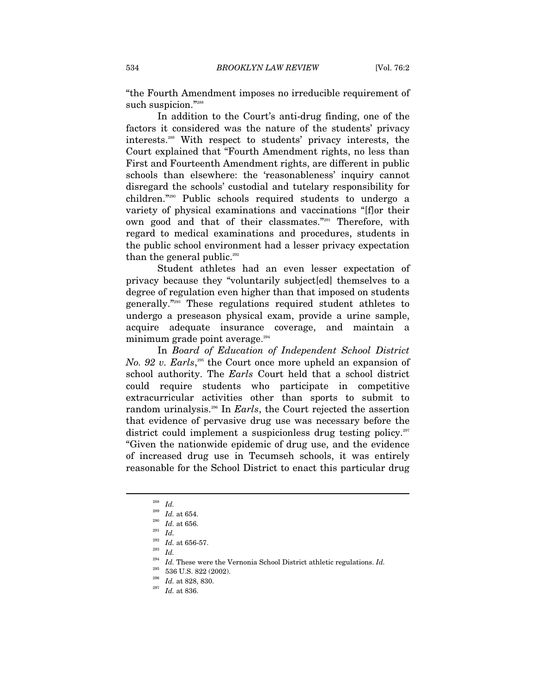"the Fourth Amendment imposes no irreducible requirement of such suspicion."288

In addition to the Court's anti-drug finding, one of the factors it considered was the nature of the students' privacy interests.289 With respect to students' privacy interests, the Court explained that "Fourth Amendment rights, no less than First and Fourteenth Amendment rights, are different in public schools than elsewhere: the 'reasonableness' inquiry cannot disregard the schools' custodial and tutelary responsibility for children."290 Public schools required students to undergo a variety of physical examinations and vaccinations "[f]or their own good and that of their classmates."291 Therefore, with regard to medical examinations and procedures, students in the public school environment had a lesser privacy expectation than the general public.<sup>292</sup>

Student athletes had an even lesser expectation of privacy because they "voluntarily subject[ed] themselves to a degree of regulation even higher than that imposed on students generally."293 These regulations required student athletes to undergo a preseason physical exam, provide a urine sample, acquire adequate insurance coverage, and maintain a minimum grade point average.<sup>294</sup>

In *Board of Education of Independent School District No.* 92 v. *Earls*,<sup>295</sup> the Court once more upheld an expansion of school authority. The *Earls* Court held that a school district could require students who participate in competitive extracurricular activities other than sports to submit to random urinalysis.296 In *Earls*, the Court rejected the assertion that evidence of pervasive drug use was necessary before the district could implement a suspicionless drug testing policy.<sup>297</sup> "Given the nationwide epidemic of drug use, and the evidence of increased drug use in Tecumseh schools, it was entirely reasonable for the School District to enact this particular drug

<sup>288</sup> *Id.* 289 *Id.* at 654. 290 *Id.* at 656. 291 *Id.*

<sup>292</sup> *Id.* at 656-57. 293 *Id.*

Id. These were the Vernonia School District athletic regulations. *Id.* 

<sup>&</sup>lt;sup>295</sup> 536 U.S. 822 (2002).<br><sup>296</sup> *Id.* at 828, 830.<br><sup>297</sup> *Id.* at 836.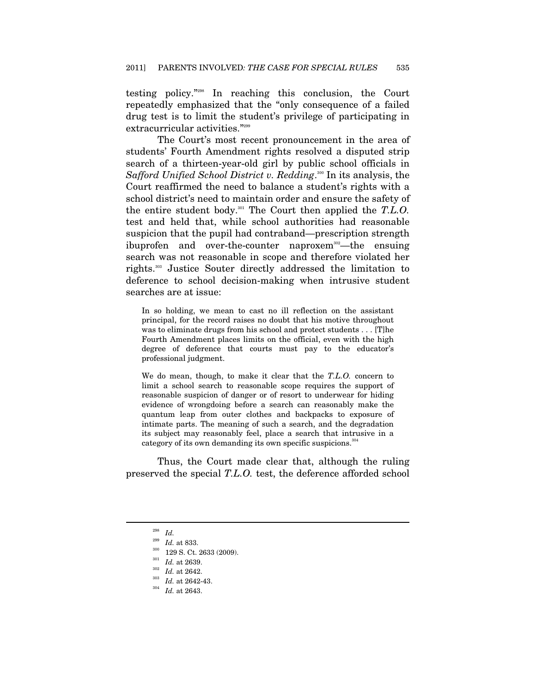testing policy."298 In reaching this conclusion, the Court repeatedly emphasized that the "only consequence of a failed drug test is to limit the student's privilege of participating in extracurricular activities."<sup>299</sup>

The Court's most recent pronouncement in the area of students' Fourth Amendment rights resolved a disputed strip search of a thirteen-year-old girl by public school officials in Safford Unified School District v. Redding.<sup>300</sup> In its analysis, the Court reaffirmed the need to balance a student's rights with a school district's need to maintain order and ensure the safety of the entire student body.301 The Court then applied the *T.L.O.*  test and held that, while school authorities had reasonable suspicion that the pupil had contraband—prescription strength ibuprofen and over-the-counter naproxem<sup>302</sup>—the ensuing search was not reasonable in scope and therefore violated her rights.303 Justice Souter directly addressed the limitation to deference to school decision-making when intrusive student searches are at issue:

In so holding, we mean to cast no ill reflection on the assistant principal, for the record raises no doubt that his motive throughout was to eliminate drugs from his school and protect students . . . [T]he Fourth Amendment places limits on the official, even with the high degree of deference that courts must pay to the educator's professional judgment.

We do mean, though, to make it clear that the *T.L.O.* concern to limit a school search to reasonable scope requires the support of reasonable suspicion of danger or of resort to underwear for hiding evidence of wrongdoing before a search can reasonably make the quantum leap from outer clothes and backpacks to exposure of intimate parts. The meaning of such a search, and the degradation its subject may reasonably feel, place a search that intrusive in a category of its own demanding its own specific suspicions.<sup>304</sup>

Thus, the Court made clear that, although the ruling preserved the special *T.L.O.* test, the deference afforded school

 $\frac{^{298}}{^{299}}$  *Id.* 

<sup>&</sup>lt;sup>299</sup> *Id.* at 833.<br><sup>300</sup> 129 S. Ct. 2633 (2009).<br><sup>301</sup> *Id.* at 2639.<br><sup>303</sup> *Id.* at 2642-43.<br><sup>304</sup> *Id.* at 2643.<br>*Id.* at 2643.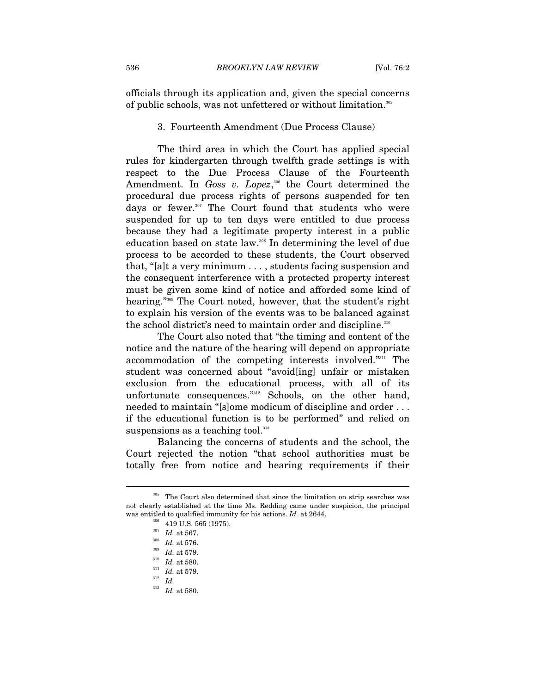officials through its application and, given the special concerns of public schools, was not unfettered or without limitation.<sup>305</sup>

#### 3. Fourteenth Amendment (Due Process Clause)

The third area in which the Court has applied special rules for kindergarten through twelfth grade settings is with respect to the Due Process Clause of the Fourteenth Amendment. In *Goss v. Lopez*,<sup>306</sup> the Court determined the procedural due process rights of persons suspended for ten days or fewer.<sup>307</sup> The Court found that students who were suspended for up to ten days were entitled to due process because they had a legitimate property interest in a public education based on state law.308 In determining the level of due process to be accorded to these students, the Court observed that, "[a]t a very minimum . . . , students facing suspension and the consequent interference with a protected property interest must be given some kind of notice and afforded some kind of hearing."309 The Court noted, however, that the student's right to explain his version of the events was to be balanced against the school district's need to maintain order and discipline.<sup>310</sup>

The Court also noted that "the timing and content of the notice and the nature of the hearing will depend on appropriate accommodation of the competing interests involved."311 The student was concerned about "avoid[ing] unfair or mistaken exclusion from the educational process, with all of its unfortunate consequences."<sup>312</sup> Schools, on the other hand, needed to maintain "[s]ome modicum of discipline and order . . . if the educational function is to be performed" and relied on suspensions as a teaching tool.<sup>313</sup>

Balancing the concerns of students and the school, the Court rejected the notion "that school authorities must be totally free from notice and hearing requirements if their

<sup>305</sup> The Court also determined that since the limitation on strip searches was not clearly established at the time Ms. Redding came under suspicion, the principal was entitled to qualified immunity for his actions. *Id.* at 2644.<br><sup>306</sup> 419 U.S. 565 (1975).<br><sup>307</sup> *Id.* at 567.<br>*Id.* at 576.<br><sup>309</sup> *Id.* at 579.<br><sup>310</sup> *Id.* at 580.<br><sup>311</sup> *Id.* at 580.<br><sup>311</sup> *Id.* at 579.<br>*Id.* at 579.

 $^{313}$  *Id.* at 580.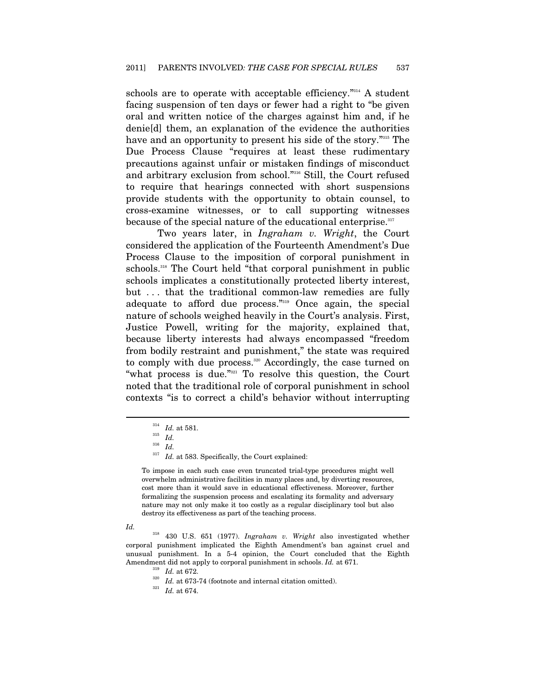schools are to operate with acceptable efficiency."<sup>314</sup> A student facing suspension of ten days or fewer had a right to "be given oral and written notice of the charges against him and, if he denie[d] them, an explanation of the evidence the authorities have and an opportunity to present his side of the story."315 The Due Process Clause "requires at least these rudimentary precautions against unfair or mistaken findings of misconduct and arbitrary exclusion from school."316 Still, the Court refused to require that hearings connected with short suspensions provide students with the opportunity to obtain counsel, to cross-examine witnesses, or to call supporting witnesses because of the special nature of the educational enterprise.<sup>317</sup>

Two years later, in *Ingraham v. Wright*, the Court considered the application of the Fourteenth Amendment's Due Process Clause to the imposition of corporal punishment in schools.<sup>318</sup> The Court held "that corporal punishment in public schools implicates a constitutionally protected liberty interest, but . . . that the traditional common-law remedies are fully adequate to afford due process."319 Once again, the special nature of schools weighed heavily in the Court's analysis. First, Justice Powell, writing for the majority, explained that, because liberty interests had always encompassed "freedom from bodily restraint and punishment," the state was required to comply with due process.<sup>320</sup> Accordingly, the case turned on "what process is due."321 To resolve this question, the Court noted that the traditional role of corporal punishment in school contexts "is to correct a child's behavior without interrupting

#### *Id.*

<sup>314</sup> *Id.* at 581. 315 *Id.*<sup>316</sup> *Id.*

 $^{317}$   $\,$   $Id.$  at 583. Specifically, the Court explained:

To impose in each such case even truncated trial-type procedures might well overwhelm administrative facilities in many places and, by diverting resources, cost more than it would save in educational effectiveness. Moreover, further formalizing the suspension process and escalating its formality and adversary nature may not only make it too costly as a regular disciplinary tool but also destroy its effectiveness as part of the teaching process.

<sup>318 430</sup> U.S. 651 (1977). *Ingraham v. Wright* also investigated whether corporal punishment implicated the Eighth Amendment's ban against cruel and unusual punishment. In a 5-4 opinion, the Court concluded that the Eighth Amendment did not apply to corporal punishment in schools. *Id.* at 671.<br><sup>319</sup> *Id.* at 672.<br><sup>320</sup> *Id.* at 673-74 (footnote and internal citation omitted).<br>*Id.* at 674.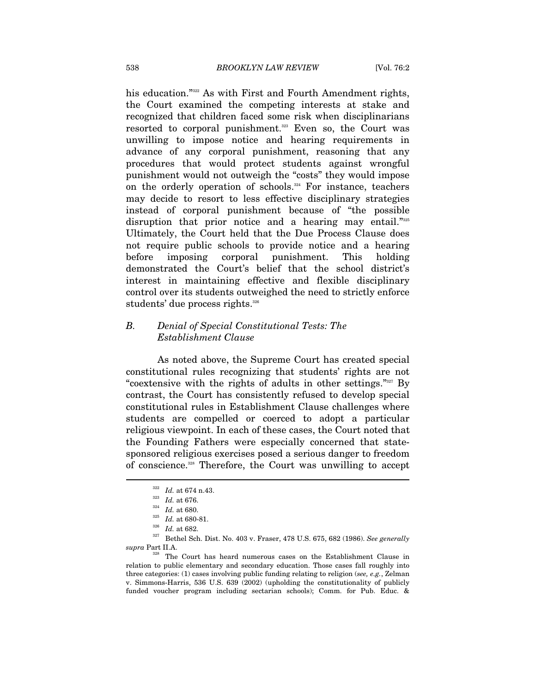his education."<sup>322</sup> As with First and Fourth Amendment rights, the Court examined the competing interests at stake and recognized that children faced some risk when disciplinarians resorted to corporal punishment.<sup>323</sup> Even so, the Court was unwilling to impose notice and hearing requirements in advance of any corporal punishment, reasoning that any procedures that would protect students against wrongful punishment would not outweigh the "costs" they would impose on the orderly operation of schools.<sup>324</sup> For instance, teachers may decide to resort to less effective disciplinary strategies instead of corporal punishment because of "the possible disruption that prior notice and a hearing may entail."325 Ultimately, the Court held that the Due Process Clause does not require public schools to provide notice and a hearing before imposing corporal punishment. This holding demonstrated the Court's belief that the school district's interest in maintaining effective and flexible disciplinary control over its students outweighed the need to strictly enforce students' due process rights.<sup>326</sup>

#### *B. Denial of Special Constitutional Tests: The Establishment Clause*

As noted above, the Supreme Court has created special constitutional rules recognizing that students' rights are not "coextensive with the rights of adults in other settings."327 By contrast, the Court has consistently refused to develop special constitutional rules in Establishment Clause challenges where students are compelled or coerced to adopt a particular religious viewpoint. In each of these cases, the Court noted that the Founding Fathers were especially concerned that statesponsored religious exercises posed a serious danger to freedom of conscience.328 Therefore, the Court was unwilling to accept

 $\overline{a}$ 

<sup>322</sup> *Id.* at 674 n.43.<br><sup>323</sup> *Id.* at 680.<br><sup>325</sup> *Id.* at 680-81.<br><sup>326</sup> *Id.* at 682.<br><sup>327</sup> Bethel Sch. Dist. No. 403 v. Fraser, 478 U.S. 675, 682 (1986). *See generally supra* Part II.A. 328 The Court has heard numerous cases on the Establishment Clause in

relation to public elementary and secondary education. Those cases fall roughly into three categories: (1) cases involving public funding relating to religion (*see, e.g.*, Zelman v. Simmons-Harris, 536 U.S. 639 (2002) (upholding the constitutionality of publicly funded voucher program including sectarian schools); Comm. for Pub. Educ. &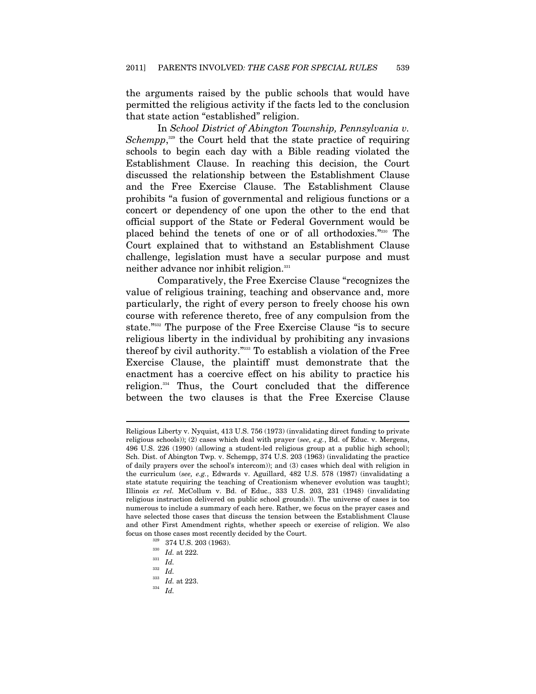the arguments raised by the public schools that would have permitted the religious activity if the facts led to the conclusion that state action "established" religion.

In *School District of Abington Township, Pennsylvania v.*  Schempp,<sup>329</sup> the Court held that the state practice of requiring schools to begin each day with a Bible reading violated the Establishment Clause. In reaching this decision, the Court discussed the relationship between the Establishment Clause and the Free Exercise Clause. The Establishment Clause prohibits "a fusion of governmental and religious functions or a concert or dependency of one upon the other to the end that official support of the State or Federal Government would be placed behind the tenets of one or of all orthodoxies."330 The Court explained that to withstand an Establishment Clause challenge, legislation must have a secular purpose and must neither advance nor inhibit religion.<sup>331</sup>

Comparatively, the Free Exercise Clause "recognizes the value of religious training, teaching and observance and, more particularly, the right of every person to freely choose his own course with reference thereto, free of any compulsion from the state."332 The purpose of the Free Exercise Clause "is to secure religious liberty in the individual by prohibiting any invasions thereof by civil authority."333 To establish a violation of the Free Exercise Clause, the plaintiff must demonstrate that the enactment has a coercive effect on his ability to practice his religion.334 Thus, the Court concluded that the difference between the two clauses is that the Free Exercise Clause

Religious Liberty v. Nyquist, 413 U.S. 756 (1973) (invalidating direct funding to private religious schools)); (2) cases which deal with prayer (*see, e.g.*, Bd. of Educ. v. Mergens, 496 U.S. 226 (1990) (allowing a student-led religious group at a public high school); Sch. Dist. of Abington Twp. v. Schempp, 374 U.S. 203 (1963) (invalidating the practice of daily prayers over the school's intercom)); and (3) cases which deal with religion in the curriculum (*see, e.g.*, Edwards v. Aguillard, 482 U.S. 578 (1987) (invalidating a state statute requiring the teaching of Creationism whenever evolution was taught); Illinois *ex rel.* McCollum v. Bd. of Educ., 333 U.S. 203, 231 (1948) (invalidating religious instruction delivered on public school grounds)). The universe of cases is too numerous to include a summary of each here. Rather, we focus on the prayer cases and have selected those cases that discuss the tension between the Establishment Clause and other First Amendment rights, whether speech or exercise of religion. We also focus on those cases most recently decided by the Court. 329 374 U.S. 203 (1963). 330 *Id.* at 222. 331 *Id.* 332 *Id.*

<sup>333</sup> *Id.* at 223. 334 *Id.*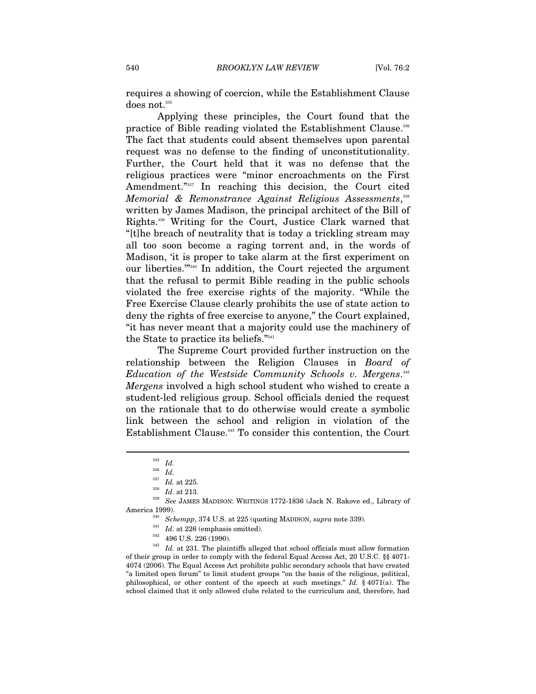requires a showing of coercion, while the Establishment Clause does not.<sup>335</sup>

Applying these principles, the Court found that the practice of Bible reading violated the Establishment Clause.<sup>336</sup> The fact that students could absent themselves upon parental request was no defense to the finding of unconstitutionality. Further, the Court held that it was no defense that the religious practices were "minor encroachments on the First Amendment."337 In reaching this decision, the Court cited *Memorial & Remonstrance Against Religious Assessments*, 338 written by James Madison, the principal architect of the Bill of Rights.339 Writing for the Court, Justice Clark warned that "[t]he breach of neutrality that is today a trickling stream may all too soon become a raging torrent and, in the words of Madison, 'it is proper to take alarm at the first experiment on our liberties.'"340 In addition, the Court rejected the argument that the refusal to permit Bible reading in the public schools violated the free exercise rights of the majority. "While the Free Exercise Clause clearly prohibits the use of state action to deny the rights of free exercise to anyone," the Court explained, "it has never meant that a majority could use the machinery of the State to practice its beliefs."341

The Supreme Court provided further instruction on the relationship between the Religion Clauses in *Board of Education of the Westside Community Schools v. Mergens*. 342 *Mergens* involved a high school student who wished to create a student-led religious group. School officials denied the request on the rationale that to do otherwise would create a symbolic link between the school and religion in violation of the Establishment Clause.<sup>343</sup> To consider this contention, the Court

 $\overline{a}$ 

America 1999).<br>  $^{340}$  Schempp, 374 U.S. at 225 (quoting MADISON, *supra* note 339).<br>  $^{341}$  *Id.* at 226 (emphasis omitted).<br>  $^{342}$  496 U.S. 226 (1990).<br>  $^{342}$  *Id.* at 231. The plaintiffs alleged that school offic of their group in order to comply with the federal Equal Access Act, 20 U.S.C. §§ 4071- 4074 (2006). The Equal Access Act prohibits public secondary schools that have created "a limited open forum" to limit student groups "on the basis of the religious, political, philosophical, or other content of the speech at such meetings." *Id.* § 4071(a). The school claimed that it only allowed clubs related to the curriculum and, therefore, had

 $\frac{335}{336}$  *Id.* 

 $\frac{336}{337}$  *Id.* 

<sup>337</sup> *Id.* at 225. 338 *Id.* at 213.

<sup>339</sup> *See* JAMES MADISON: WRITINGS 1772-1836 (Jack N. Rakove ed., Library of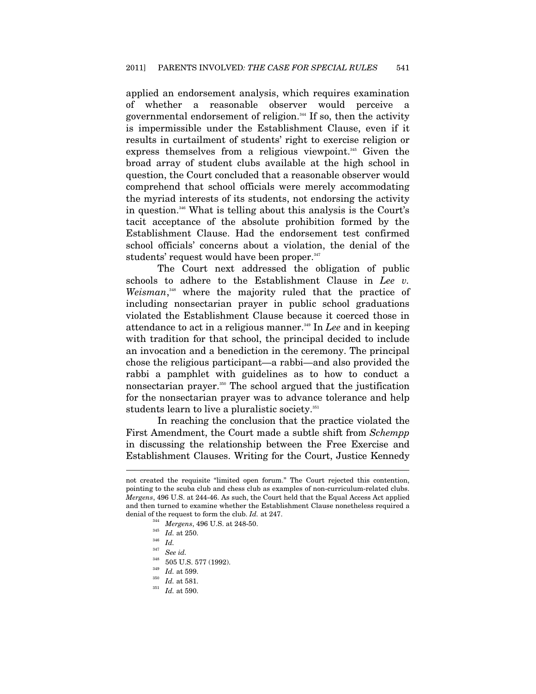applied an endorsement analysis, which requires examination of whether a reasonable observer would perceive a governmental endorsement of religion.<sup>344</sup> If so, then the activity is impermissible under the Establishment Clause, even if it results in curtailment of students' right to exercise religion or express themselves from a religious viewpoint.<sup>345</sup> Given the broad array of student clubs available at the high school in question, the Court concluded that a reasonable observer would comprehend that school officials were merely accommodating the myriad interests of its students, not endorsing the activity in question.346 What is telling about this analysis is the Court's tacit acceptance of the absolute prohibition formed by the Establishment Clause. Had the endorsement test confirmed school officials' concerns about a violation, the denial of the students' request would have been proper.<sup>347</sup>

The Court next addressed the obligation of public schools to adhere to the Establishment Clause in *Lee v. Weisman*, 348 where the majority ruled that the practice of including nonsectarian prayer in public school graduations violated the Establishment Clause because it coerced those in attendance to act in a religious manner.<sup>349</sup> In *Lee* and in keeping with tradition for that school, the principal decided to include an invocation and a benediction in the ceremony. The principal chose the religious participant—a rabbi—and also provided the rabbi a pamphlet with guidelines as to how to conduct a nonsectarian prayer.<sup>350</sup> The school argued that the justification for the nonsectarian prayer was to advance tolerance and help students learn to live a pluralistic society.<sup>351</sup>

In reaching the conclusion that the practice violated the First Amendment, the Court made a subtle shift from *Schempp* in discussing the relationship between the Free Exercise and Establishment Clauses. Writing for the Court, Justice Kennedy

not created the requisite "limited open forum." The Court rejected this contention, pointing to the scuba club and chess club as examples of non-curriculum-related clubs. *Mergens*, 496 U.S. at 244-46. As such, the Court held that the Equal Access Act applied and then turned to examine whether the Establishment Clause nonetheless required a denial of the request to form the club. *Id.* at 247.<br><sup>344</sup> *Mergens*, 496 U.S. at 248-50.<br>*Id.* at 250.<br><sup>345</sup> *Id.* 

 $\frac{347}{348}$  See id.

<sup>348 505</sup> U.S. 577 (1992). 349 *Id.* at 599. 350 *Id.* at 581. 351 *Id.* at 590.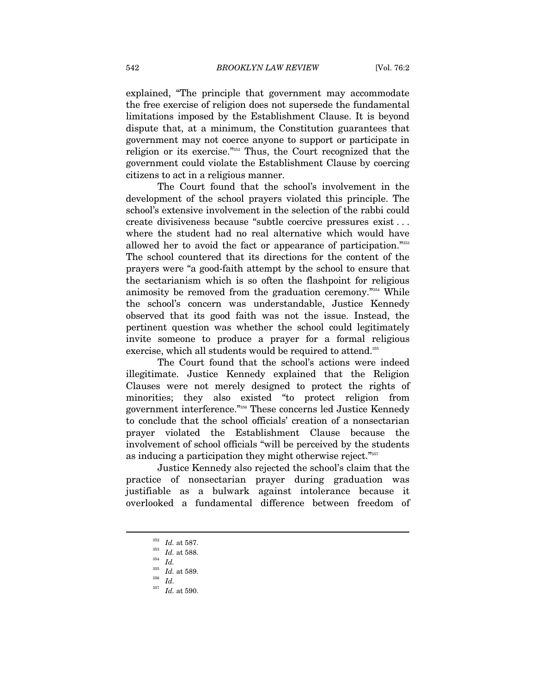explained, "The principle that government may accommodate the free exercise of religion does not supersede the fundamental limitations imposed by the Establishment Clause. It is beyond dispute that, at a minimum, the Constitution guarantees that government may not coerce anyone to support or participate in religion or its exercise."352 Thus, the Court recognized that the government could violate the Establishment Clause by coercing citizens to act in a religious manner.

The Court found that the school's involvement in the development of the school prayers violated this principle. The school's extensive involvement in the selection of the rabbi could create divisiveness because "subtle coercive pressures exist . . . where the student had no real alternative which would have allowed her to avoid the fact or appearance of participation."353 The school countered that its directions for the content of the prayers were "a good-faith attempt by the school to ensure that the sectarianism which is so often the flashpoint for religious animosity be removed from the graduation ceremony."354 While the school's concern was understandable, Justice Kennedy observed that its good faith was not the issue. Instead, the pertinent question was whether the school could legitimately invite someone to produce a prayer for a formal religious exercise, which all students would be required to attend.<sup>355</sup>

The Court found that the school's actions were indeed illegitimate. Justice Kennedy explained that the Religion Clauses were not merely designed to protect the rights of minorities; they also existed "to protect religion from government interference."356 These concerns led Justice Kennedy to conclude that the school officials' creation of a nonsectarian prayer violated the Establishment Clause because the involvement of school officials "will be perceived by the students as inducing a participation they might otherwise reject."357

Justice Kennedy also rejected the school's claim that the practice of nonsectarian prayer during graduation was justifiable as a bulwark against intolerance because it overlooked a fundamental difference between freedom of

 $^{352}$   $\,$   $Id.\;$  at 587.

*Id.* at 588. 354 *Id.*

 $\frac{355}{356}$  *Id.* at 589.<br> $\frac{1}{357}$  *IJ*<sub>11</sub> at 500 <sup>357</sup> *Id.* at 590.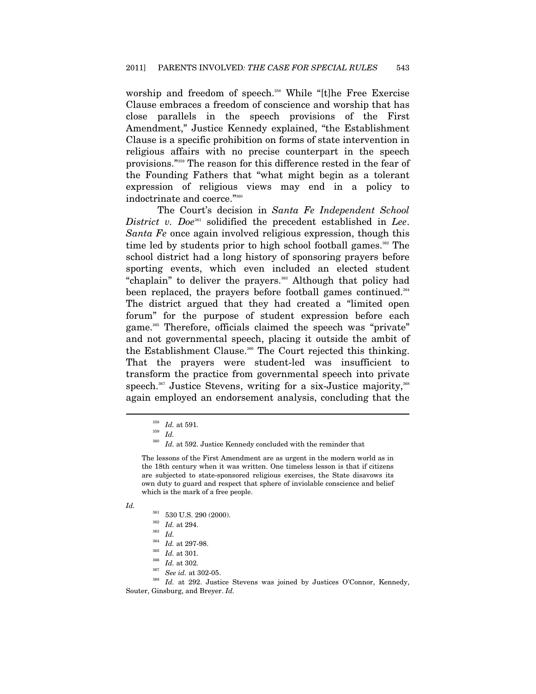worship and freedom of speech.<sup>358</sup> While "[t]he Free Exercise Clause embraces a freedom of conscience and worship that has close parallels in the speech provisions of the First Amendment," Justice Kennedy explained, "the Establishment Clause is a specific prohibition on forms of state intervention in religious affairs with no precise counterpart in the speech provisions."359 The reason for this difference rested in the fear of the Founding Fathers that "what might begin as a tolerant expression of religious views may end in a policy to indoctrinate and coerce."360

The Court's decision in *Santa Fe Independent School District v. Doe*<sup>361</sup> solidified the precedent established in *Lee*. *Santa Fe* once again involved religious expression, though this time led by students prior to high school football games.<sup>362</sup> The school district had a long history of sponsoring prayers before sporting events, which even included an elected student "chaplain" to deliver the prayers.<sup>363</sup> Although that policy had been replaced, the prayers before football games continued.<sup>364</sup> The district argued that they had created a "limited open forum" for the purpose of student expression before each game.<sup>365</sup> Therefore, officials claimed the speech was "private" and not governmental speech, placing it outside the ambit of the Establishment Clause.<sup>366</sup> The Court rejected this thinking. That the prayers were student-led was insufficient to transform the practice from governmental speech into private speech.<sup>367</sup> Justice Stevens, writing for a six-Justice majority,<sup>368</sup> again employed an endorsement analysis, concluding that the

The lessons of the First Amendment are as urgent in the modern world as in the 18th century when it was written. One timeless lesson is that if citizens are subjected to state-sponsored religious exercises, the State disavows its own duty to guard and respect that sphere of inviolable conscience and belief which is the mark of a free people.

*Id.*

```
361 530 U.S. 290 (2000). 362 Id. at 294. 363 Id.
```
- 
- 

<sup>358</sup>*Id.* at 591. 359 *Id.*

 $^{360}$   $\,$   $Id.$  at 592. Justice Kennedy concluded with the reminder that

<sup>&</sup>lt;sup>364</sup> *Id.* at 297-98.<br><sup>365</sup> *Id.* at 301.<br><sup>366</sup> *Id.* at 302.<br><sup>367</sup> *See id.* at 302-05.<br><sup>368</sup> *Id.* at 292. Justice Stevens was joined by Justices O'Connor, Kennedy, Souter, Ginsburg, and Breyer. *Id.*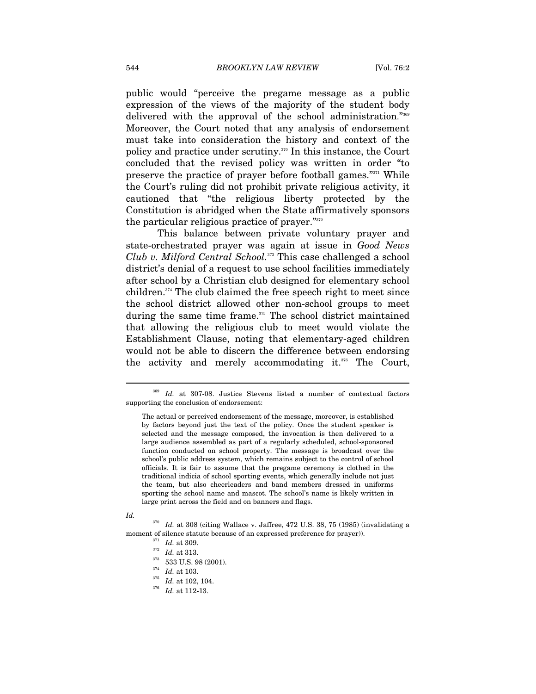public would "perceive the pregame message as a public expression of the views of the majority of the student body delivered with the approval of the school administration."<sup>369</sup> Moreover, the Court noted that any analysis of endorsement must take into consideration the history and context of the policy and practice under scrutiny.370 In this instance, the Court concluded that the revised policy was written in order "to preserve the practice of prayer before football games."371 While the Court's ruling did not prohibit private religious activity, it cautioned that "the religious liberty protected by the Constitution is abridged when the State affirmatively sponsors the particular religious practice of prayer."372

This balance between private voluntary prayer and state-orchestrated prayer was again at issue in *Good News Club v. Milford Central School.*373 This case challenged a school district's denial of a request to use school facilities immediately after school by a Christian club designed for elementary school children.374 The club claimed the free speech right to meet since the school district allowed other non-school groups to meet during the same time frame.<sup>375</sup> The school district maintained that allowing the religious club to meet would violate the Establishment Clause, noting that elementary-aged children would not be able to discern the difference between endorsing the activity and merely accommodating it.376 The Court,

#### *Id.*

<sup>369</sup> *Id.* at 307-08. Justice Stevens listed a number of contextual factors supporting the conclusion of endorsement:

The actual or perceived endorsement of the message, moreover, is established by factors beyond just the text of the policy. Once the student speaker is selected and the message composed, the invocation is then delivered to a large audience assembled as part of a regularly scheduled, school-sponsored function conducted on school property. The message is broadcast over the school's public address system, which remains subject to the control of school officials. It is fair to assume that the pregame ceremony is clothed in the traditional indicia of school sporting events, which generally include not just the team, but also cheerleaders and band members dressed in uniforms sporting the school name and mascot. The school's name is likely written in large print across the field and on banners and flags.

 $^{370}\,$   $Id.$  at 308 (citing Wallace v. Jaffree, 472 U.S. 38, 75 (1985) (invalidating a moment of silence statute because of an expressed preference for prayer)).<br>
<sup>371</sup> *Id.* at 309.<br>
<sup>373</sup> 533 U.S. 98 (2001).<br>
<sup>374</sup> *Id.* at 103.<br>
<sup>375</sup> *Id.* at 102, 104.<br>
<sup>376</sup> *Id.* at 112-13.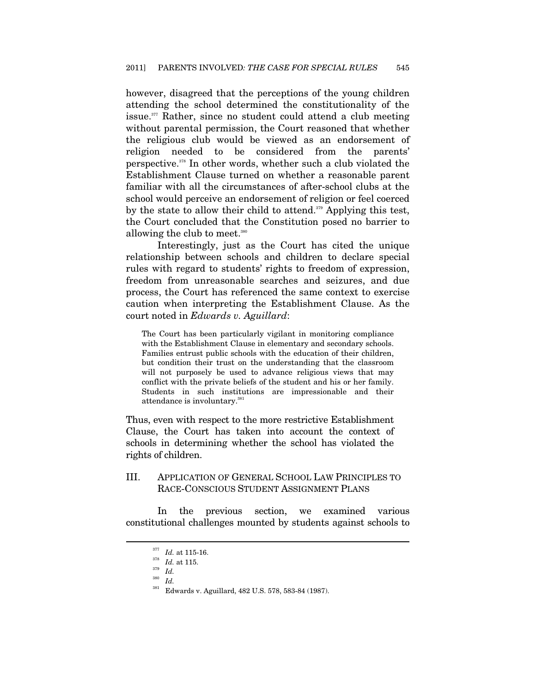however, disagreed that the perceptions of the young children attending the school determined the constitutionality of the issue. $377$  Rather, since no student could attend a club meeting without parental permission, the Court reasoned that whether the religious club would be viewed as an endorsement of religion needed to be considered from the parents' perspective.378 In other words, whether such a club violated the Establishment Clause turned on whether a reasonable parent familiar with all the circumstances of after-school clubs at the school would perceive an endorsement of religion or feel coerced by the state to allow their child to attend.<sup>379</sup> Applying this test, the Court concluded that the Constitution posed no barrier to allowing the club to meet.<sup>380</sup>

Interestingly, just as the Court has cited the unique relationship between schools and children to declare special rules with regard to students' rights to freedom of expression, freedom from unreasonable searches and seizures, and due process, the Court has referenced the same context to exercise caution when interpreting the Establishment Clause. As the court noted in *Edwards v. Aguillard*:

The Court has been particularly vigilant in monitoring compliance with the Establishment Clause in elementary and secondary schools. Families entrust public schools with the education of their children, but condition their trust on the understanding that the classroom will not purposely be used to advance religious views that may conflict with the private beliefs of the student and his or her family. Students in such institutions are impressionable and their attendance is involuntary.<sup>381</sup>

Thus, even with respect to the more restrictive Establishment Clause, the Court has taken into account the context of schools in determining whether the school has violated the rights of children.

#### III. APPLICATION OF GENERAL SCHOOL LAW PRINCIPLES TO RACE-CONSCIOUS STUDENT ASSIGNMENT PLANS

In the previous section, we examined various constitutional challenges mounted by students against schools to

<sup>377</sup>*Id.* at 115-16. 378 *Id.* at 115. 379 *Id.*

 $rac{380}{381}$  *Id.* 

Edwards v. Aguillard, 482 U.S. 578, 583-84 (1987).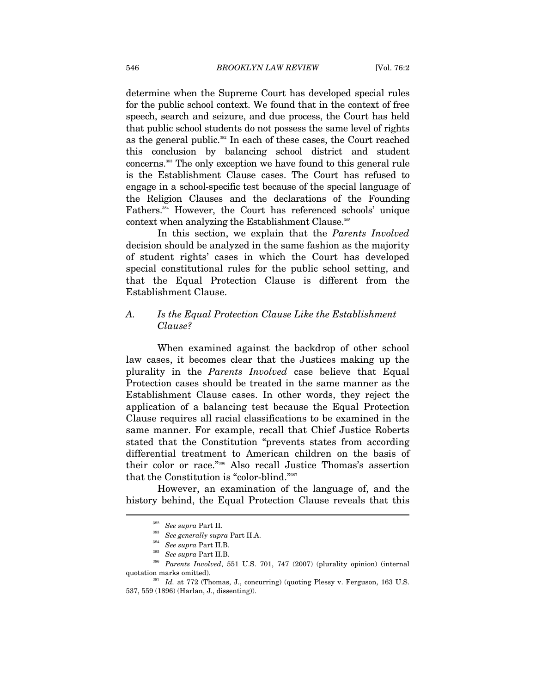determine when the Supreme Court has developed special rules for the public school context. We found that in the context of free speech, search and seizure, and due process, the Court has held that public school students do not possess the same level of rights as the general public.<sup>382</sup> In each of these cases, the Court reached this conclusion by balancing school district and student concerns.383 The only exception we have found to this general rule is the Establishment Clause cases. The Court has refused to engage in a school-specific test because of the special language of the Religion Clauses and the declarations of the Founding Fathers.384 However, the Court has referenced schools' unique context when analyzing the Establishment Clause.<sup>385</sup>

In this section, we explain that the *Parents Involved* decision should be analyzed in the same fashion as the majority of student rights' cases in which the Court has developed special constitutional rules for the public school setting, and that the Equal Protection Clause is different from the Establishment Clause.

#### *A. Is the Equal Protection Clause Like the Establishment Clause?*

When examined against the backdrop of other school law cases, it becomes clear that the Justices making up the plurality in the *Parents Involved* case believe that Equal Protection cases should be treated in the same manner as the Establishment Clause cases. In other words, they reject the application of a balancing test because the Equal Protection Clause requires all racial classifications to be examined in the same manner. For example, recall that Chief Justice Roberts stated that the Constitution "prevents states from according differential treatment to American children on the basis of their color or race."386 Also recall Justice Thomas's assertion that the Constitution is "color-blind."387

However, an examination of the language of, and the history behind, the Equal Protection Clause reveals that this

<sup>382</sup> *See supra* Part II. 383 *See generally supra* Part II.A. 384 *See supra* Part II.B. 385 *See supra* Part II.B. 386 *Parents Involved*, 551 U.S. 701, 747 (2007) (plurality opinion) (internal quotation marks omitted).  $1.387\,$   $Id.$  at 772 (Thomas, J., concurring) (quoting Plessy v. Ferguson, 163 U.S.

<sup>537, 559 (1896) (</sup>Harlan, J., dissenting)).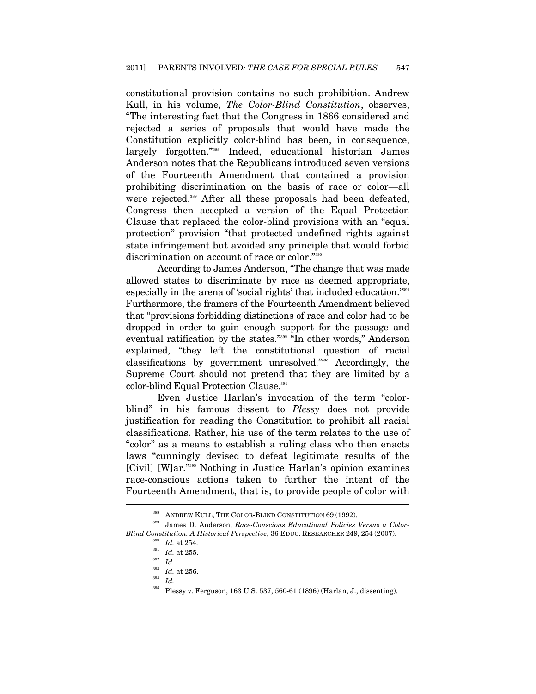constitutional provision contains no such prohibition. Andrew Kull, in his volume, *The Color-Blind Constitution*, observes, "The interesting fact that the Congress in 1866 considered and rejected a series of proposals that would have made the Constitution explicitly color-blind has been, in consequence, largely forgotten."388 Indeed, educational historian James Anderson notes that the Republicans introduced seven versions of the Fourteenth Amendment that contained a provision prohibiting discrimination on the basis of race or color—all were rejected.<sup>389</sup> After all these proposals had been defeated. Congress then accepted a version of the Equal Protection Clause that replaced the color-blind provisions with an "equal protection" provision "that protected undefined rights against state infringement but avoided any principle that would forbid discrimination on account of race or color."390

According to James Anderson, "The change that was made allowed states to discriminate by race as deemed appropriate, especially in the arena of 'social rights' that included education."391 Furthermore, the framers of the Fourteenth Amendment believed that "provisions forbidding distinctions of race and color had to be dropped in order to gain enough support for the passage and eventual ratification by the states."392 "In other words," Anderson explained, "they left the constitutional question of racial classifications by government unresolved."393 Accordingly, the Supreme Court should not pretend that they are limited by a color-blind Equal Protection Clause.<sup>394</sup>

Even Justice Harlan's invocation of the term "colorblind" in his famous dissent to *Plessy* does not provide justification for reading the Constitution to prohibit all racial classifications. Rather, his use of the term relates to the use of "color" as a means to establish a ruling class who then enacts laws "cunningly devised to defeat legitimate results of the [Civil] [W]ar."395 Nothing in Justice Harlan's opinion examines race-conscious actions taken to further the intent of the Fourteenth Amendment, that is, to provide people of color with  $\overline{a}$ 

<sup>388</sup> ANDREW KULL, THE COLOR-BLIND CONSTITUTION 69 (1992). 389 James D. Anderson, *Race-Conscious Educational Policies Versus a Color-Blind Constitution: A Historical Perspective*, 36 EDUC. RESEARCHER 249, 254 (2007).

 $\frac{390}{391}$  *Id.* at 254.<br>*Id.* at 255.

<sup>391</sup> *Id.* at 255. 392 *Id.* 393 *Id.* at 256. 394 *Id.* 395 Plessy v. Ferguson, 163 U.S. 537, 560-61 (1896) (Harlan, J., dissenting).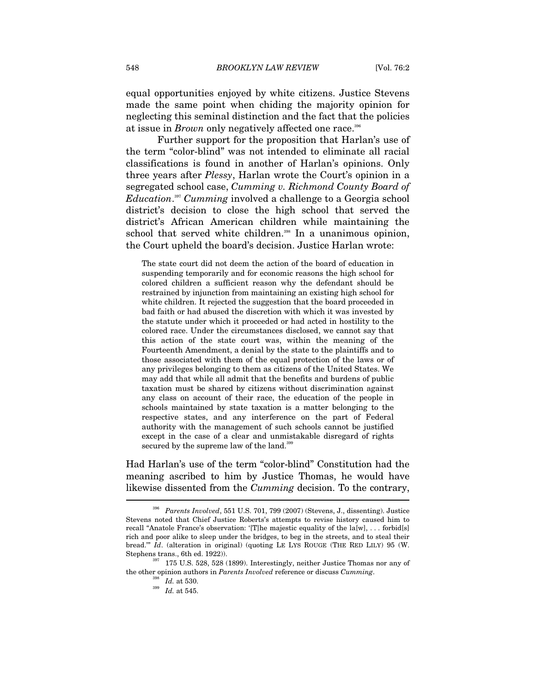equal opportunities enjoyed by white citizens. Justice Stevens made the same point when chiding the majority opinion for neglecting this seminal distinction and the fact that the policies at issue in *Brown* only negatively affected one race.<sup>396</sup>

Further support for the proposition that Harlan's use of the term "color-blind" was not intended to eliminate all racial classifications is found in another of Harlan's opinions. Only three years after *Plessy*, Harlan wrote the Court's opinion in a segregated school case, *Cumming v. Richmond County Board of Education*. <sup>397</sup> *Cumming* involved a challenge to a Georgia school district's decision to close the high school that served the district's African American children while maintaining the school that served white children.<sup>398</sup> In a unanimous opinion, the Court upheld the board's decision. Justice Harlan wrote:

The state court did not deem the action of the board of education in suspending temporarily and for economic reasons the high school for colored children a sufficient reason why the defendant should be restrained by injunction from maintaining an existing high school for white children. It rejected the suggestion that the board proceeded in bad faith or had abused the discretion with which it was invested by the statute under which it proceeded or had acted in hostility to the colored race. Under the circumstances disclosed, we cannot say that this action of the state court was, within the meaning of the Fourteenth Amendment, a denial by the state to the plaintiffs and to those associated with them of the equal protection of the laws or of any privileges belonging to them as citizens of the United States. We may add that while all admit that the benefits and burdens of public taxation must be shared by citizens without discrimination against any class on account of their race, the education of the people in schools maintained by state taxation is a matter belonging to the respective states, and any interference on the part of Federal authority with the management of such schools cannot be justified except in the case of a clear and unmistakable disregard of rights secured by the supreme law of the land.<sup>399</sup>

Had Harlan's use of the term "color-blind" Constitution had the meaning ascribed to him by Justice Thomas, he would have likewise dissented from the *Cumming* decision. To the contrary,

<sup>396</sup> *Parents Involved*, 551 U.S. 701, 799 (2007) (Stevens, J., dissenting). Justice Stevens noted that Chief Justice Roberts's attempts to revise history caused him to recall "Anatole France's observation: '[T]he majestic equality of the la[w], ... forbid[s] rich and poor alike to sleep under the bridges, to beg in the streets, and to steal their bread.'" *Id*. (alteration in original) (quoting LE LYS ROUGE (THE RED LILY) 95 (W. Stephens trans., 6th ed. 1922)). 397 175 U.S. 528, 528 (1899). Interestingly, neither Justice Thomas nor any of

the other opinion authors in *Parents Involved* reference or discuss *Cumming*.<br><sup>398</sup> *Id.* at 530.<br><sup>399</sup> *Id.* at 545.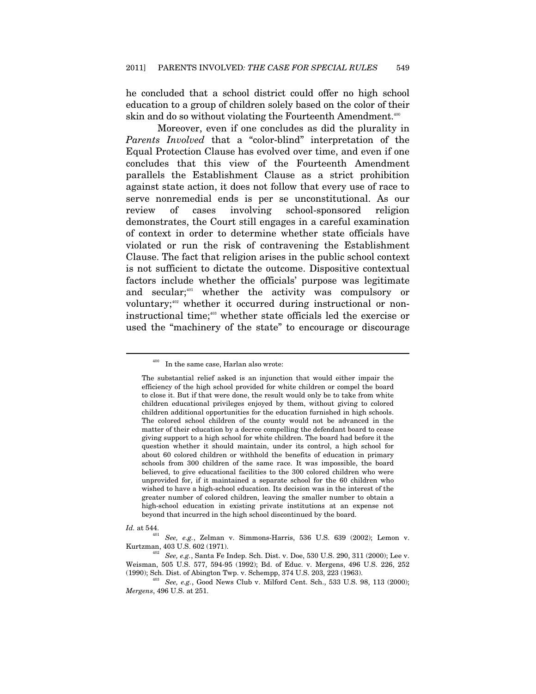he concluded that a school district could offer no high school education to a group of children solely based on the color of their skin and do so without violating the Fourteenth Amendment.<sup>400</sup>

Moreover, even if one concludes as did the plurality in *Parents Involved* that a "color-blind" interpretation of the Equal Protection Clause has evolved over time, and even if one concludes that this view of the Fourteenth Amendment parallels the Establishment Clause as a strict prohibition against state action, it does not follow that every use of race to serve nonremedial ends is per se unconstitutional. As our review of cases involving school-sponsored religion demonstrates, the Court still engages in a careful examination of context in order to determine whether state officials have violated or run the risk of contravening the Establishment Clause. The fact that religion arises in the public school context is not sufficient to dictate the outcome. Dispositive contextual factors include whether the officials' purpose was legitimate and secular;<sup>401</sup> whether the activity was compulsory or voluntary;<sup>402</sup> whether it occurred during instructional or noninstructional time;<sup>403</sup> whether state officials led the exercise or used the "machinery of the state" to encourage or discourage

<sup>&</sup>lt;sup>400</sup> In the same case, Harlan also wrote:

The substantial relief asked is an injunction that would either impair the efficiency of the high school provided for white children or compel the board to close it. But if that were done, the result would only be to take from white children educational privileges enjoyed by them, without giving to colored children additional opportunities for the education furnished in high schools. The colored school children of the county would not be advanced in the matter of their education by a decree compelling the defendant board to cease giving support to a high school for white children. The board had before it the question whether it should maintain, under its control, a high school for about 60 colored children or withhold the benefits of education in primary schools from 300 children of the same race. It was impossible, the board believed, to give educational facilities to the 300 colored children who were unprovided for, if it maintained a separate school for the 60 children who wished to have a high-school education. Its decision was in the interest of the greater number of colored children, leaving the smaller number to obtain a high-school education in existing private institutions at an expense not beyond that incurred in the high school discontinued by the board.

*Id.* at 544. 401 *See, e.g.*, Zelman v. Simmons-Harris, 536 U.S. 639 (2002); Lemon v. Kurtzman, 403 U.S. 602 (1971).<br><sup>402</sup> *See, e.g.*, Santa Fe Indep. Sch. Dist. v. Doe, 530 U.S. 290, 311 (2000); Lee v.

Weisman, 505 U.S. 577, 594-95 (1992); Bd. of Educ. v. Mergens, 496 U.S. 226, 252 (1990); Sch. Dist. of Abington Twp. v. Schempp, 374 U.S. 203, 223 (1963).

<sup>&</sup>lt;sup>403</sup> See, e.g., Good News Club v. Milford Cent. Sch., 533 U.S. 98, 113 (2000); *Mergens*, 496 U.S. at 251.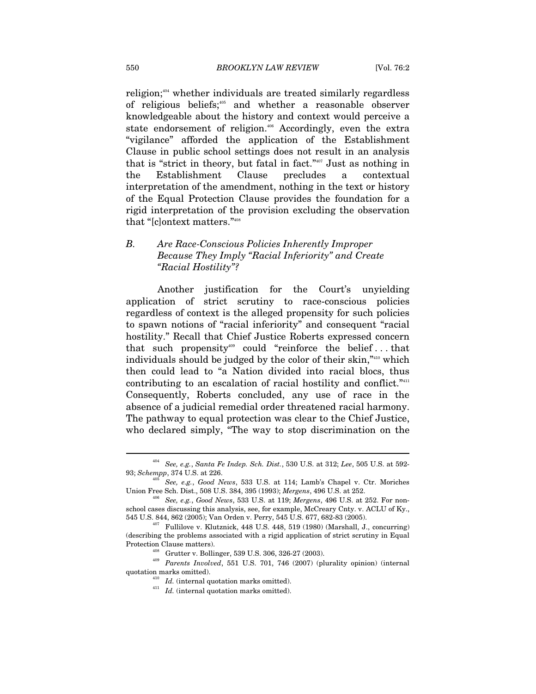religion; $404$  whether individuals are treated similarly regardless of religious beliefs;405 and whether a reasonable observer knowledgeable about the history and context would perceive a state endorsement of religion.<sup>406</sup> Accordingly, even the extra "vigilance" afforded the application of the Establishment Clause in public school settings does not result in an analysis that is "strict in theory, but fatal in fact."407 Just as nothing in the Establishment Clause precludes a contextual interpretation of the amendment, nothing in the text or history of the Equal Protection Clause provides the foundation for a rigid interpretation of the provision excluding the observation that "[c]ontext matters."408

### *B. Are Race-Conscious Policies Inherently Improper Because They Imply "Racial Inferiority" and Create "Racial Hostility"?*

Another justification for the Court's unyielding application of strict scrutiny to race-conscious policies regardless of context is the alleged propensity for such policies to spawn notions of "racial inferiority" and consequent "racial hostility." Recall that Chief Justice Roberts expressed concern that such propensity<sup>409</sup> could "reinforce the belief...that individuals should be judged by the color of their skin,"410 which then could lead to "a Nation divided into racial blocs, thus contributing to an escalation of racial hostility and conflict."411 Consequently, Roberts concluded, any use of race in the absence of a judicial remedial order threatened racial harmony. The pathway to equal protection was clear to the Chief Justice, who declared simply, "The way to stop discrimination on the

<sup>404</sup> *See, e.g.*, *Santa Fe Indep. Sch. Dist.*, 530 U.S. at 312; *Lee*, 505 U.S. at 592-

<sup>&</sup>lt;sup>405</sup> *See, e.g., Good News,* 533 U.S. at 114; Lamb's Chapel v. Ctr. Moriches Union Free Sch. Dist., 508 U.S. 384, 395 (1993); *Mergens*, 496 U.S. at 252.

Union Free Sch. Dist., 508 U.S. 384, 395 (1993); *Mergens*, 496 U.S. at 252. 406 *See, e.g.*, *Good News*, 533 U.S. at 119; *Mergens*, 496 U.S. at 252. For nonschool cases discussing this analysis, see, for example, McCreary Cnty. v. ACLU of Ky., 545 U.S. 844, 862 (2005); Van Orden v. Perry, 545 U.S. 677, 682-83 (2005). 407 Fullilove v. Klutznick, 448 U.S. 448, 519 (1980) (Marshall, J., concurring)

<sup>(</sup>describing the problems associated with a rigid application of strict scrutiny in Equal Protection Clause matters). 408 Grutter v. Bollinger, 539 U.S. 306, 326-27 (2003). 409 *Parents Involved*, 551 U.S. 701, 746 (2007) (plurality opinion) (internal

quotation marks omitted). 410 *Id.* (internal quotation marks omitted). 411 *Id.* (internal quotation marks omitted).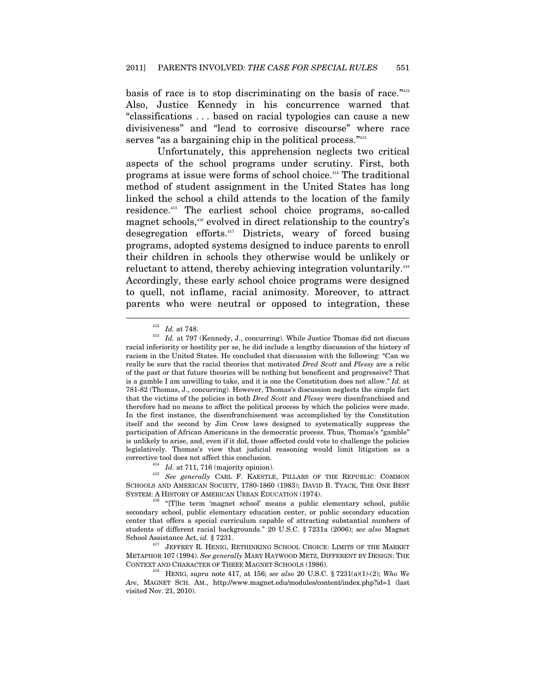basis of race is to stop discriminating on the basis of race."412 Also, Justice Kennedy in his concurrence warned that "classifications . . . based on racial typologies can cause a new divisiveness" and "lead to corrosive discourse" where race serves "as a bargaining chip in the political process."<sup>413</sup>

Unfortunately, this apprehension neglects two critical aspects of the school programs under scrutiny. First, both programs at issue were forms of school choice.414 The traditional method of student assignment in the United States has long linked the school a child attends to the location of the family residence.415 The earliest school choice programs, so-called magnet schools,<sup>416</sup> evolved in direct relationship to the country's desegregation efforts.417 Districts, weary of forced busing programs, adopted systems designed to induce parents to enroll their children in schools they otherwise would be unlikely or reluctant to attend, thereby achieving integration voluntarily.<sup>418</sup> Accordingly, these early school choice programs were designed to quell, not inflame, racial animosity. Moreover, to attract parents who were neutral or opposed to integration, these

 $\begin{array}{ll} 412 \quad Id. \text{ at } 748. \end{array}$  *Id.* at 797 (Kennedy, J., concurring). While Justice Thomas did not discuss racial inferiority or hostility per se, he did include a lengthy discussion of the history of racism in the United States. He concluded that discussion with the following: "Can we really be sure that the racial theories that motivated *Dred Scott* and *Plessy* are a relic of the past or that future theories will be nothing but beneficent and progressive? That is a gamble I am unwilling to take, and it is one the Constitution does not allow." *Id.* at 781-82 (Thomas, J., concurring). However, Thomas's discussion neglects the simple fact that the victims of the policies in both *Dred Scott* and *Plessy* were disenfranchised and therefore had no means to affect the political process by which the policies were made. In the first instance, the disenfranchisement was accomplished by the Constitution itself and the second by Jim Crow laws designed to systematically suppress the participation of African Americans in the democratic process. Thus, Thomas's "gamble" is unlikely to arise, and, even if it did, those affected could vote to challenge the policies legislatively. Thomas's view that judicial reasoning would limit litigation as a corrective tool does not affect this conclusion. 414 *Id.* at 711, 716 (majority opinion). 415 *See generally* CARL F. KAESTLE, PILLARS OF THE REPUBLIC: COMMON

SCHOOLS AND AMERICAN SOCIETY, 1780-1860 (1983); DAVID B. TYACK, THE ONE BEST SYSTEM: <sup>A</sup> HISTORY OF AMERICAN URBAN EDUCATION (1974). 416 "[T]he term 'magnet school' means a public elementary school, public

secondary school, public elementary education center, or public secondary education center that offers a special curriculum capable of attracting substantial numbers of students of different racial backgrounds." 20 U.S.C. § 7231a (2006); *see also* Magnet

<sup>&</sup>lt;sup>417</sup> JEFFREY R. HENIG, RETHINKING SCHOOL CHOICE: LIMITS OF THE MARKET METAPHOR 107 (1994). *See generally* MARY HAYWOOD METZ, DIFFERENT BY DESIGN: THE CONTEXT AND CHARACTER OF THREE MAGNET SCHOOLS (1986). 418 HENIG, *supra* note 417, at 156; *see also* 20 U.S.C. § 7231(a)(1)-(2); *Who We* 

*Are*, MAGNET SCH. AM., http://www.magnet.edu/modules/content/index.php?id=1 (last visited Nov. 21, 2010).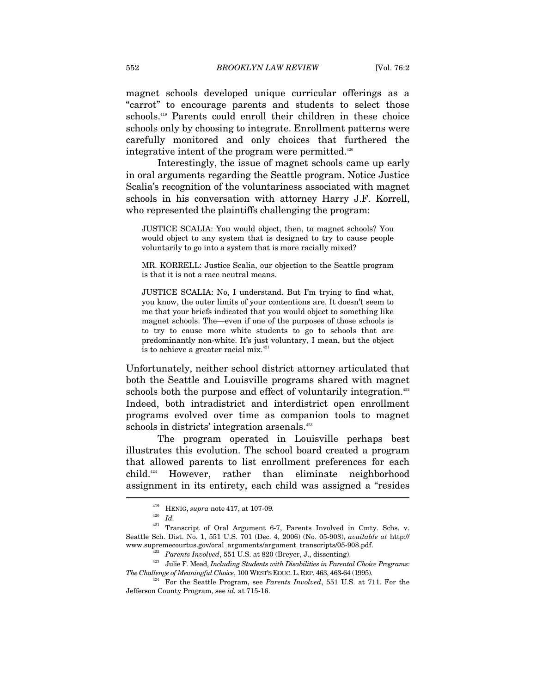magnet schools developed unique curricular offerings as a "carrot" to encourage parents and students to select those schools.<sup>419</sup> Parents could enroll their children in these choice schools only by choosing to integrate. Enrollment patterns were carefully monitored and only choices that furthered the integrative intent of the program were permitted.<sup>420</sup>

Interestingly, the issue of magnet schools came up early in oral arguments regarding the Seattle program. Notice Justice Scalia's recognition of the voluntariness associated with magnet schools in his conversation with attorney Harry J.F. Korrell, who represented the plaintiffs challenging the program:

JUSTICE SCALIA: You would object, then, to magnet schools? You would object to any system that is designed to try to cause people voluntarily to go into a system that is more racially mixed?

MR. KORRELL: Justice Scalia, our objection to the Seattle program is that it is not a race neutral means.

JUSTICE SCALIA: No, I understand. But I'm trying to find what, you know, the outer limits of your contentions are. It doesn't seem to me that your briefs indicated that you would object to something like magnet schools. The—even if one of the purposes of those schools is to try to cause more white students to go to schools that are predominantly non-white. It's just voluntary, I mean, but the object is to achieve a greater racial mix. $421$ 

Unfortunately, neither school district attorney articulated that both the Seattle and Louisville programs shared with magnet schools both the purpose and effect of voluntarily integration.<sup>422</sup> Indeed, both intradistrict and interdistrict open enrollment programs evolved over time as companion tools to magnet schools in districts' integration arsenals.<sup>423</sup>

The program operated in Louisville perhaps best illustrates this evolution. The school board created a program that allowed parents to list enrollment preferences for each child.424 However, rather than eliminate neighborhood assignment in its entirety, each child was assigned a "resides  $\overline{a}$ 

<sup>419</sup> HENIG, *supra* note 417, at 107-09*.*

<sup>420</sup> *Id.*

<sup>421</sup> Transcript of Oral Argument 6-7, Parents Involved in Cmty. Schs. v. Seattle Sch. Dist. No. 1, 551 U.S. 701 (Dec. 4, 2006) (No. 05-908), *available at* http://

www.supremecourtus.gov/oral\_arguments/argument\_transcripts/05-908.pdf.<br>
<sup>422</sup> Parents Involved, 551 U.S. at 820 (Breyer, J., dissenting).<br>
<sup>423</sup> Julie F. Mead, Including Students with Disabilities in Parental Choice Progra

<sup>&</sup>lt;sup>424</sup> For the Seattle Program, see *Parents Involved*, 551 U.S. at 711. For the Jefferson County Program, see *id.* at 715-16.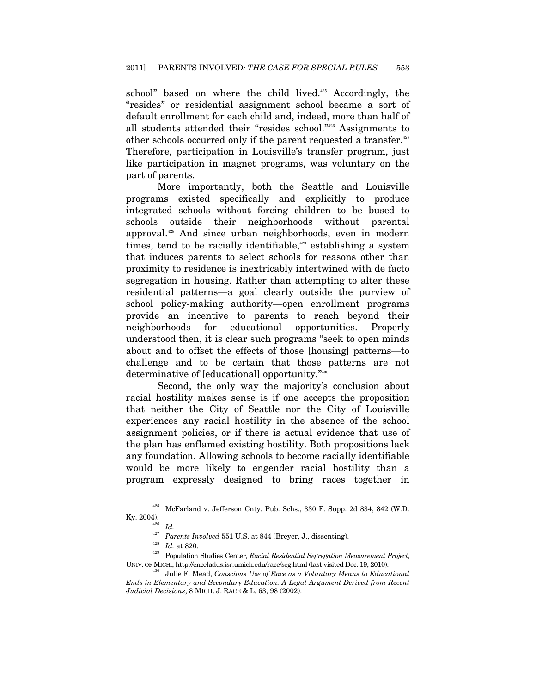school" based on where the child lived. $425$  Accordingly, the "resides" or residential assignment school became a sort of default enrollment for each child and, indeed, more than half of all students attended their "resides school."426 Assignments to other schools occurred only if the parent requested a transfer.<sup>427</sup> Therefore, participation in Louisville's transfer program, just like participation in magnet programs, was voluntary on the part of parents.

More importantly, both the Seattle and Louisville programs existed specifically and explicitly to produce integrated schools without forcing children to be bused to schools outside their neighborhoods without parental approval.428 And since urban neighborhoods, even in modern times, tend to be racially identifiable, $429$  establishing a system that induces parents to select schools for reasons other than proximity to residence is inextricably intertwined with de facto segregation in housing. Rather than attempting to alter these residential patterns—a goal clearly outside the purview of school policy-making authority—open enrollment programs provide an incentive to parents to reach beyond their neighborhoods for educational opportunities. Properly understood then, it is clear such programs "seek to open minds about and to offset the effects of those [housing] patterns—to challenge and to be certain that those patterns are not determinative of [educational] opportunity."430

Second, the only way the majority's conclusion about racial hostility makes sense is if one accepts the proposition that neither the City of Seattle nor the City of Louisville experiences any racial hostility in the absence of the school assignment policies, or if there is actual evidence that use of the plan has enflamed existing hostility. Both propositions lack any foundation. Allowing schools to become racially identifiable would be more likely to engender racial hostility than a program expressly designed to bring races together in

 $^{425}\,$  McFarland v. Jefferson Cnty. Pub. Schs., 330 F. Supp. 2d 834, 842 (W.D. Ky. 2004).<br> $I_{\rm 426}$   $I_{\rm d}$   $I_{\rm d}$   $I_{\rm H}$   $I_{\rm H}$   $I_{\rm H}$   $I_{\rm H}$   $I_{\rm H}$   $I_{\rm H}$   $I_{\rm H}$   $I_{\rm H}$   $I_{\rm H}$   $I_{\rm H}$   $I_{\rm H}$   $I_{\rm H}$   $I_{\rm H}$   $I_{\rm H}$   $I_{\rm H}$   $I_{\rm H}$   $I_{\rm H}$   $I_{\rm H}$   $I_{\rm H}$   $I_{\rm H}$ 

<sup>427</sup> *Parents Involved* 551 U.S. at 844 (Breyer, J., dissenting). 428 *Id.* at 820. 429 Population Studies Center, *Racial Residential Segregation Measurement Project*, UNIV. OF MICH., http://enceladus.isr.umich.edu/race/seg.html (last visited Dec. 19, 2010). 430 Julie F. Mead, *Conscious Use of Race as a Voluntary Means to Educational* 

*Ends in Elementary and Secondary Education: A Legal Argument Derived from Recent Judicial Decisions*, 8 MICH. J. RACE & L. 63, 98 (2002).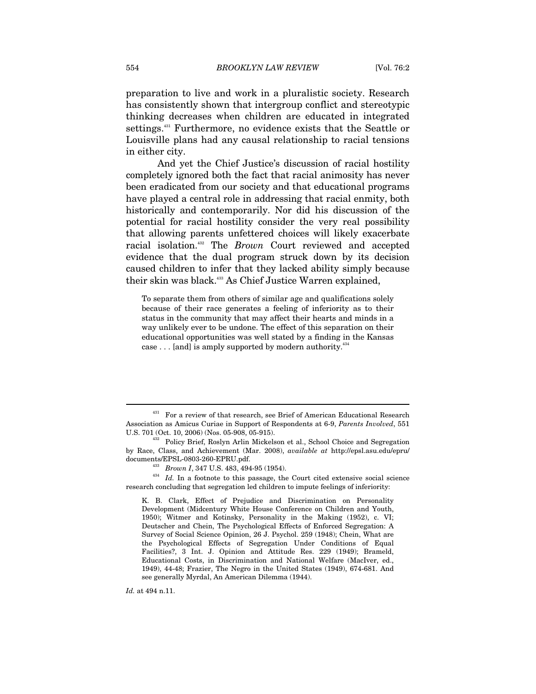preparation to live and work in a pluralistic society. Research has consistently shown that intergroup conflict and stereotypic thinking decreases when children are educated in integrated settings.431 Furthermore, no evidence exists that the Seattle or Louisville plans had any causal relationship to racial tensions in either city.

And yet the Chief Justice's discussion of racial hostility completely ignored both the fact that racial animosity has never been eradicated from our society and that educational programs have played a central role in addressing that racial enmity, both historically and contemporarily. Nor did his discussion of the potential for racial hostility consider the very real possibility that allowing parents unfettered choices will likely exacerbate racial isolation.432 The *Brown* Court reviewed and accepted evidence that the dual program struck down by its decision caused children to infer that they lacked ability simply because their skin was black.433 As Chief Justice Warren explained,

To separate them from others of similar age and qualifications solely because of their race generates a feeling of inferiority as to their status in the community that may affect their hearts and minds in a way unlikely ever to be undone. The effect of this separation on their educational opportunities was well stated by a finding in the Kansas case  $\dots$  [and] is amply supported by modern authority.<sup>434</sup>

documents/EPSL-0803, 494-95 (1954).<br><sup>434</sup> *Id.* In a footnote to this passage, the Court cited extensive social science research concluding that segregation led children to impute feelings of inferiority:

K. B. Clark, Effect of Prejudice and Discrimination on Personality Development (Midcentury White House Conference on Children and Youth, 1950); Witmer and Kotinsky, Personality in the Making (1952), c. VI; Deutscher and Chein, The Psychological Effects of Enforced Segregation: A Survey of Social Science Opinion, 26 J. Psychol. 259 (1948); Chein, What are the Psychological Effects of Segregation Under Conditions of Equal Facilities?, 3 Int. J. Opinion and Attitude Res. 229 (1949); Brameld, Educational Costs, in Discrimination and National Welfare (MacIver, ed., 1949), 44-48; Frazier, The Negro in the United States (1949), 674-681. And see generally Myrdal, An American Dilemma (1944).

*Id.* at 494 n.11.

<sup>431</sup> For a review of that research, see Brief of American Educational Research Association as Amicus Curiae in Support of Respondents at 6-9, *Parents Involved*, 551

<sup>432</sup> Policy Brief, Roslyn Arlin Mickelson et al., School Choice and Segregation by Race, Class, and Achievement (Mar. 2008), *available at* http://epsl.asu.edu/epru/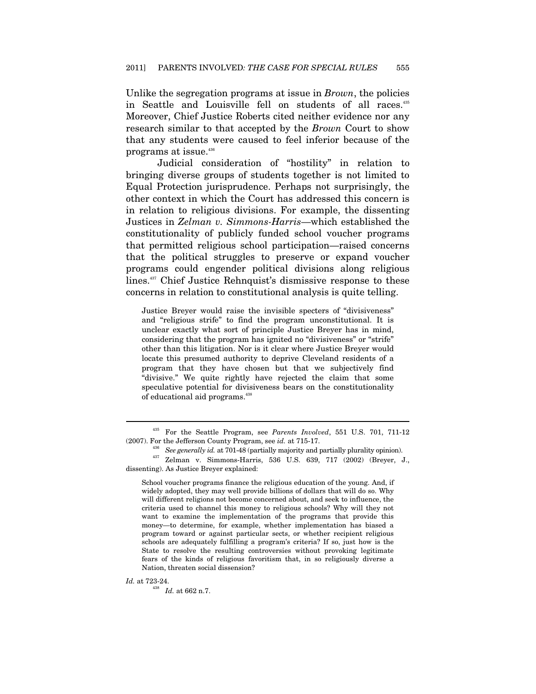Unlike the segregation programs at issue in *Brown*, the policies in Seattle and Louisville fell on students of all races.<sup>435</sup> Moreover, Chief Justice Roberts cited neither evidence nor any research similar to that accepted by the *Brown* Court to show that any students were caused to feel inferior because of the programs at issue.436

Judicial consideration of "hostility" in relation to bringing diverse groups of students together is not limited to Equal Protection jurisprudence. Perhaps not surprisingly, the other context in which the Court has addressed this concern is in relation to religious divisions. For example, the dissenting Justices in *Zelman v. Simmons-Harris*—which established the constitutionality of publicly funded school voucher programs that permitted religious school participation—raised concerns that the political struggles to preserve or expand voucher programs could engender political divisions along religious lines.437 Chief Justice Rehnquist's dismissive response to these concerns in relation to constitutional analysis is quite telling.

Justice Breyer would raise the invisible specters of "divisiveness" and "religious strife" to find the program unconstitutional. It is unclear exactly what sort of principle Justice Breyer has in mind, considering that the program has ignited no "divisiveness" or "strife" other than this litigation. Nor is it clear where Justice Breyer would locate this presumed authority to deprive Cleveland residents of a program that they have chosen but that we subjectively find "divisive." We quite rightly have rejected the claim that some speculative potential for divisiveness bears on the constitutionality of educational aid programs.<sup>438</sup>

School voucher programs finance the religious education of the young. And, if widely adopted, they may well provide billions of dollars that will do so. Why will different religions not become concerned about, and seek to influence, the criteria used to channel this money to religious schools? Why will they not want to examine the implementation of the programs that provide this money—to determine, for example, whether implementation has biased a program toward or against particular sects, or whether recipient religious schools are adequately fulfilling a program's criteria? If so, just how is the State to resolve the resulting controversies without provoking legitimate fears of the kinds of religious favoritism that, in so religiously diverse a Nation, threaten social dissension?

 $\emph{Id.}$  at 723-24.  $\emph{Id.}$  at 662 n.7.

<sup>435</sup> For the Seattle Program, see *Parents Involved*, 551 U.S. 701, 711-12 (2007). For the Jefferson County Program, see *id.* at 715-17.<br><sup>436</sup> See generally id. at 701-48 (partially majority and partially plurality opinion).

<sup>&</sup>lt;sup>437</sup> Zelman v. Simmons-Harris, 536 U.S. 639, 717 (2002) (Breyer, J., dissenting). As Justice Breyer explained: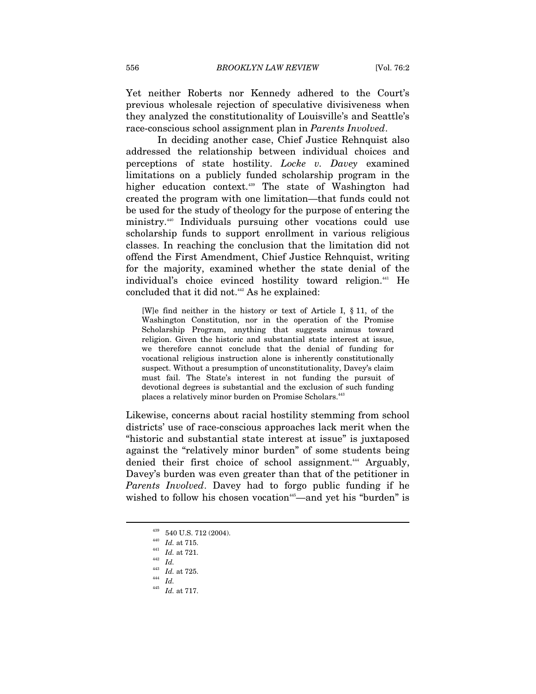Yet neither Roberts nor Kennedy adhered to the Court's previous wholesale rejection of speculative divisiveness when they analyzed the constitutionality of Louisville's and Seattle's race-conscious school assignment plan in *Parents Involved*.

In deciding another case, Chief Justice Rehnquist also addressed the relationship between individual choices and perceptions of state hostility. *Locke v. Davey* examined limitations on a publicly funded scholarship program in the higher education context.<sup>439</sup> The state of Washington had created the program with one limitation—that funds could not be used for the study of theology for the purpose of entering the ministry.440 Individuals pursuing other vocations could use scholarship funds to support enrollment in various religious classes. In reaching the conclusion that the limitation did not offend the First Amendment, Chief Justice Rehnquist, writing for the majority, examined whether the state denial of the individual's choice evinced hostility toward religion.<sup>441</sup> He concluded that it did not.442 As he explained:

[W]e find neither in the history or text of Article I, § 11, of the Washington Constitution, nor in the operation of the Promise Scholarship Program, anything that suggests animus toward religion. Given the historic and substantial state interest at issue, we therefore cannot conclude that the denial of funding for vocational religious instruction alone is inherently constitutionally suspect. Without a presumption of unconstitutionality, Davey's claim must fail. The State's interest in not funding the pursuit of devotional degrees is substantial and the exclusion of such funding places a relatively minor burden on Promise Scholars.<sup>443</sup>

Likewise, concerns about racial hostility stemming from school districts' use of race-conscious approaches lack merit when the "historic and substantial state interest at issue" is juxtaposed against the "relatively minor burden" of some students being denied their first choice of school assignment.<sup>444</sup> Arguably, Davey's burden was even greater than that of the petitioner in *Parents Involved*. Davey had to forgo public funding if he wished to follow his chosen vocation<sup>445</sup>—and yet his "burden" is

 $^{439}$  540 U.S. 712 (2004).<br> $^{440}$  *Id.* at 715.

<sup>&</sup>lt;sup>441</sup> *Id.* at 721.<br><sup>442</sup> *Id.* 

<sup>&</sup>lt;sup>443</sup> *Id.* at 725.<br><sup>444</sup> *Id.* 

 $^{445}\;$   $Id.\;$  at 717.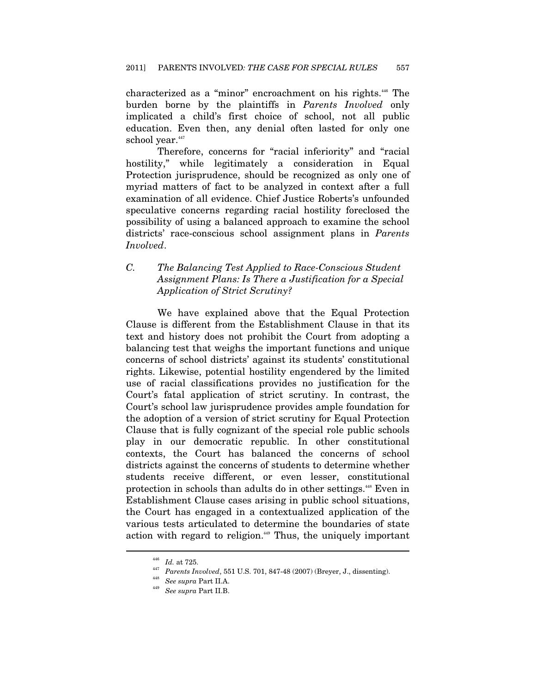characterized as a "minor" encroachment on his rights.446 The burden borne by the plaintiffs in *Parents Involved* only implicated a child's first choice of school, not all public education. Even then, any denial often lasted for only one school year.<sup>447</sup>

Therefore, concerns for "racial inferiority" and "racial hostility," while legitimately a consideration in Equal Protection jurisprudence, should be recognized as only one of myriad matters of fact to be analyzed in context after a full examination of all evidence. Chief Justice Roberts's unfounded speculative concerns regarding racial hostility foreclosed the possibility of using a balanced approach to examine the school districts' race-conscious school assignment plans in *Parents Involved*.

## *C. The Balancing Test Applied to Race-Conscious Student Assignment Plans: Is There a Justification for a Special Application of Strict Scrutiny?*

We have explained above that the Equal Protection Clause is different from the Establishment Clause in that its text and history does not prohibit the Court from adopting a balancing test that weighs the important functions and unique concerns of school districts' against its students' constitutional rights. Likewise, potential hostility engendered by the limited use of racial classifications provides no justification for the Court's fatal application of strict scrutiny. In contrast, the Court's school law jurisprudence provides ample foundation for the adoption of a version of strict scrutiny for Equal Protection Clause that is fully cognizant of the special role public schools play in our democratic republic. In other constitutional contexts, the Court has balanced the concerns of school districts against the concerns of students to determine whether students receive different, or even lesser, constitutional protection in schools than adults do in other settings.448 Even in Establishment Clause cases arising in public school situations, the Court has engaged in a contextualized application of the various tests articulated to determine the boundaries of state action with regard to religion.<sup>449</sup> Thus, the uniquely important

 $^{446}\;$   $Id.$  at 725.

*Id. Parents Involved*, 551 U.S. 701, 847-48 (2007) (Breyer, J., dissenting). See supra Part II.A.

*See supra* Part II.B.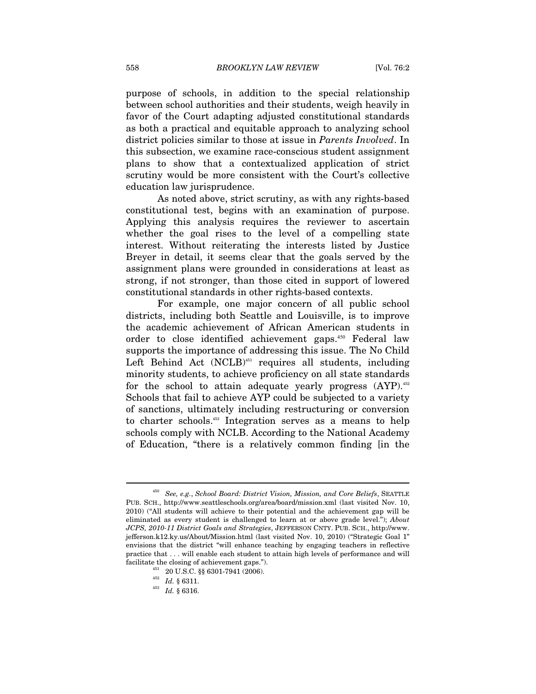purpose of schools, in addition to the special relationship between school authorities and their students, weigh heavily in favor of the Court adapting adjusted constitutional standards as both a practical and equitable approach to analyzing school district policies similar to those at issue in *Parents Involved*. In this subsection, we examine race-conscious student assignment plans to show that a contextualized application of strict scrutiny would be more consistent with the Court's collective education law jurisprudence.

As noted above, strict scrutiny, as with any rights-based constitutional test, begins with an examination of purpose. Applying this analysis requires the reviewer to ascertain whether the goal rises to the level of a compelling state interest. Without reiterating the interests listed by Justice Breyer in detail, it seems clear that the goals served by the assignment plans were grounded in considerations at least as strong, if not stronger, than those cited in support of lowered constitutional standards in other rights-based contexts.

For example, one major concern of all public school districts, including both Seattle and Louisville, is to improve the academic achievement of African American students in order to close identified achievement gaps.<sup>450</sup> Federal law supports the importance of addressing this issue. The No Child Left Behind Act  $(NCLB)$ <sup>451</sup> requires all students, including minority students, to achieve proficiency on all state standards for the school to attain adequate yearly progress  $(AYP)$ .<sup>452</sup> Schools that fail to achieve AYP could be subjected to a variety of sanctions, ultimately including restructuring or conversion to charter schools.453 Integration serves as a means to help schools comply with NCLB. According to the National Academy of Education, "there is a relatively common finding [in the

<sup>450</sup> *See, e.g.*, *School Board: District Vision, Mission, and Core Beliefs*, SEATTLE PUB. SCH., http://www.seattleschools.org/area/board/mission.xml (last visited Nov. 10, 2010) ("All students will achieve to their potential and the achievement gap will be eliminated as every student is challenged to learn at or above grade level."); *About JCPS, 2010-11 District Goals and Strategies*, JEFFERSON CNTY. PUB. SCH., http://www. jefferson.k12.ky.us/About/Mission.html (last visited Nov. 10, 2010) ("Strategic Goal 1" envisions that the district "will enhance teaching by engaging teachers in reflective practice that . . . will enable each student to attain high levels of performance and will facilitate the closing of achievement gaps."). 451 20 U.S.C. §§ 6301-7941 (2006). 452 *Id.* § 6311. 453 *Id.* § 6316.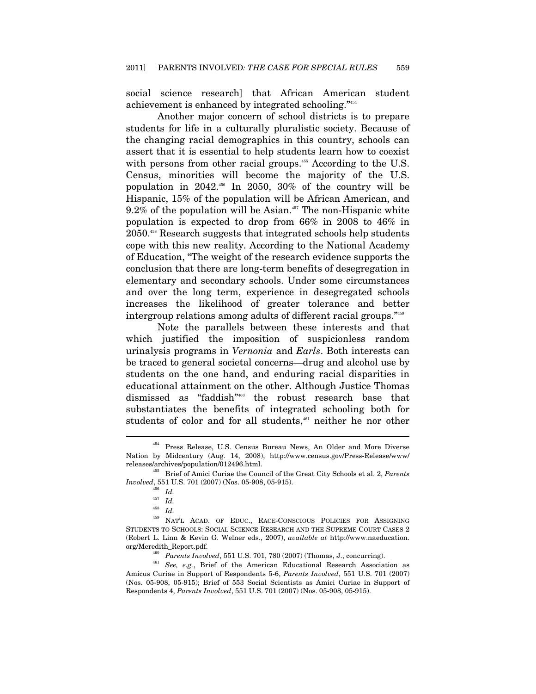social science research] that African American student achievement is enhanced by integrated schooling."454

Another major concern of school districts is to prepare students for life in a culturally pluralistic society. Because of the changing racial demographics in this country, schools can assert that it is essential to help students learn how to coexist with persons from other racial groups.<sup>455</sup> According to the U.S. Census, minorities will become the majority of the U.S. population in  $2042<sup>456</sup>$  In  $2050$ ,  $30\%$  of the country will be Hispanic, 15% of the population will be African American, and  $9.2\%$  of the population will be Asian.<sup>457</sup> The non-Hispanic white population is expected to drop from 66% in 2008 to 46% in 2050.458 Research suggests that integrated schools help students cope with this new reality. According to the National Academy of Education, "The weight of the research evidence supports the conclusion that there are long-term benefits of desegregation in elementary and secondary schools. Under some circumstances and over the long term, experience in desegregated schools increases the likelihood of greater tolerance and better intergroup relations among adults of different racial groups."459

Note the parallels between these interests and that which justified the imposition of suspicionless random urinalysis programs in *Vernonia* and *Earls*. Both interests can be traced to general societal concerns—drug and alcohol use by students on the one hand, and enduring racial disparities in educational attainment on the other. Although Justice Thomas dismissed as "faddish"460 the robust research base that substantiates the benefits of integrated schooling both for students of color and for all students,<sup>461</sup> neither he nor other

<sup>454</sup> Press Release, U.S. Census Bureau News, An Older and More Diverse Nation by Midcentury (Aug. 14, 2008), http://www.census.gov/Press-Release/www/ releases/archives/population/012496.html. 455 Brief of Amici Curiae the Council of the Great City Schools et al. 2, *Parents* 

*Involved*, 551 U.S. 701 (2007) (Nos. 05-908, 05-915).

 $\frac{^{456}}{^{457}}$  *Id.* 

<sup>457</sup> *Id.* 458 *Id.* 459 NAT'L ACAD. OF EDUC., RACE-CONSCIOUS POLICIES FOR ASSIGNING STUDENTS TO SCHOOLS: SOCIAL SCIENCE RESEARCH AND THE SUPREME COURT CASES 2 (Robert L. Linn & Kevin G. Welner eds., 2007), *available at* http://www.naeducation.

org/Meredith\_Report.pdf.<br><sup>460</sup> *Parents Involved*, 551 U.S. 701, 780 (2007) (Thomas, J., concurring).<br><sup>461</sup> *See, e.g.*, Brief of the American Educational Research Association as Amicus Curiae in Support of Respondents 5-6, *Parents Involved*, 551 U.S. 701 (2007) (Nos. 05-908, 05-915); Brief of 553 Social Scientists as Amici Curiae in Support of Respondents 4, *Parents Involved*, 551 U.S. 701 (2007) (Nos. 05-908, 05-915).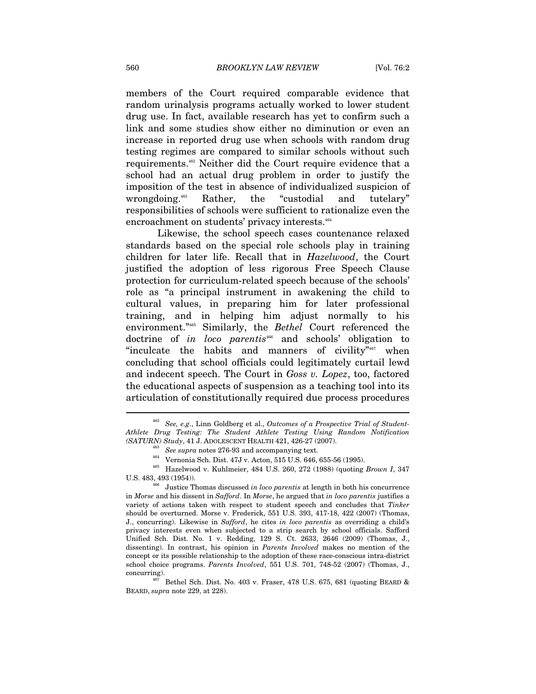members of the Court required comparable evidence that random urinalysis programs actually worked to lower student drug use. In fact, available research has yet to confirm such a link and some studies show either no diminution or even an increase in reported drug use when schools with random drug testing regimes are compared to similar schools without such requirements.462 Neither did the Court require evidence that a school had an actual drug problem in order to justify the imposition of the test in absence of individualized suspicion of wrongdoing.<sup>463</sup> Rather, the "custodial and tutelary" responsibilities of schools were sufficient to rationalize even the encroachment on students' privacy interests.<sup>464</sup>

Likewise, the school speech cases countenance relaxed standards based on the special role schools play in training children for later life. Recall that in *Hazelwood*, the Court justified the adoption of less rigorous Free Speech Clause protection for curriculum-related speech because of the schools' role as "a principal instrument in awakening the child to cultural values, in preparing him for later professional training, and in helping him adjust normally to his environment."465 Similarly, the *Bethel* Court referenced the doctrine of *in loco parentis*466 and schools' obligation to "inculcate the habits and manners of civility"<sup>467</sup> when concluding that school officials could legitimately curtail lewd and indecent speech. The Court in *Goss v. Lopez*, too, factored the educational aspects of suspension as a teaching tool into its articulation of constitutionally required due process procedures

<sup>462</sup> *See, e.g*., Linn Goldberg et al., *Outcomes of a Prospective Trial of Student-Athlete Drug Testing: The Student Athlete Testing Using Random Notification* 

<sup>(</sup>SATURN) Study, 41 J. ADOLESCENT HEALTH 421, 426-27 (2007).<br><sup>463</sup> See supra notes 276-93 and accompanying text.<br><sup>464</sup> Vernonia Sch. Dist. 47J v. Acton, 515 U.S. 646, 655-56 (1995).<br><sup>465</sup> Hazelwood v. Kuhlmeier, 484 U.S. 2

U.S. 483, 493 (1954)). 466 Justice Thomas discussed *in loco parentis* at length in both his concurrence in *Morse* and his dissent in *Safford*. In *Morse*, he argued that *in loco parentis* justifies a variety of actions taken with respect to student speech and concludes that *Tinker* should be overturned. Morse v. Frederick, 551 U.S. 393, 417-18, 422 (2007) (Thomas, J., concurring). Likewise in *Safford*, he cites *in loco parentis* as overriding a child's privacy interests even when subjected to a strip search by school officials. Safford Unified Sch. Dist. No. 1 v. Redding, 129 S. Ct. 2633, 2646 (2009) (Thomas, J., dissenting). In contrast, his opinion in *Parents Involved* makes no mention of the concept or its possible relationship to the adoption of these race-conscious intra-district school choice programs. *Parents Involved*, 551 U.S. 701, 748-52 (2007) (Thomas, J.,

concurring). <br>  $^{467}$  Bethel Sch. Dist. No. 403 v. Fraser, 478 U.S. 675, 681 (quoting BEARD  $\&$ BEARD, *supra* note 229, at 228).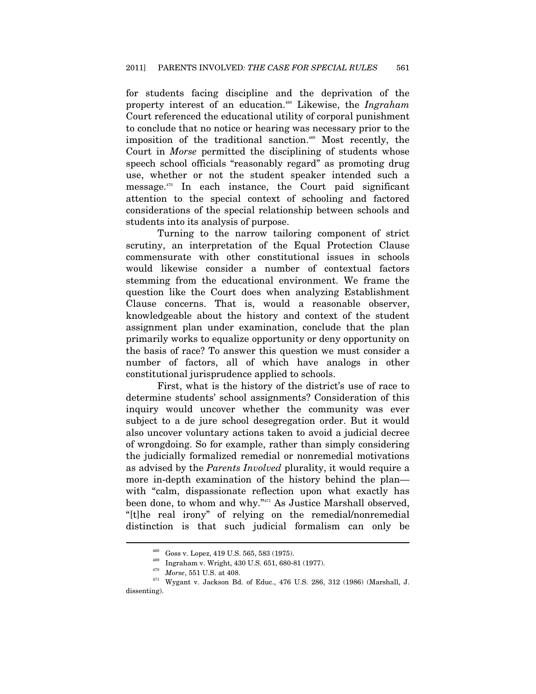for students facing discipline and the deprivation of the property interest of an education.468 Likewise, the *Ingraham* Court referenced the educational utility of corporal punishment to conclude that no notice or hearing was necessary prior to the imposition of the traditional sanction.<sup>469</sup> Most recently, the Court in *Morse* permitted the disciplining of students whose speech school officials "reasonably regard" as promoting drug use, whether or not the student speaker intended such a message.470 In each instance, the Court paid significant attention to the special context of schooling and factored considerations of the special relationship between schools and students into its analysis of purpose.

Turning to the narrow tailoring component of strict scrutiny, an interpretation of the Equal Protection Clause commensurate with other constitutional issues in schools would likewise consider a number of contextual factors stemming from the educational environment. We frame the question like the Court does when analyzing Establishment Clause concerns. That is, would a reasonable observer, knowledgeable about the history and context of the student assignment plan under examination, conclude that the plan primarily works to equalize opportunity or deny opportunity on the basis of race? To answer this question we must consider a number of factors, all of which have analogs in other constitutional jurisprudence applied to schools.

First, what is the history of the district's use of race to determine students' school assignments? Consideration of this inquiry would uncover whether the community was ever subject to a de jure school desegregation order. But it would also uncover voluntary actions taken to avoid a judicial decree of wrongdoing. So for example, rather than simply considering the judicially formalized remedial or nonremedial motivations as advised by the *Parents Involved* plurality, it would require a more in-depth examination of the history behind the plan with "calm, dispassionate reflection upon what exactly has been done, to whom and why."471 As Justice Marshall observed, "[t]he real irony" of relying on the remedial/nonremedial distinction is that such judicial formalism can only be

<sup>&</sup>lt;sup>468</sup> Goss v. Lopez, 419 U.S. 565, 583 (1975).<br><sup>469</sup> Ingraham v. Wright, 430 U.S. 651, 680-81 (1977).<br><sup>470</sup> *Morse*, 551 U.S. at 408.<br><sup>471</sup> Wygant v. Jackson Bd. of Educ., 476 U.S. 286, 312 (1986) (Marshall, J. dissenting).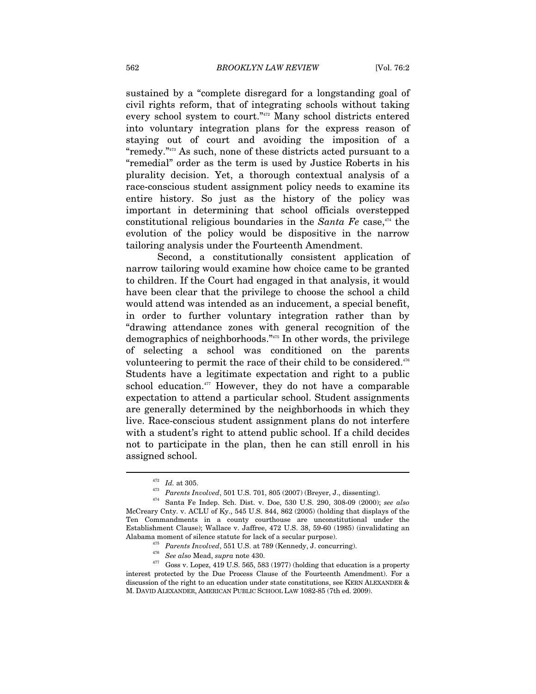sustained by a "complete disregard for a longstanding goal of civil rights reform, that of integrating schools without taking every school system to court."472 Many school districts entered into voluntary integration plans for the express reason of staying out of court and avoiding the imposition of a "remedy."473 As such, none of these districts acted pursuant to a "remedial" order as the term is used by Justice Roberts in his plurality decision. Yet, a thorough contextual analysis of a race-conscious student assignment policy needs to examine its entire history. So just as the history of the policy was important in determining that school officials overstepped constitutional religious boundaries in the *Santa Fe* case,<sup>474</sup> the evolution of the policy would be dispositive in the narrow tailoring analysis under the Fourteenth Amendment.

Second, a constitutionally consistent application of narrow tailoring would examine how choice came to be granted to children. If the Court had engaged in that analysis, it would have been clear that the privilege to choose the school a child would attend was intended as an inducement, a special benefit, in order to further voluntary integration rather than by "drawing attendance zones with general recognition of the demographics of neighborhoods."475 In other words, the privilege of selecting a school was conditioned on the parents volunteering to permit the race of their child to be considered.<sup>476</sup> Students have a legitimate expectation and right to a public school education.<sup>477</sup> However, they do not have a comparable expectation to attend a particular school. Student assignments are generally determined by the neighborhoods in which they live. Race-conscious student assignment plans do not interfere with a student's right to attend public school. If a child decides not to participate in the plan, then he can still enroll in his assigned school.

<sup>472</sup> *Id.* at 305. 473 *Parents Involved*, 501 U.S. 701, 805 (2007) (Breyer, J., dissenting). 474 Santa Fe Indep. Sch. Dist. v. Doe, 530 U.S. 290, 308-09 (2000); *see also*

McCreary Cnty. v. ACLU of Ky., 545 U.S. 844, 862 (2005) (holding that displays of the Ten Commandments in a county courthouse are unconstitutional under the Establishment Clause); Wallace v. Jaffree, 472 U.S. 38, 59-60 (1985) (invalidating an

Alabama moment of silence statute for lack of a secular purpose).<br>  $\frac{475}{17}$  Parents Involved, 551 U.S. at 789 (Kennedy, J. concurring).<br>  $\frac{475}{17}$  See also Mead, supra note 430.<br>
Goss v. Lopez, 419 U.S. 565, 583 (1 interest protected by the Due Process Clause of the Fourteenth Amendment). For a discussion of the right to an education under state constitutions, see KERN ALEXANDER & M. DAVID ALEXANDER, AMERICAN PUBLIC SCHOOL LAW 1082-85 (7th ed. 2009).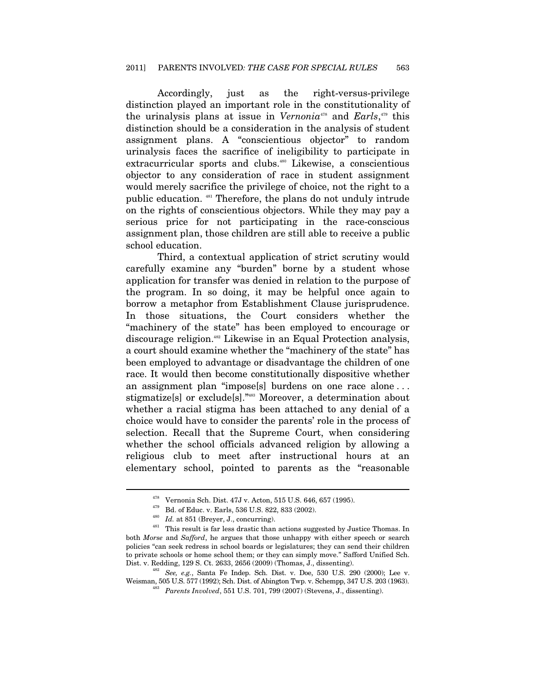Accordingly, just as the right-versus-privilege distinction played an important role in the constitutionality of the urinalysis plans at issue in *Vernonia*<sup>478</sup> and *Earls*,<sup>479</sup> this distinction should be a consideration in the analysis of student assignment plans. A "conscientious objector" to random urinalysis faces the sacrifice of ineligibility to participate in extracurricular sports and clubs.<sup>480</sup> Likewise, a conscientious objector to any consideration of race in student assignment would merely sacrifice the privilege of choice, not the right to a public education. 481 Therefore, the plans do not unduly intrude on the rights of conscientious objectors. While they may pay a serious price for not participating in the race-conscious assignment plan, those children are still able to receive a public school education.

Third, a contextual application of strict scrutiny would carefully examine any "burden" borne by a student whose application for transfer was denied in relation to the purpose of the program. In so doing, it may be helpful once again to borrow a metaphor from Establishment Clause jurisprudence. In those situations, the Court considers whether the "machinery of the state" has been employed to encourage or discourage religion.482 Likewise in an Equal Protection analysis, a court should examine whether the "machinery of the state" has been employed to advantage or disadvantage the children of one race. It would then become constitutionally dispositive whether an assignment plan "impose[s] burdens on one race alone . . . stigmatize[s] or exclude[s]."483 Moreover, a determination about whether a racial stigma has been attached to any denial of a choice would have to consider the parents' role in the process of selection. Recall that the Supreme Court, when considering whether the school officials advanced religion by allowing a religious club to meet after instructional hours at an elementary school, pointed to parents as the "reasonable

<sup>&</sup>lt;sup>478</sup> Vernonia Sch. Dist. 47J v. Acton, 515 U.S. 646, 657 (1995).<br><sup>479</sup> Bd. of Educ. v. Earls, 536 U.S. 822, 833 (2002).<br><sup>480</sup> Id. at 851 (Breyer, J., concurring).<br><sup>481</sup> This result is far less drastic than actions sugges both *Morse* and *Safford*, he argues that those unhappy with either speech or search policies "can seek redress in school boards or legislatures; they can send their children to private schools or home school them; or they can simply move." Safford Unified Sch. Dist. v. Redding, 129 S. Ct. 2633, 2656 (2009) (Thomas, J., dissenting).

<sup>&</sup>lt;sup>482</sup> See, e.g., Santa Fe Indep. Sch. Dist. v. Doe, 530 U.S. 290 (2000); Lee v. Weisman, 505 U.S. 577 (1992); Sch. Dist. of Abington Twp. v. Schempp, 347 U.S. 203 (1963).

<sup>&</sup>lt;sup>483</sup> Parents Involved, 551 U.S. 701, 799 (2007) (Stevens, J., dissenting).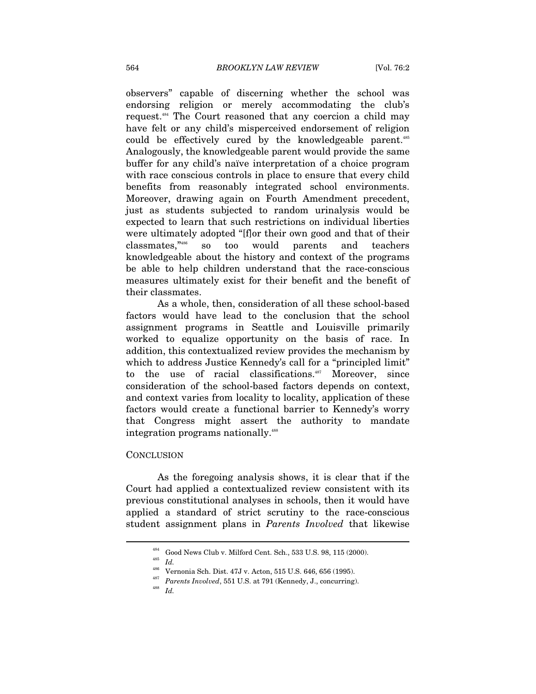observers" capable of discerning whether the school was endorsing religion or merely accommodating the club's request.484 The Court reasoned that any coercion a child may have felt or any child's misperceived endorsement of religion could be effectively cured by the knowledgeable parent.<sup>485</sup> Analogously, the knowledgeable parent would provide the same buffer for any child's naïve interpretation of a choice program with race conscious controls in place to ensure that every child benefits from reasonably integrated school environments. Moreover, drawing again on Fourth Amendment precedent, just as students subjected to random urinalysis would be expected to learn that such restrictions on individual liberties were ultimately adopted "[f]or their own good and that of their classmates,"486 so too would parents and teachers knowledgeable about the history and context of the programs be able to help children understand that the race-conscious measures ultimately exist for their benefit and the benefit of their classmates.

As a whole, then, consideration of all these school-based factors would have lead to the conclusion that the school assignment programs in Seattle and Louisville primarily worked to equalize opportunity on the basis of race. In addition, this contextualized review provides the mechanism by which to address Justice Kennedy's call for a "principled limit" to the use of racial classifications.<sup>487</sup> Moreover, since consideration of the school-based factors depends on context, and context varies from locality to locality, application of these factors would create a functional barrier to Kennedy's worry that Congress might assert the authority to mandate integration programs nationally.<sup>488</sup>

#### **CONCLUSION**

As the foregoing analysis shows, it is clear that if the Court had applied a contextualized review consistent with its previous constitutional analyses in schools, then it would have applied a standard of strict scrutiny to the race-conscious student assignment plans in *Parents Involved* that likewise

<sup>&</sup>lt;sup>484</sup> Good News Club v. Milford Cent. Sch., 533 U.S. 98, 115 (2000).<br><sup>485</sup> *Id.* Vernonia Sch. Dist. 47J v. Acton, 515 U.S. 646, 656 (1995).

 $^\mathrm{487}$   $\;~$  Parents Involved, 551 U.S. at 791 (Kennedy, J., concurring).  $^\mathrm{488}$   $\;$   $\;$   $\;$   $\;$   $\;$   $\;$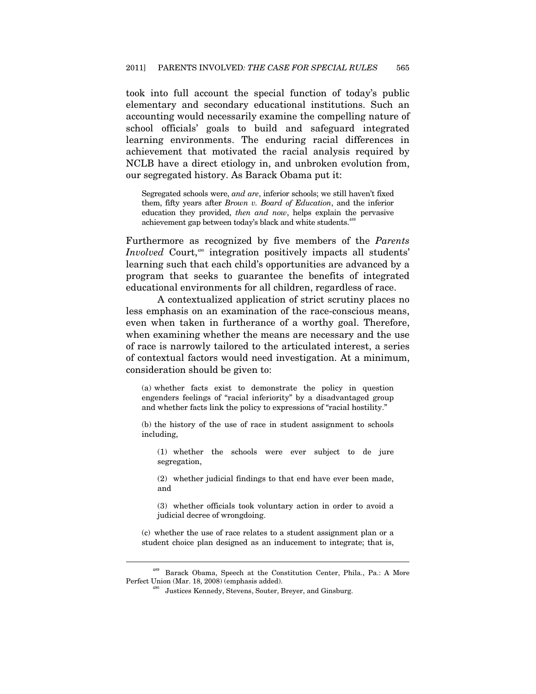took into full account the special function of today's public elementary and secondary educational institutions. Such an accounting would necessarily examine the compelling nature of school officials' goals to build and safeguard integrated learning environments. The enduring racial differences in achievement that motivated the racial analysis required by NCLB have a direct etiology in, and unbroken evolution from, our segregated history. As Barack Obama put it:

Segregated schools were, *and are*, inferior schools; we still haven't fixed them, fifty years after *Brown v. Board of Education*, and the inferior education they provided, *then and now*, helps explain the pervasive achievement gap between today's black and white students.<sup>4</sup>

Furthermore as recognized by five members of the *Parents Involved* Court,<sup>490</sup> integration positively impacts all students' learning such that each child's opportunities are advanced by a program that seeks to guarantee the benefits of integrated educational environments for all children, regardless of race.

A contextualized application of strict scrutiny places no less emphasis on an examination of the race-conscious means, even when taken in furtherance of a worthy goal. Therefore, when examining whether the means are necessary and the use of race is narrowly tailored to the articulated interest, a series of contextual factors would need investigation. At a minimum, consideration should be given to:

(a) whether facts exist to demonstrate the policy in question engenders feelings of "racial inferiority" by a disadvantaged group and whether facts link the policy to expressions of "racial hostility."

(b) the history of the use of race in student assignment to schools including,

(1) whether the schools were ever subject to de jure segregation,

(2) whether judicial findings to that end have ever been made, and

(3) whether officials took voluntary action in order to avoid a judicial decree of wrongdoing.

(c) whether the use of race relates to a student assignment plan or a student choice plan designed as an inducement to integrate; that is,

<sup>&</sup>lt;sup>489</sup> Barack Obama, Speech at the Constitution Center, Phila., Pa.: A More Perfect Union (Mar. 18, 2008) (emphasis added).

<sup>&</sup>lt;sup>490</sup> Justices Kennedy, Stevens, Souter, Breyer, and Ginsburg.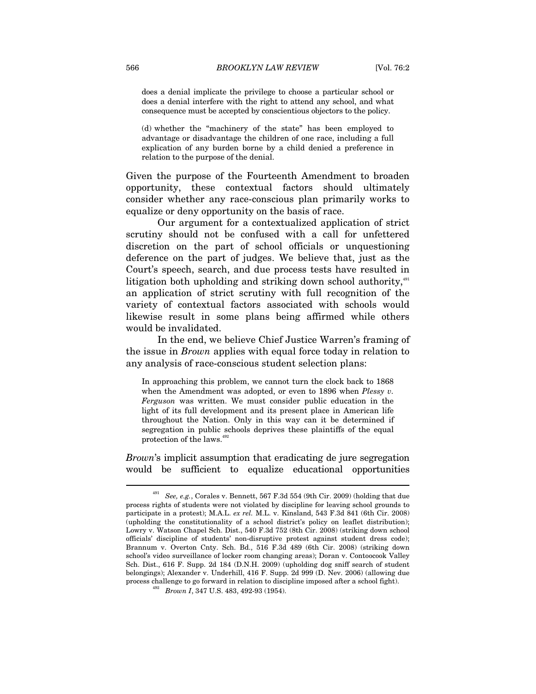does a denial implicate the privilege to choose a particular school or does a denial interfere with the right to attend any school, and what consequence must be accepted by conscientious objectors to the policy.

(d) whether the "machinery of the state" has been employed to advantage or disadvantage the children of one race, including a full explication of any burden borne by a child denied a preference in relation to the purpose of the denial.

Given the purpose of the Fourteenth Amendment to broaden opportunity, these contextual factors should ultimately consider whether any race-conscious plan primarily works to equalize or deny opportunity on the basis of race.

Our argument for a contextualized application of strict scrutiny should not be confused with a call for unfettered discretion on the part of school officials or unquestioning deference on the part of judges. We believe that, just as the Court's speech, search, and due process tests have resulted in litigation both upholding and striking down school authority,<sup>491</sup> an application of strict scrutiny with full recognition of the variety of contextual factors associated with schools would likewise result in some plans being affirmed while others would be invalidated.

In the end, we believe Chief Justice Warren's framing of the issue in *Brown* applies with equal force today in relation to any analysis of race-conscious student selection plans:

In approaching this problem, we cannot turn the clock back to 1868 when the Amendment was adopted, or even to 1896 when *Plessy v. Ferguson* was written. We must consider public education in the light of its full development and its present place in American life throughout the Nation. Only in this way can it be determined if segregation in public schools deprives these plaintiffs of the equal protection of the laws.<sup>492</sup>

*Brown*'s implicit assumption that eradicating de jure segregation would be sufficient to equalize educational opportunities

<sup>491</sup> *See, e.g.*, Corales v. Bennett, 567 F.3d 554 (9th Cir. 2009) (holding that due process rights of students were not violated by discipline for leaving school grounds to participate in a protest); M.A.L. *ex rel.* M.L. v. Kinsland, 543 F.3d 841 (6th Cir. 2008) (upholding the constitutionality of a school district's policy on leaflet distribution); Lowry v. Watson Chapel Sch. Dist., 540 F.3d 752 (8th Cir. 2008) (striking down school officials' discipline of students' non-disruptive protest against student dress code); Brannum v. Overton Cnty. Sch. Bd., 516 F.3d 489 (6th Cir. 2008) (striking down school's video surveillance of locker room changing areas); Doran v. Contoocook Valley Sch. Dist., 616 F. Supp. 2d 184 (D.N.H. 2009) (upholding dog sniff search of student belongings); Alexander v. Underhill, 416 F. Supp. 2d 999 (D. Nev. 2006) (allowing due process challenge to go forward in relation to discipline imposed after a school fight). 492 *Brown I*, 347 U.S. 483, 492-93 (1954).